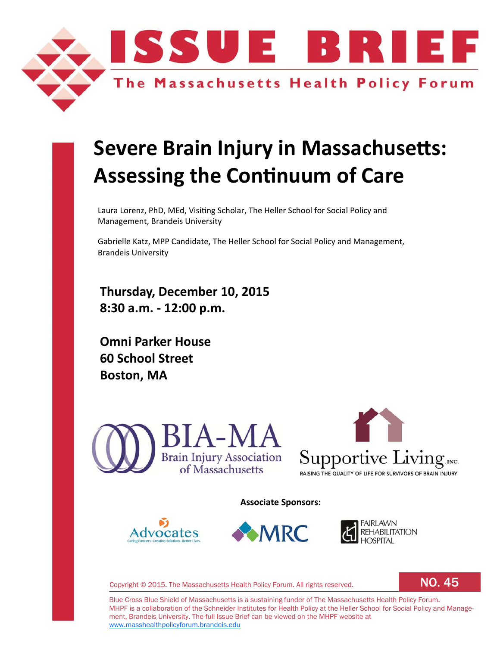

# **Severe Brain Injury in Massachusetts: Assessing the Continuum of Care**

Laura Lorenz, PhD, MEd, Visiting Scholar, The Heller School for Social Policy and Management, Brandeis University

Gabrielle Katz, MPP Candidate, The Heller School for Social Policy and Management, Brandeis University

**Thursday, December 10, 2015 8:30 a.m. ‐ 12:00 p.m.**

**Omni Parker House 60 School Street Boston, MA**





**Associate Sponsors:**







Copyright © 2015. The Massachusetts Health Policy Forum. All rights reserved.

NO. 45

Blue Cross Blue Shield of Massachusetts is a sustaining funder of The Massachusetts Health Policy Forum. MHPF is a collaboration of the Schneider Institutes for Health Policy at the Heller School for Social Policy and Management, Brandeis University. The full Issue Brief can be viewed on the MHPF website at www.masshealthpolicyforum.brandeis.edu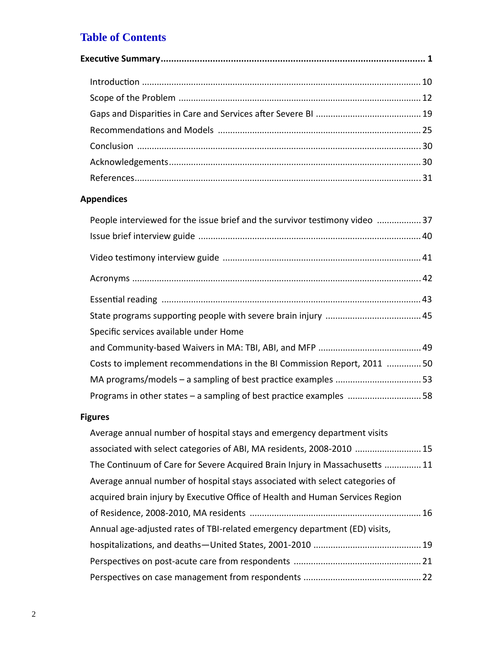# **Table of Contents**

# **Appendices**

| People interviewed for the issue brief and the survivor testimony video  37 |
|-----------------------------------------------------------------------------|
|                                                                             |
|                                                                             |
|                                                                             |
|                                                                             |
|                                                                             |
| Specific services available under Home                                      |
|                                                                             |
| Costs to implement recommendations in the BI Commission Report, 2011  50    |
|                                                                             |
| Programs in other states - a sampling of best practice examples 58          |

# **Figures**

| Average annual number of hospital stays and emergency department visits       |  |
|-------------------------------------------------------------------------------|--|
| associated with select categories of ABI, MA residents, 2008-2010  15         |  |
| The Continuum of Care for Severe Acquired Brain Injury in Massachusetts  11   |  |
| Average annual number of hospital stays associated with select categories of  |  |
| acquired brain injury by Executive Office of Health and Human Services Region |  |
|                                                                               |  |
| Annual age-adjusted rates of TBI-related emergency department (ED) visits,    |  |
|                                                                               |  |
|                                                                               |  |
|                                                                               |  |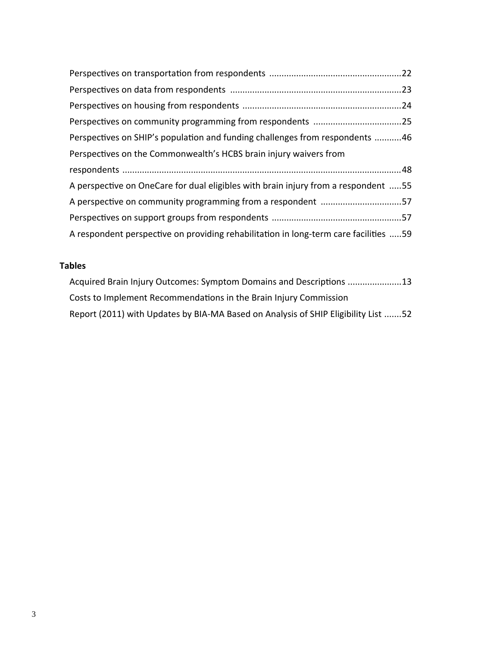| Perspectives on SHIP's population and funding challenges from respondents 46       |  |
|------------------------------------------------------------------------------------|--|
| Perspectives on the Commonwealth's HCBS brain injury waivers from                  |  |
|                                                                                    |  |
|                                                                                    |  |
| A perspective on OneCare for dual eligibles with brain injury from a respondent 55 |  |
| A perspective on community programming from a respondent 57                        |  |
|                                                                                    |  |

# **Tables**

| Acquired Brain Injury Outcomes: Symptom Domains and Descriptions 13                |
|------------------------------------------------------------------------------------|
| Costs to Implement Recommendations in the Brain Injury Commission                  |
| Report (2011) with Updates by BIA-MA Based on Analysis of SHIP Eligibility List 52 |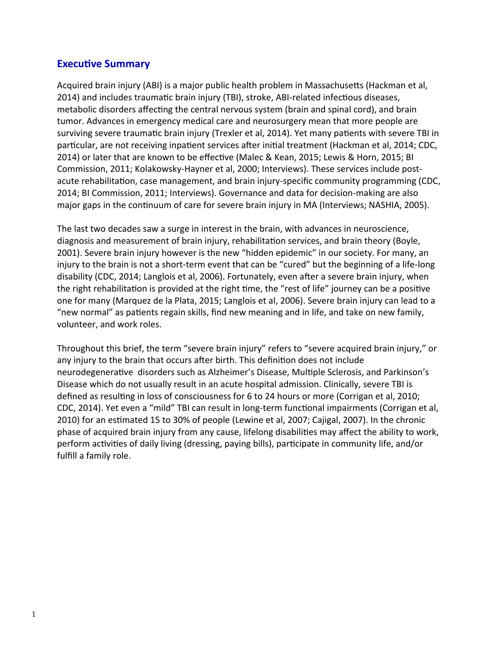# **ExecuƟve Summary**

Acquired brain injury (ABI) is a major public health problem in Massachusetts (Hackman et al, 2014) and includes traumatic brain injury (TBI), stroke, ABI-related infectious diseases, metabolic disorders affecting the central nervous system (brain and spinal cord), and brain tumor. Advances in emergency medical care and neurosurgery mean that more people are surviving severe traumatic brain injury (Trexler et al, 2014). Yet many patients with severe TBI in particular, are not receiving inpatient services after initial treatment (Hackman et al, 2014; CDC, 2014) or later that are known to be effective (Malec & Kean, 2015; Lewis & Horn, 2015; BI Commission, 2011; Kolakowsky‐Hayner et al, 2000; Interviews). These services include post‐ acute rehabilitation, case management, and brain injury-specific community programming (CDC, 2014; BI Commission, 2011; Interviews). Governance and data for decision-making are also major gaps in the continuum of care for severe brain injury in MA (Interviews; NASHIA, 2005).

The last two decades saw a surge in interest in the brain, with advances in neuroscience, diagnosis and measurement of brain injury, rehabilitation services, and brain theory (Boyle, 2001). Severe brain injury however is the new "hidden epidemic" in our society. For many, an injury to the brain is not a short-term event that can be "cured" but the beginning of a life-long disability (CDC, 2014; Langlois et al, 2006). Fortunately, even after a severe brain injury, when the right rehabilitation is provided at the right time, the "rest of life" journey can be a positive one for many (Marquez de la Plata, 2015; Langlois et al, 2006). Severe brain injury can lead to a "new normal" as patients regain skills, find new meaning and in life, and take on new family, volunteer, and work roles.

Throughout this brief, the term "severe brain injury" refers to "severe acquired brain injury," or any injury to the brain that occurs after birth. This definition does not include neurodegenerative disorders such as Alzheimer's Disease, Multiple Sclerosis, and Parkinson's Disease which do not usually result in an acute hospital admission. Clinically, severe TBI is defined as resulting in loss of consciousness for 6 to 24 hours or more (Corrigan et al, 2010; CDC, 2014). Yet even a "mild" TBI can result in long-term functional impairments (Corrigan et al, 2010) for an estimated 15 to 30% of people (Lewine et al, 2007; Cajigal, 2007). In the chronic phase of acquired brain injury from any cause, lifelong disabilities may affect the ability to work, perform activities of daily living (dressing, paying bills), participate in community life, and/or fulfill a family role.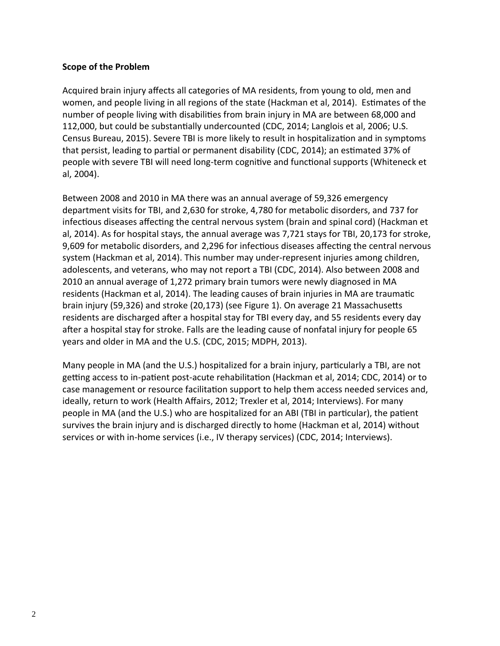#### **Scope of the Problem**

Acquired brain injury affects all categories of MA residents, from young to old, men and women, and people living in all regions of the state (Hackman et al, 2014). Estimates of the number of people living with disabilities from brain injury in MA are between 68,000 and 112,000, but could be substantially undercounted (CDC, 2014; Langlois et al, 2006; U.S. Census Bureau, 2015). Severe TBI is more likely to result in hospitalization and in symptoms that persist, leading to partial or permanent disability (CDC, 2014); an estimated 37% of people with severe TBI will need long-term cognitive and functional supports (Whiteneck et al, 2004).

Between 2008 and 2010 in MA there was an annual average of 59,326 emergency department visits for TBI, and 2,630 for stroke, 4,780 for metabolic disorders, and 737 for infectious diseases affecting the central nervous system (brain and spinal cord) (Hackman et al, 2014). As for hospital stays, the annual average was 7,721 stays for TBI, 20,173 for stroke, 9,609 for metabolic disorders, and 2,296 for infectious diseases affecting the central nervous system (Hackman et al, 2014). This number may under‐represent injuries among children, adolescents, and veterans, who may not report a TBI (CDC, 2014). Also between 2008 and 2010 an annual average of 1,272 primary brain tumors were newly diagnosed in MA residents (Hackman et al, 2014). The leading causes of brain injuries in MA are traumatic brain injury (59,326) and stroke (20,173) (see Figure 1). On average 21 Massachusetts residents are discharged after a hospital stay for TBI every day, and 55 residents every day after a hospital stay for stroke. Falls are the leading cause of nonfatal injury for people 65 years and older in MA and the U.S. (CDC, 2015; MDPH, 2013).

Many people in MA (and the U.S.) hospitalized for a brain injury, particularly a TBI, are not getting access to in-patient post-acute rehabilitation (Hackman et al, 2014; CDC, 2014) or to case management or resource facilitation support to help them access needed services and, ideally, return to work (Health Affairs, 2012; Trexler et al, 2014; Interviews). For many people in MA (and the U.S.) who are hospitalized for an ABI (TBI in particular), the patient survives the brain injury and is discharged directly to home (Hackman et al, 2014) without services or with in‐home services (i.e., IV therapy services) (CDC, 2014; Interviews).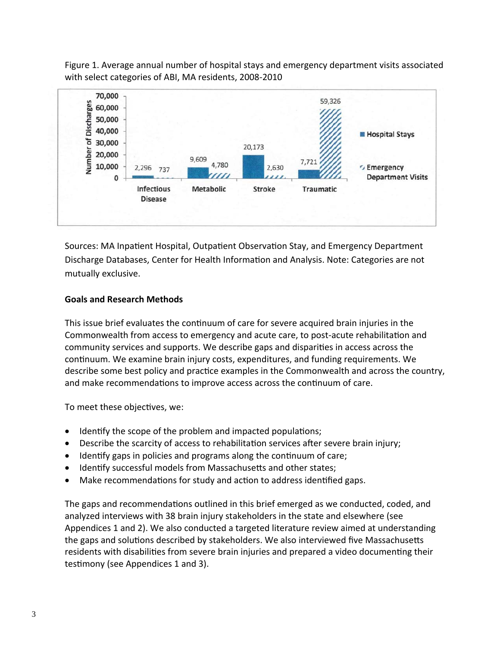Figure 1. Average annual number of hospital stays and emergency department visits associated with select categories of ABI, MA residents, 2008‐2010



Sources: MA Inpatient Hospital, Outpatient Observation Stay, and Emergency Department Discharge Databases, Center for Health Information and Analysis. Note: Categories are not mutually exclusive.

#### **Goals and Research Methods**

This issue brief evaluates the continuum of care for severe acquired brain injuries in the Commonwealth from access to emergency and acute care, to post-acute rehabilitation and community services and supports. We describe gaps and disparities in access across the continuum. We examine brain injury costs, expenditures, and funding requirements. We describe some best policy and practice examples in the Commonwealth and across the country, and make recommendations to improve access across the continuum of care.

To meet these objectives, we:

- Identify the scope of the problem and impacted populations;
- Describe the scarcity of access to rehabilitation services after severe brain injury;
- Identify gaps in policies and programs along the continuum of care;
- Identify successful models from Massachusetts and other states;
- Make recommendations for study and action to address identified gaps.

The gaps and recommendations outlined in this brief emerged as we conducted, coded, and analyzed interviews with 38 brain injury stakeholders in the state and elsewhere (see Appendices 1 and 2). We also conducted a targeted literature review aimed at understanding the gaps and solutions described by stakeholders. We also interviewed five Massachusetts residents with disabilities from severe brain injuries and prepared a video documenting their testimony (see Appendices 1 and 3).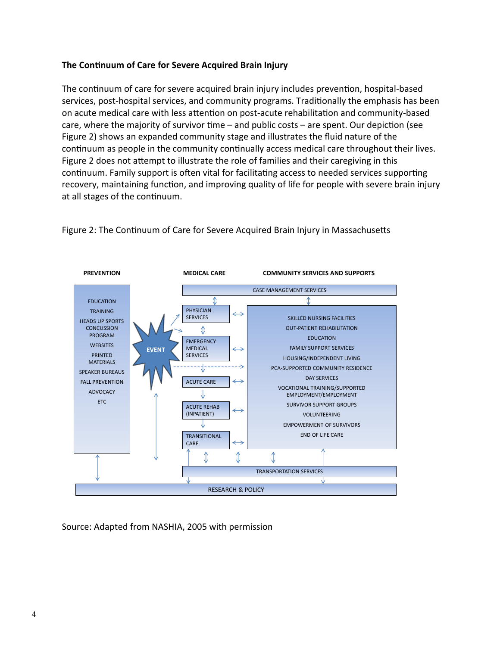#### **The ConƟnuum of Care for Severe Acquired Brain Injury**

The continuum of care for severe acquired brain injury includes prevention, hospital-based services, post-hospital services, and community programs. Traditionally the emphasis has been on acute medical care with less attention on post-acute rehabilitation and community-based care, where the majority of survivor time  $-$  and public costs  $-$  are spent. Our depiction (see Figure 2) shows an expanded community stage and illustrates the fluid nature of the continuum as people in the community continually access medical care throughout their lives. Figure 2 does not attempt to illustrate the role of families and their caregiving in this continuum. Family support is often vital for facilitating access to needed services supporting recovery, maintaining function, and improving quality of life for people with severe brain injury at all stages of the continuum.



Figure 2: The Continuum of Care for Severe Acquired Brain Injury in Massachusetts

Source: Adapted from NASHIA, 2005 with permission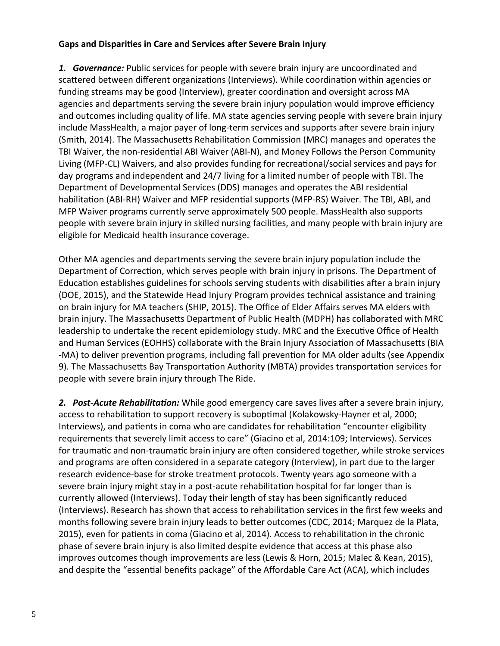#### **Gaps and DispariƟes in Care and Services aŌer Severe Brain Injury**

**1.** *Governance:* Public services for people with severe brain injury are uncoordinated and scattered between different organizations (Interviews). While coordination within agencies or funding streams may be good (Interview), greater coordination and oversight across MA agencies and departments serving the severe brain injury population would improve efficiency and outcomes including quality of life. MA state agencies serving people with severe brain injury include MassHealth, a major payer of long-term services and supports after severe brain injury (Smith, 2014). The Massachusetts Rehabilitation Commission (MRC) manages and operates the TBI Waiver, the non-residential ABI Waiver (ABI-N), and Money Follows the Person Community Living (MFP-CL) Waivers, and also provides funding for recreational/social services and pays for day programs and independent and 24/7 living for a limited number of people with TBI. The Department of Developmental Services (DDS) manages and operates the ABI residential habilitation (ABI-RH) Waiver and MFP residential supports (MFP-RS) Waiver. The TBI, ABI, and MFP Waiver programs currently serve approximately 500 people. MassHealth also supports people with severe brain injury in skilled nursing facilities, and many people with brain injury are eligible for Medicaid health insurance coverage.

Other MA agencies and departments serving the severe brain injury population include the Department of Correction, which serves people with brain injury in prisons. The Department of Education establishes guidelines for schools serving students with disabilities after a brain injury (DOE, 2015), and the Statewide Head Injury Program provides technical assistance and training on brain injury for MA teachers (SHIP, 2015). The Office of Elder Affairs serves MA elders with brain injury. The Massachusetts Department of Public Health (MDPH) has collaborated with MRC leadership to undertake the recent epidemiology study. MRC and the Executive Office of Health and Human Services (EOHHS) collaborate with the Brain Injury Association of Massachusetts (BIA -MA) to deliver prevention programs, including fall prevention for MA older adults (see Appendix 9). The Massachusetts Bay Transportation Authority (MBTA) provides transportation services for people with severe brain injury through The Ride.

**2.** Post-Acute Rehabilitation: While good emergency care saves lives after a severe brain injury, access to rehabilitation to support recovery is suboptimal (Kolakowsky-Hayner et al, 2000; Interviews), and patients in coma who are candidates for rehabilitation "encounter eligibility requirements that severely limit access to care" (Giacino et al, 2014:109; Interviews). Services for traumatic and non-traumatic brain injury are often considered together, while stroke services and programs are often considered in a separate category (Interview), in part due to the larger research evidence‐base for stroke treatment protocols. Twenty years ago someone with a severe brain injury might stay in a post-acute rehabilitation hospital for far longer than is currently allowed (Interviews). Today their length of stay has been significantly reduced (Interviews). Research has shown that access to rehabilitation services in the first few weeks and months following severe brain injury leads to better outcomes (CDC, 2014; Marquez de la Plata, 2015), even for patients in coma (Giacino et al, 2014). Access to rehabilitation in the chronic phase of severe brain injury is also limited despite evidence that access at this phase also improves outcomes though improvements are less (Lewis & Horn, 2015; Malec & Kean, 2015), and despite the "essential benefits package" of the Affordable Care Act (ACA), which includes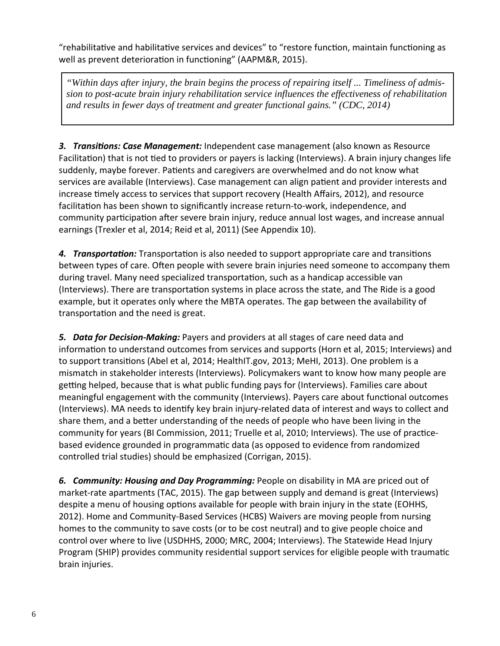"rehabilitative and habilitative services and devices" to "restore function, maintain functioning as well as prevent deterioration in functioning" (AAPM&R, 2015).

*"Within days after injury, the brain begins the process of repairing itself ... Timeliness of admission to post-acute brain injury rehabilitation service influences the effectiveness of rehabilitation and results in fewer days of treatment and greater functional gains." (CDC, 2014)* 

**3. Transitions: Case Management:** Independent case management (also known as Resource Facilitation) that is not tied to providers or payers is lacking (Interviews). A brain injury changes life suddenly, maybe forever. Patients and caregivers are overwhelmed and do not know what services are available (Interviews). Case management can align patient and provider interests and increase timely access to services that support recovery (Health Affairs, 2012), and resource facilitation has been shown to significantly increase return-to-work, independence, and community participation after severe brain injury, reduce annual lost wages, and increase annual earnings (Trexler et al, 2014; Reid et al, 2011) (See Appendix 10).

4. *Transportation:* Transportation is also needed to support appropriate care and transitions between types of care. Often people with severe brain injuries need someone to accompany them during travel. Many need specialized transportation, such as a handicap accessible van (Interviews). There are transportation systems in place across the state, and The Ride is a good example, but it operates only where the MBTA operates. The gap between the availability of transportation and the need is great.

*5. Data for Decision‐Making:* Payers and providers at all stages of care need data and information to understand outcomes from services and supports (Horn et al, 2015; Interviews) and to support transitions (Abel et al, 2014; HealthIT.gov, 2013; MeHI, 2013). One problem is a mismatch in stakeholder interests (Interviews). Policymakers want to know how many people are getting helped, because that is what public funding pays for (Interviews). Families care about meaningful engagement with the community (Interviews). Payers care about functional outcomes (Interviews). MA needs to idenƟfy key brain injury‐related data of interest and ways to collect and share them, and a better understanding of the needs of people who have been living in the community for years (BI Commission, 2011; Truelle et al, 2010; Interviews). The use of practicebased evidence grounded in programmatic data (as opposed to evidence from randomized controlled trial studies) should be emphasized (Corrigan, 2015).

*6. Community: Housing and Day Programming:* People on disability in MA are priced out of market-rate apartments (TAC, 2015). The gap between supply and demand is great (Interviews) despite a menu of housing options available for people with brain injury in the state (EOHHS, 2012). Home and Community‐Based Services (HCBS) Waivers are moving people from nursing homes to the community to save costs (or to be cost neutral) and to give people choice and control over where to live (USDHHS, 2000; MRC, 2004; Interviews). The Statewide Head Injury Program (SHIP) provides community residential support services for eligible people with traumatic brain injuries.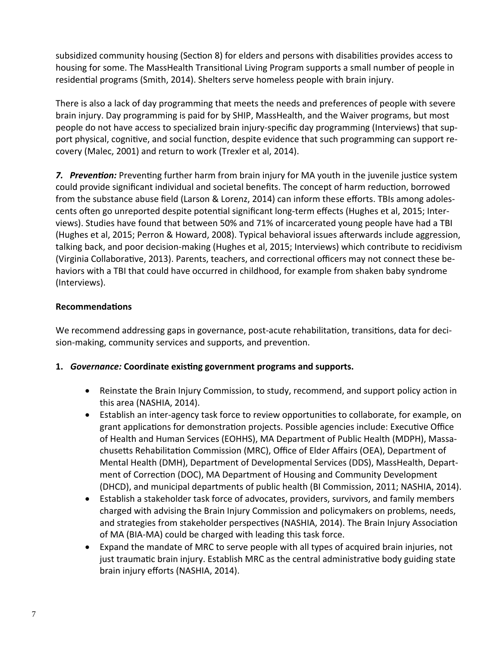subsidized community housing (Section 8) for elders and persons with disabilities provides access to housing for some. The MassHealth Transitional Living Program supports a small number of people in residential programs (Smith, 2014). Shelters serve homeless people with brain injury.

There is also a lack of day programming that meets the needs and preferences of people with severe brain injury. Day programming is paid for by SHIP, MassHealth, and the Waiver programs, but most people do not have access to specialized brain injury-specific day programming (Interviews) that support physical, cognitive, and social function, despite evidence that such programming can support recovery (Malec, 2001) and return to work (Trexler et al, 2014).

**7.** Prevention: Preventing further harm from brain injury for MA youth in the juvenile justice system could provide significant individual and societal benefits. The concept of harm reduction, borrowed from the substance abuse field (Larson & Lorenz, 2014) can inform these efforts. TBIs among adolescents often go unreported despite potential significant long-term effects (Hughes et al, 2015; Interviews). Studies have found that between 50% and 71% of incarcerated young people have had a TBI (Hughes et al, 2015; Perron & Howard, 2008). Typical behavioral issues afterwards include aggression, talking back, and poor decision‐making (Hughes et al, 2015; Interviews) which contribute to recidivism (Virginia Collaborative, 2013). Parents, teachers, and correctional officers may not connect these behaviors with a TBI that could have occurred in childhood, for example from shaken baby syndrome (Interviews).

### **RecommendaƟons**

We recommend addressing gaps in governance, post-acute rehabilitation, transitions, data for decision-making, community services and supports, and prevention.

#### 1. *Governance:* Coordinate existing government programs and supports.

- Reinstate the Brain Injury Commission, to study, recommend, and support policy action in this area (NASHIA, 2014).
- Establish an inter-agency task force to review opportunities to collaborate, for example, on grant applications for demonstration projects. Possible agencies include: Executive Office of Health and Human Services (EOHHS), MA Department of Public Health (MDPH), Massa‐ chusetts Rehabilitation Commission (MRC), Office of Elder Affairs (OEA), Department of Mental Health (DMH), Department of Developmental Services (DDS), MassHealth, Depart‐ ment of Correction (DOC), MA Department of Housing and Community Development (DHCD), and municipal departments of public health (BI Commission, 2011; NASHIA, 2014).
- Establish a stakeholder task force of advocates, providers, survivors, and family members charged with advising the Brain Injury Commission and policymakers on problems, needs, and strategies from stakeholder perspectives (NASHIA, 2014). The Brain Injury Association of MA (BIA‐MA) could be charged with leading this task force.
- Expand the mandate of MRC to serve people with all types of acquired brain injuries, not just traumatic brain injury. Establish MRC as the central administrative body guiding state brain injury efforts (NASHIA, 2014).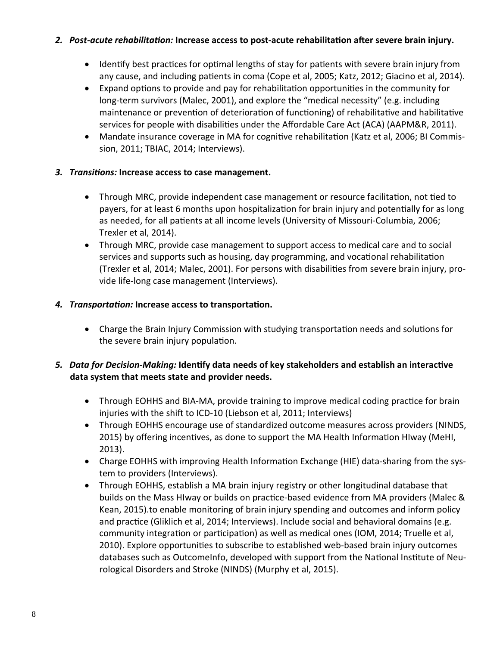#### 2. Post-acute rehabilitation: Increase access to post-acute rehabilitation after severe brain injury.

- Identify best practices for optimal lengths of stay for patients with severe brain injury from any cause, and including patients in coma (Cope et al, 2005; Katz, 2012; Giacino et al, 2014).
- Expand options to provide and pay for rehabilitation opportunities in the community for long‐term survivors (Malec, 2001), and explore the "medical necessity" (e.g. including maintenance or prevention of deterioration of functioning) of rehabilitative and habilitative services for people with disabilities under the Affordable Care Act (ACA) (AAPM&R, 2011).
- Mandate insurance coverage in MA for cognitive rehabilitation (Katz et al, 2006; BI Commission, 2011; TBIAC, 2014; Interviews).

# *3. TransiƟons:* **Increase access to case management.**

- Through MRC, provide independent case management or resource facilitation, not tied to payers, for at least 6 months upon hospitalization for brain injury and potentially for as long as needed, for all patients at all income levels (University of Missouri-Columbia, 2006; Trexler et al, 2014).
- Through MRC, provide case management to support access to medical care and to social services and supports such as housing, day programming, and vocational rehabilitation (Trexler et al, 2014; Malec, 2001). For persons with disabilities from severe brain injury, provide life‐long case management (Interviews).

# *4. TransportaƟon:* **Increase access to transportaƟon.**

• Charge the Brain Injury Commission with studying transportation needs and solutions for the severe brain injury population.

# 5. Data for Decision-Making: Identify data needs of key stakeholders and establish an interactive **data system that meets state and provider needs.**

- Through EOHHS and BIA-MA, provide training to improve medical coding practice for brain injuries with the shift to ICD-10 (Liebson et al, 2011; Interviews)
- Through EOHHS encourage use of standardized outcome measures across providers (NINDS, 2015) by offering incentives, as done to support the MA Health Information HIway (MeHI, 2013).
- Charge EOHHS with improving Health Information Exchange (HIE) data-sharing from the system to providers (Interviews).
- Through EOHHS, establish a MA brain injury registry or other longitudinal database that builds on the Mass HIway or builds on practice-based evidence from MA providers (Malec & Kean, 2015).to enable monitoring of brain injury spending and outcomes and inform policy and practice (Gliklich et al, 2014; Interviews). Include social and behavioral domains (e.g. community integration or participation) as well as medical ones (IOM, 2014; Truelle et al, 2010). Explore opportunities to subscribe to established web-based brain injury outcomes databases such as OutcomeInfo, developed with support from the National Institute of Neurological Disorders and Stroke (NINDS) (Murphy et al, 2015).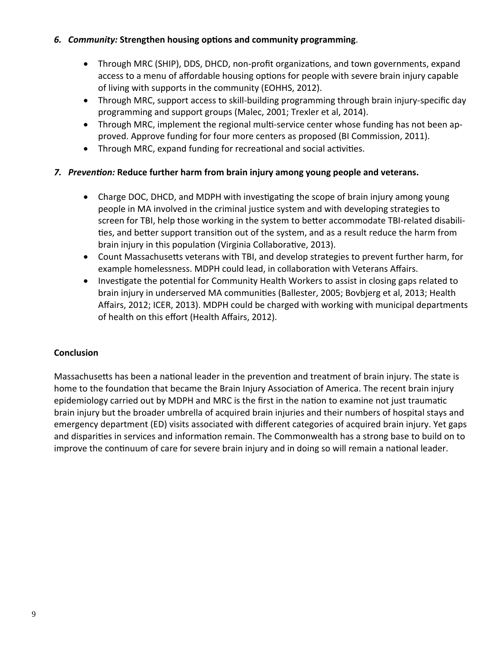#### *6. Community:* **Strengthen housing opƟons and community programming**.

- Through MRC (SHIP), DDS, DHCD, non-profit organizations, and town governments, expand access to a menu of affordable housing options for people with severe brain injury capable of living with supports in the community (EOHHS, 2012).
- Through MRC, support access to skill-building programming through brain injury-specific day programming and support groups (Malec, 2001; Trexler et al, 2014).
- Through MRC, implement the regional multi-service center whose funding has not been approved. Approve funding for four more centers as proposed (BI Commission, 2011).
- Through MRC, expand funding for recreational and social activities.

# *7. PrevenƟon:* **Reduce further harm from brain injury among young people and veterans.**

- Charge DOC, DHCD, and MDPH with investigating the scope of brain injury among young people in MA involved in the criminal justice system and with developing strategies to screen for TBI, help those working in the system to better accommodate TBI-related disabilities, and better support transition out of the system, and as a result reduce the harm from brain injury in this population (Virginia Collaborative, 2013).
- Count Massachusetts veterans with TBI, and develop strategies to prevent further harm, for example homelessness. MDPH could lead, in collaboration with Veterans Affairs.
- Investigate the potential for Community Health Workers to assist in closing gaps related to brain injury in underserved MA communities (Ballester, 2005; Bovbjerg et al, 2013; Health Affairs, 2012; ICER, 2013). MDPH could be charged with working with municipal departments of health on this effort (Health Affairs, 2012).

#### **Conclusion**

Massachusetts has been a national leader in the prevention and treatment of brain injury. The state is home to the foundation that became the Brain Injury Association of America. The recent brain injury epidemiology carried out by MDPH and MRC is the first in the nation to examine not just traumatic brain injury but the broader umbrella of acquired brain injuries and their numbers of hospital stays and emergency department (ED) visits associated with different categories of acquired brain injury. Yet gaps and disparities in services and information remain. The Commonwealth has a strong base to build on to improve the continuum of care for severe brain injury and in doing so will remain a national leader.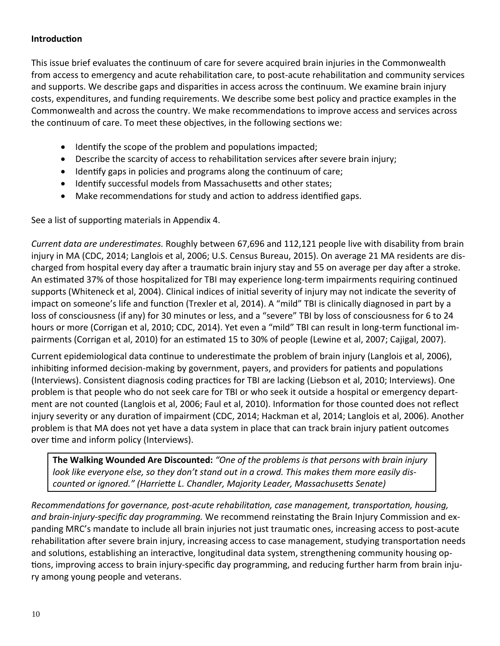#### **IntroducƟon**

This issue brief evaluates the continuum of care for severe acquired brain injuries in the Commonwealth from access to emergency and acute rehabilitation care, to post-acute rehabilitation and community services and supports. We describe gaps and disparities in access across the continuum. We examine brain injury costs, expenditures, and funding requirements. We describe some best policy and practice examples in the Commonwealth and across the country. We make recommendations to improve access and services across the continuum of care. To meet these objectives, in the following sections we:

- Identify the scope of the problem and populations impacted;
- Describe the scarcity of access to rehabilitation services after severe brain injury;
- $\bullet$  Identify gaps in policies and programs along the continuum of care;
- Identify successful models from Massachusetts and other states;
- Make recommendations for study and action to address identified gaps.

See a list of supporting materials in Appendix 4.

*Current data are underesƟmates.* Roughly between 67,696 and 112,121 people live with disability from brain injury in MA (CDC, 2014; Langlois et al, 2006; U.S. Census Bureau, 2015). On average 21 MA residents are dis‐ charged from hospital every day after a traumatic brain injury stay and 55 on average per day after a stroke. An estimated 37% of those hospitalized for TBI may experience long-term impairments requiring continued supports (Whiteneck et al, 2004). Clinical indices of initial severity of injury may not indicate the severity of impact on someone's life and function (Trexler et al, 2014). A "mild" TBI is clinically diagnosed in part by a loss of consciousness (if any) for 30 minutes or less, and a "severe" TBI by loss of consciousness for 6 to 24 hours or more (Corrigan et al, 2010; CDC, 2014). Yet even a "mild" TBI can result in long-term functional impairments (Corrigan et al, 2010) for an estimated 15 to 30% of people (Lewine et al, 2007; Cajigal, 2007).

Current epidemiological data continue to underestimate the problem of brain injury (Langlois et al, 2006), inhibiting informed decision-making by government, payers, and providers for patients and populations (Interviews). Consistent diagnosis coding practices for TBI are lacking (Liebson et al, 2010; Interviews). One problem is that people who do not seek care for TBI or who seek it outside a hospital or emergency depart‐ ment are not counted (Langlois et al, 2006; Faul et al, 2010). Information for those counted does not reflect injury severity or any duration of impairment (CDC, 2014; Hackman et al, 2014; Langlois et al, 2006). Another problem is that MA does not yet have a data system in place that can track brain injury patient outcomes over time and inform policy (Interviews).

**The Walking Wounded Are Discounted:** *"One of the problems is that persons with brain injury* look like everyone else, so they don't stand out in a crowd. This makes them more easily dis*counted or ignored." (HarrieƩe L. Chandler, Majority Leader, MassachuseƩs Senate)*

*RecommendaƟons for governance, post‐acute rehabilitaƟon, case management, transportaƟon, housing, and brain‐injury‐specific day programming.* We recommend reinstaƟng the Brain Injury Commission and ex‐ panding MRC's mandate to include all brain injuries not just traumatic ones, increasing access to post-acute rehabilitation after severe brain injury, increasing access to case management, studying transportation needs and solutions, establishing an interactive, longitudinal data system, strengthening community housing options, improving access to brain injury-specific day programming, and reducing further harm from brain injury among young people and veterans.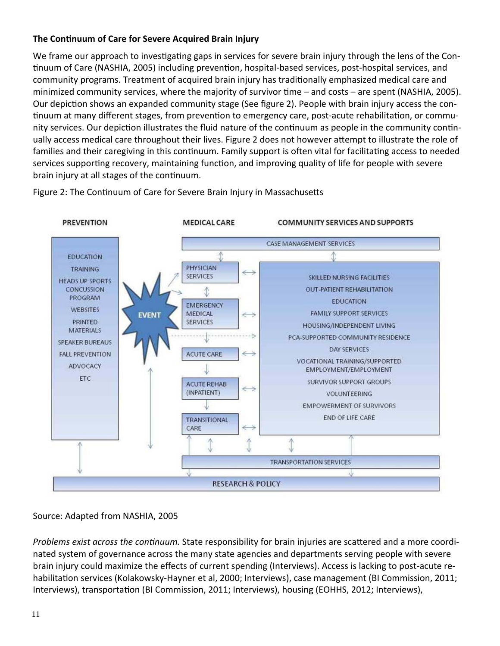# **The ConƟnuum of Care for Severe Acquired Brain Injury**

We frame our approach to investigating gaps in services for severe brain injury through the lens of the Continuum of Care (NASHIA, 2005) including prevention, hospital-based services, post-hospital services, and community programs. Treatment of acquired brain injury has traditionally emphasized medical care and minimized community services, where the majority of survivor time – and costs – are spent (NASHIA, 2005). Our depiction shows an expanded community stage (See figure 2). People with brain injury access the continuum at many different stages, from prevention to emergency care, post-acute rehabilitation, or community services. Our depiction illustrates the fluid nature of the continuum as people in the community continually access medical care throughout their lives. Figure 2 does not however attempt to illustrate the role of families and their caregiving in this continuum. Family support is often vital for facilitating access to needed services supporting recovery, maintaining function, and improving quality of life for people with severe brain injury at all stages of the continuum.



Figure 2: The Continuum of Care for Severe Brain Injury in Massachusetts

# Source: Adapted from NASHIA, 2005

*Problems exist across the continuum.* State responsibility for brain injuries are scattered and a more coordinated system of governance across the many state agencies and departments serving people with severe brain injury could maximize the effects of current spending (Interviews). Access is lacking to post-acute rehabilitation services (Kolakowsky-Hayner et al, 2000; Interviews), case management (BI Commission, 2011; Interviews), transportation (BI Commission, 2011; Interviews), housing (EOHHS, 2012; Interviews),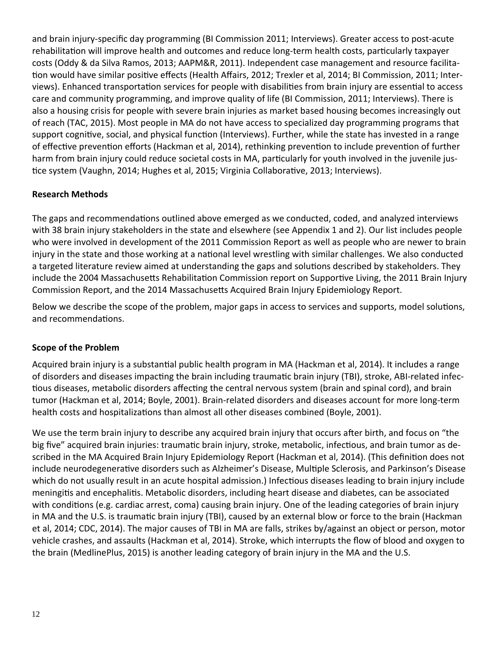and brain injury-specific day programming (BI Commission 2011; Interviews). Greater access to post-acute rehabilitation will improve health and outcomes and reduce long-term health costs, particularly taxpayer costs (Oddy & da Silva Ramos, 2013; AAPM&R, 2011). Independent case management and resource facilita‐ tion would have similar positive effects (Health Affairs, 2012; Trexler et al, 2014; BI Commission, 2011; Interviews). Enhanced transportation services for people with disabilities from brain injury are essential to access care and community programming, and improve quality of life (BI Commission, 2011; Interviews). There is also a housing crisis for people with severe brain injuries as market based housing becomes increasingly out of reach (TAC, 2015). Most people in MA do not have access to specialized day programming programs that support cognitive, social, and physical function (Interviews). Further, while the state has invested in a range of effective prevention efforts (Hackman et al, 2014), rethinking prevention to include prevention of further harm from brain injury could reduce societal costs in MA, particularly for youth involved in the juvenile justice system (Vaughn, 2014; Hughes et al, 2015; Virginia Collaborative, 2013; Interviews).

### **Research Methods**

The gaps and recommendations outlined above emerged as we conducted, coded, and analyzed interviews with 38 brain injury stakeholders in the state and elsewhere (see Appendix 1 and 2). Our list includes people who were involved in development of the 2011 Commission Report as well as people who are newer to brain injury in the state and those working at a national level wrestling with similar challenges. We also conducted a targeted literature review aimed at understanding the gaps and solutions described by stakeholders. They include the 2004 Massachusetts Rehabilitation Commission report on Supportive Living, the 2011 Brain Injury Commission Report, and the 2014 Massachusetts Acquired Brain Injury Epidemiology Report.

Below we describe the scope of the problem, major gaps in access to services and supports, model solutions, and recommendations.

#### **Scope of the Problem**

Acquired brain injury is a substantial public health program in MA (Hackman et al, 2014). It includes a range of disorders and diseases impacting the brain including traumatic brain injury (TBI), stroke, ABI-related infectious diseases, metabolic disorders affecting the central nervous system (brain and spinal cord), and brain tumor (Hackman et al, 2014; Boyle, 2001). Brain‐related disorders and diseases account for more long‐term health costs and hospitalizations than almost all other diseases combined (Boyle, 2001).

We use the term brain injury to describe any acquired brain injury that occurs after birth, and focus on "the big five" acquired brain injuries: traumatic brain injury, stroke, metabolic, infectious, and brain tumor as described in the MA Acquired Brain Injury Epidemiology Report (Hackman et al, 2014). (This definition does not include neurodegenerative disorders such as Alzheimer's Disease, Multiple Sclerosis, and Parkinson's Disease which do not usually result in an acute hospital admission.) Infectious diseases leading to brain injury include meningitis and encephalitis. Metabolic disorders, including heart disease and diabetes, can be associated with conditions (e.g. cardiac arrest, coma) causing brain injury. One of the leading categories of brain injury in MA and the U.S. is traumatic brain injury (TBI), caused by an external blow or force to the brain (Hackman et al, 2014; CDC, 2014). The major causes of TBI in MA are falls, strikes by/against an object or person, motor vehicle crashes, and assaults (Hackman et al, 2014). Stroke, which interrupts the flow of blood and oxygen to the brain (MedlinePlus, 2015) is another leading category of brain injury in the MA and the U.S.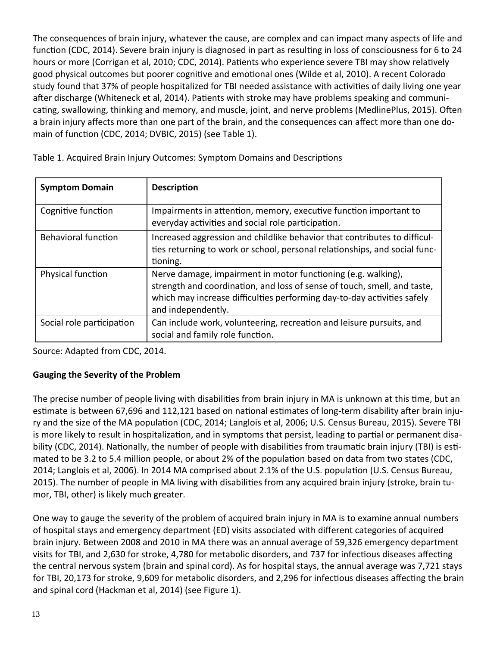The consequences of brain injury, whatever the cause, are complex and can impact many aspects of life and function (CDC, 2014). Severe brain injury is diagnosed in part as resulting in loss of consciousness for 6 to 24 hours or more (Corrigan et al, 2010; CDC, 2014). Patients who experience severe TBI may show relatively good physical outcomes but poorer cognitive and emotional ones (Wilde et al, 2010). A recent Colorado study found that 37% of people hospitalized for TBI needed assistance with activities of daily living one year after discharge (Whiteneck et al, 2014). Patients with stroke may have problems speaking and communicating, swallowing, thinking and memory, and muscle, joint, and nerve problems (MedlinePlus, 2015). Often a brain injury affects more than one part of the brain, and the consequences can affect more than one domain of function (CDC, 2014; DVBIC, 2015) (see Table 1).

| <b>Symptom Domain</b>      | <b>Description</b>                                                                                                                                                                                                                         |
|----------------------------|--------------------------------------------------------------------------------------------------------------------------------------------------------------------------------------------------------------------------------------------|
| Cognitive function         | Impairments in attention, memory, executive function important to<br>everyday activities and social role participation.                                                                                                                    |
| <b>Behavioral function</b> | Increased aggression and childlike behavior that contributes to difficul-<br>ties returning to work or school, personal relationships, and social func-<br>tioning.                                                                        |
| Physical function          | Nerve damage, impairment in motor functioning (e.g. walking),<br>strength and coordination, and loss of sense of touch, smell, and taste,<br>which may increase difficulties performing day-to-day activities safely<br>and independently. |
| Social role participation  | Can include work, volunteering, recreation and leisure pursuits, and<br>social and family role function.                                                                                                                                   |

Table 1. Acquired Brain Injury Outcomes: Symptom Domains and Descriptions

Source: Adapted from CDC, 2014.

# **Gauging the Severity of the Problem**

The precise number of people living with disabilities from brain injury in MA is unknown at this time, but an estimate is between 67,696 and 112,121 based on national estimates of long-term disability after brain injury and the size of the MA population (CDC, 2014; Langlois et al, 2006; U.S. Census Bureau, 2015). Severe TBI is more likely to result in hospitalization, and in symptoms that persist, leading to partial or permanent disability (CDC, 2014). Nationally, the number of people with disabilities from traumatic brain injury (TBI) is estimated to be 3.2 to 5.4 million people, or about 2% of the population based on data from two states (CDC, 2014; Langlois et al, 2006). In 2014 MA comprised about 2.1% of the U.S. population (U.S. Census Bureau, 2015). The number of people in MA living with disabilities from any acquired brain injury (stroke, brain tumor, TBI, other) is likely much greater.

One way to gauge the severity of the problem of acquired brain injury in MA is to examine annual numbers of hospital stays and emergency department (ED) visits associated with different categories of acquired brain injury. Between 2008 and 2010 in MA there was an annual average of 59,326 emergency department visits for TBI, and 2,630 for stroke, 4,780 for metabolic disorders, and 737 for infectious diseases affecting the central nervous system (brain and spinal cord). As for hospital stays, the annual average was 7,721 stays for TBI, 20,173 for stroke, 9,609 for metabolic disorders, and 2,296 for infectious diseases affecting the brain and spinal cord (Hackman et al, 2014) (see Figure 1).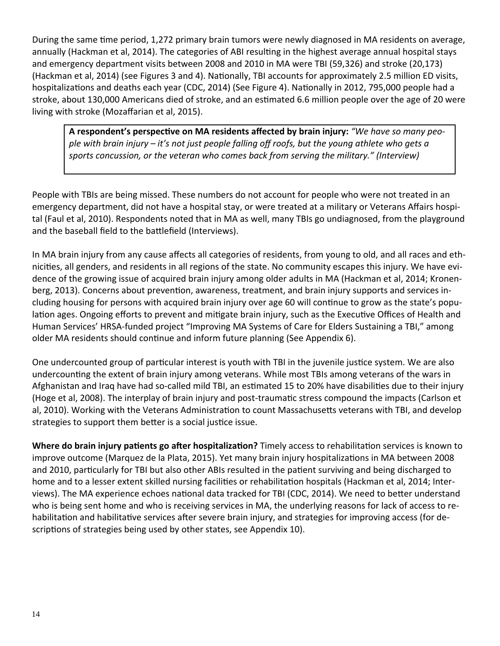During the same time period, 1,272 primary brain tumors were newly diagnosed in MA residents on average, annually (Hackman et al, 2014). The categories of ABI resulting in the highest average annual hospital stays and emergency department visits between 2008 and 2010 in MA were TBI (59,326) and stroke (20,173) (Hackman et al, 2014) (see Figures 3 and 4). Nationally, TBI accounts for approximately 2.5 million ED visits, hospitalizations and deaths each year (CDC, 2014) (See Figure 4). Nationally in 2012, 795,000 people had a stroke, about 130,000 Americans died of stroke, and an estimated 6.6 million people over the age of 20 were living with stroke (Mozaffarian et al, 2015).

A respondent's perspective on MA residents affected by brain injury: "We have so many people with brain injury - it's not just people falling off roofs, but the young athlete who gets a *sports concussion, or the veteran who comes back from serving the military." (Interview)*

People with TBIs are being missed. These numbers do not account for people who were not treated in an emergency department, did not have a hospital stay, or were treated at a military or Veterans Affairs hospital (Faul et al, 2010). Respondents noted that in MA as well, many TBIs go undiagnosed, from the playground and the baseball field to the battlefield (Interviews).

In MA brain injury from any cause affects all categories of residents, from young to old, and all races and eth‐ nicities, all genders, and residents in all regions of the state. No community escapes this injury. We have evidence of the growing issue of acquired brain injury among older adults in MA (Hackman et al, 2014; Kronen‐ berg, 2013). Concerns about prevention, awareness, treatment, and brain injury supports and services including housing for persons with acquired brain injury over age 60 will continue to grow as the state's population ages. Ongoing efforts to prevent and mitigate brain injury, such as the Executive Offices of Health and Human Services' HRSA‐funded project "Improving MA Systems of Care for Elders Sustaining a TBI," among older MA residents should continue and inform future planning (See Appendix 6).

One undercounted group of particular interest is youth with TBI in the juvenile justice system. We are also undercounting the extent of brain injury among veterans. While most TBIs among veterans of the wars in Afghanistan and Iraq have had so-called mild TBI, an estimated 15 to 20% have disabilities due to their injury (Hoge et al, 2008). The interplay of brain injury and post‐traumaƟc stress compound the impacts (Carlson et al, 2010). Working with the Veterans Administration to count Massachusetts veterans with TBI, and develop strategies to support them better is a social justice issue.

**Where do brain injury patients go after hospitalization? Timely access to rehabilitation services is known to** improve outcome (Marquez de la Plata, 2015). Yet many brain injury hospitalizations in MA between 2008 and 2010, particularly for TBI but also other ABIs resulted in the patient surviving and being discharged to home and to a lesser extent skilled nursing facilities or rehabilitation hospitals (Hackman et al, 2014; Interviews). The MA experience echoes national data tracked for TBI (CDC, 2014). We need to better understand who is being sent home and who is receiving services in MA, the underlying reasons for lack of access to re‐ habilitation and habilitative services after severe brain injury, and strategies for improving access (for descriptions of strategies being used by other states, see Appendix 10).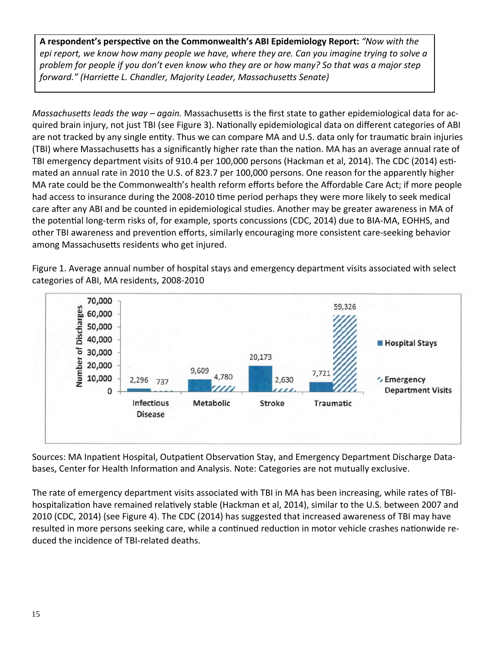**A respondent's perspecƟve on the Commonwealth's ABI Epidemiology Report:** *"Now with the* epi report, we know how many people we have, where they are. Can you imagine trying to solve a problem for people if you don't even know who they are or how many? So that was a major step *forward." (HarrieƩe L. Chandler, Majority Leader, MassachuseƩs Senate)*

*Massachusetts leads the way – again.* Massachusetts is the first state to gather epidemiological data for acquired brain injury, not just TBI (see Figure 3). Nationally epidemiological data on different categories of ABI are not tracked by any single entity. Thus we can compare MA and U.S. data only for traumatic brain injuries (TBI) where Massachusetts has a significantly higher rate than the nation. MA has an average annual rate of TBI emergency department visits of 910.4 per 100,000 persons (Hackman et al, 2014). The CDC (2014) estimated an annual rate in 2010 the U.S. of 823.7 per 100,000 persons. One reason for the apparently higher MA rate could be the Commonwealth's health reform efforts before the Affordable Care Act; if more people had access to insurance during the 2008-2010 time period perhaps they were more likely to seek medical care after any ABI and be counted in epidemiological studies. Another may be greater awareness in MA of the potential long-term risks of, for example, sports concussions (CDC, 2014) due to BIA-MA, EOHHS, and other TBI awareness and prevention efforts, similarly encouraging more consistent care-seeking behavior among Massachusetts residents who get injured.

Figure 1. Average annual number of hospital stays and emergency department visits associated with select categories of ABI, MA residents, 2008‐2010



Sources: MA Inpatient Hospital, Outpatient Observation Stay, and Emergency Department Discharge Databases, Center for Health Information and Analysis. Note: Categories are not mutually exclusive.

The rate of emergency department visits associated with TBI in MA has been increasing, while rates of TBI‐ hospitalization have remained relatively stable (Hackman et al, 2014), similar to the U.S. between 2007 and 2010 (CDC, 2014) (see Figure 4). The CDC (2014) has suggested that increased awareness of TBI may have resulted in more persons seeking care, while a continued reduction in motor vehicle crashes nationwide reduced the incidence of TBI‐related deaths.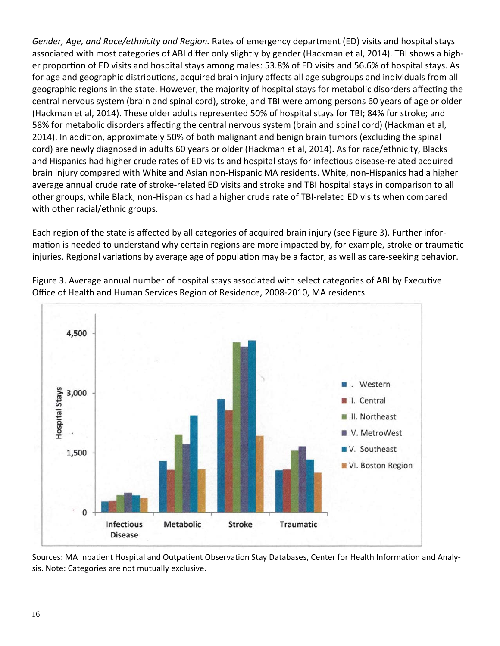*Gender, Age, and Race/ethnicity and Region.* Rates of emergency department (ED) visits and hospital stays associated with most categories of ABI differ only slightly by gender (Hackman et al, 2014). TBI shows a high‐ er proportion of ED visits and hospital stays among males: 53.8% of ED visits and 56.6% of hospital stays. As for age and geographic distributions, acquired brain injury affects all age subgroups and individuals from all geographic regions in the state. However, the majority of hospital stays for metabolic disorders affecting the central nervous system (brain and spinal cord), stroke, and TBI were among persons 60 years of age or older (Hackman et al, 2014). These older adults represented 50% of hospital stays for TBI; 84% for stroke; and 58% for metabolic disorders affecting the central nervous system (brain and spinal cord) (Hackman et al, 2014). In addition, approximately 50% of both malignant and benign brain tumors (excluding the spinal cord) are newly diagnosed in adults 60 years or older (Hackman et al, 2014). As for race/ethnicity, Blacks and Hispanics had higher crude rates of ED visits and hospital stays for infectious disease-related acquired brain injury compared with White and Asian non‐Hispanic MA residents. White, non‐Hispanics had a higher average annual crude rate of stroke‐related ED visits and stroke and TBI hospital stays in comparison to all other groups, while Black, non‐Hispanics had a higher crude rate of TBI‐related ED visits when compared with other racial/ethnic groups.

Each region of the state is affected by all categories of acquired brain injury (see Figure 3). Further infor‐ mation is needed to understand why certain regions are more impacted by, for example, stroke or traumatic injuries. Regional variations by average age of population may be a factor, as well as care-seeking behavior.



Figure 3. Average annual number of hospital stays associated with select categories of ABI by Executive Office of Health and Human Services Region of Residence, 2008‐2010, MA residents

Sources: MA Inpatient Hospital and Outpatient Observation Stay Databases, Center for Health Information and Analysis. Note: Categories are not mutually exclusive.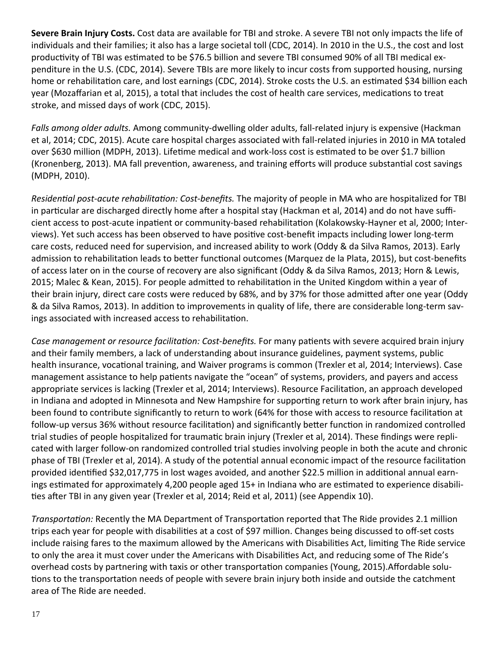**Severe Brain Injury Costs.** Cost data are available for TBI and stroke. A severe TBI not only impacts the life of individuals and their families; it also has a large societal toll (CDC, 2014). In 2010 in the U.S., the cost and lost productivity of TBI was estimated to be \$76.5 billion and severe TBI consumed 90% of all TBI medical expenditure in the U.S. (CDC, 2014). Severe TBIs are more likely to incur costs from supported housing, nursing home or rehabilitation care, and lost earnings (CDC, 2014). Stroke costs the U.S. an estimated \$34 billion each year (Mozaffarian et al, 2015), a total that includes the cost of health care services, medications to treat stroke, and missed days of work (CDC, 2015).

*Falls among older adults.* Among community‐dwelling older adults, fall‐related injury is expensive (Hackman et al, 2014; CDC, 2015). Acute care hospital charges associated with fall-related injuries in 2010 in MA totaled over \$630 million (MDPH, 2013). Lifetime medical and work-loss cost is estimated to be over \$1.7 billion (Kronenberg, 2013). MA fall prevention, awareness, and training efforts will produce substantial cost savings (MDPH, 2010).

*ResidenƟal post‐acute rehabilitaƟon: Cost‐benefits.* The majority of people in MA who are hospitalized for TBI in particular are discharged directly home after a hospital stay (Hackman et al, 2014) and do not have sufficient access to post-acute inpatient or community-based rehabilitation (Kolakowsky-Hayner et al, 2000; Interviews). Yet such access has been observed to have positive cost-benefit impacts including lower long-term care costs, reduced need for supervision, and increased ability to work (Oddy & da Silva Ramos, 2013). Early admission to rehabilitation leads to better functional outcomes (Marquez de la Plata, 2015), but cost-benefits of access later on in the course of recovery are also significant (Oddy & da Silva Ramos, 2013; Horn & Lewis, 2015; Malec & Kean, 2015). For people admitted to rehabilitation in the United Kingdom within a year of their brain injury, direct care costs were reduced by 68%, and by 37% for those admitted after one year (Oddy & da Silva Ramos, 2013). In addition to improvements in quality of life, there are considerable long-term savings associated with increased access to rehabilitation.

*Case management or resource facilitaƟon: Cost‐benefits.* For many paƟents with severe acquired brain injury and their family members, a lack of understanding about insurance guidelines, payment systems, public health insurance, vocational training, and Waiver programs is common (Trexler et al, 2014; Interviews). Case management assistance to help patients navigate the "ocean" of systems, providers, and payers and access appropriate services is lacking (Trexler et al, 2014; Interviews). Resource Facilitation, an approach developed in Indiana and adopted in Minnesota and New Hampshire for supporting return to work after brain injury, has been found to contribute significantly to return to work (64% for those with access to resource facilitation at follow-up versus 36% without resource facilitation) and significantly better function in randomized controlled trial studies of people hospitalized for traumatic brain injury (Trexler et al, 2014). These findings were replicated with larger follow‐on randomized controlled trial studies involving people in both the acute and chronic phase of TBI (Trexler et al, 2014). A study of the potential annual economic impact of the resource facilitation provided identified \$32,017,775 in lost wages avoided, and another \$22.5 million in additional annual earnings estimated for approximately 4,200 people aged 15+ in Indiana who are estimated to experience disabilities after TBI in any given year (Trexler et al, 2014; Reid et al, 2011) (see Appendix 10).

*Transportation:* Recently the MA Department of Transportation reported that The Ride provides 2.1 million trips each year for people with disabilities at a cost of \$97 million. Changes being discussed to off-set costs include raising fares to the maximum allowed by the Americans with Disabilities Act, limiting The Ride service to only the area it must cover under the Americans with Disabilities Act, and reducing some of The Ride's overhead costs by partnering with taxis or other transportation companies (Young, 2015).Affordable solutions to the transportation needs of people with severe brain injury both inside and outside the catchment area of The Ride are needed.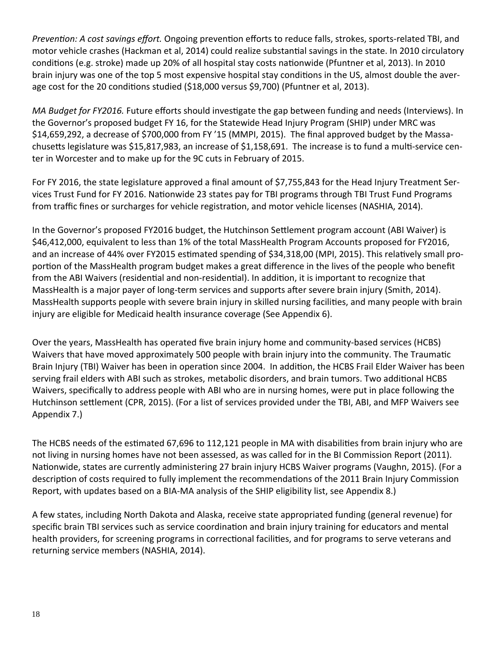*PrevenƟon: A cost savings effort.* Ongoing prevenƟon efforts to reduce falls, strokes, sports‐related TBI, and motor vehicle crashes (Hackman et al, 2014) could realize substantial savings in the state. In 2010 circulatory conditions (e.g. stroke) made up 20% of all hospital stay costs nationwide (Pfuntner et al, 2013). In 2010 brain injury was one of the top 5 most expensive hospital stay conditions in the US, almost double the average cost for the 20 conditions studied (\$18,000 versus \$9,700) (Pfuntner et al, 2013).

*MA Budget for FY2016.* Future efforts should investigate the gap between funding and needs (Interviews). In the Governor's proposed budget FY 16, for the Statewide Head Injury Program (SHIP) under MRC was \$14,659,292, a decrease of \$700,000 from FY '15 (MMPI, 2015). The final approved budget by the Massachusetts legislature was \$15,817,983, an increase of \$1,158,691. The increase is to fund a multi-service center in Worcester and to make up for the 9C cuts in February of 2015.

For FY 2016, the state legislature approved a final amount of \$7,755,843 for the Head Injury Treatment Ser‐ vices Trust Fund for FY 2016. Nationwide 23 states pay for TBI programs through TBI Trust Fund Programs from traffic fines or surcharges for vehicle registration, and motor vehicle licenses (NASHIA, 2014).

In the Governor's proposed FY2016 budget, the Hutchinson Settlement program account (ABI Waiver) is \$46,412,000, equivalent to less than 1% of the total MassHealth Program Accounts proposed for FY2016, and an increase of 44% over FY2015 estimated spending of \$34,318,00 (MPI, 2015). This relatively small proportion of the MassHealth program budget makes a great difference in the lives of the people who benefit from the ABI Waivers (residential and non-residential). In addition, it is important to recognize that MassHealth is a major payer of long-term services and supports after severe brain injury (Smith, 2014). MassHealth supports people with severe brain injury in skilled nursing facilities, and many people with brain injury are eligible for Medicaid health insurance coverage (See Appendix 6).

Over the years, MassHealth has operated five brain injury home and community‐based services (HCBS) Waivers that have moved approximately 500 people with brain injury into the community. The Traumatic Brain Injury (TBI) Waiver has been in operation since 2004. In addition, the HCBS Frail Elder Waiver has been serving frail elders with ABI such as strokes, metabolic disorders, and brain tumors. Two additional HCBS Waivers, specifically to address people with ABI who are in nursing homes, were put in place following the Hutchinson settlement (CPR, 2015). (For a list of services provided under the TBI, ABI, and MFP Waivers see Appendix 7.)

The HCBS needs of the estimated 67,696 to 112,121 people in MA with disabilities from brain injury who are not living in nursing homes have not been assessed, as was called for in the BI Commission Report (2011). Nationwide, states are currently administering 27 brain injury HCBS Waiver programs (Vaughn, 2015). (For a description of costs required to fully implement the recommendations of the 2011 Brain Injury Commission Report, with updates based on a BIA‐MA analysis of the SHIP eligibility list, see Appendix 8.)

A few states, including North Dakota and Alaska, receive state appropriated funding (general revenue) for specific brain TBI services such as service coordination and brain injury training for educators and mental health providers, for screening programs in correctional facilities, and for programs to serve veterans and returning service members (NASHIA, 2014).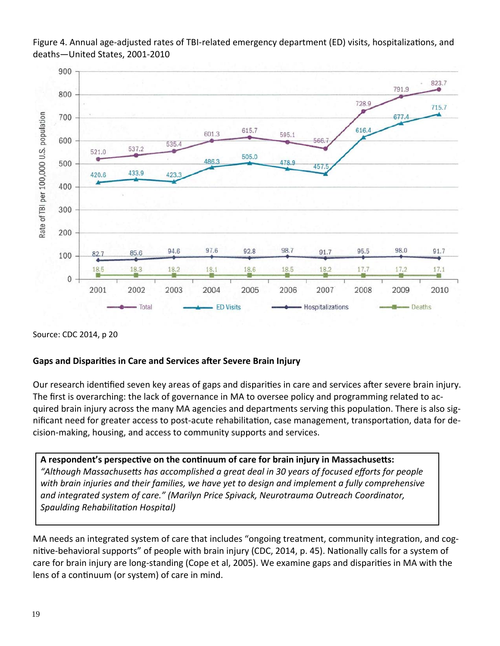Figure 4. Annual age-adjusted rates of TBI-related emergency department (ED) visits, hospitalizations, and deaths—United States, 2001‐2010



Source: CDC 2014, p 20

#### **Gaps and DispariƟes in Care and Services aŌer Severe Brain Injury**

Our research identified seven key areas of gaps and disparities in care and services after severe brain injury. The first is overarching: the lack of governance in MA to oversee policy and programming related to ac‐ quired brain injury across the many MA agencies and departments serving this population. There is also significant need for greater access to post-acute rehabilitation, case management, transportation, data for decision‐making, housing, and access to community supports and services.

**A respondent's perspecƟve on the conƟnuum of care for brain injury in MassachuseƩs:** "Although Massachusetts has accomplished a great deal in 30 years of focused efforts for people *with brain injuries and their families, we have yet to design and implement a fully comprehensive and integrated system of care." (Marilyn Price Spivack, Neurotrauma Outreach Coordinator, Spaulding RehabilitaƟon Hospital)*

MA needs an integrated system of care that includes "ongoing treatment, community integration, and cognitive-behavioral supports" of people with brain injury (CDC, 2014, p. 45). Nationally calls for a system of care for brain injury are long-standing (Cope et al, 2005). We examine gaps and disparities in MA with the lens of a continuum (or system) of care in mind.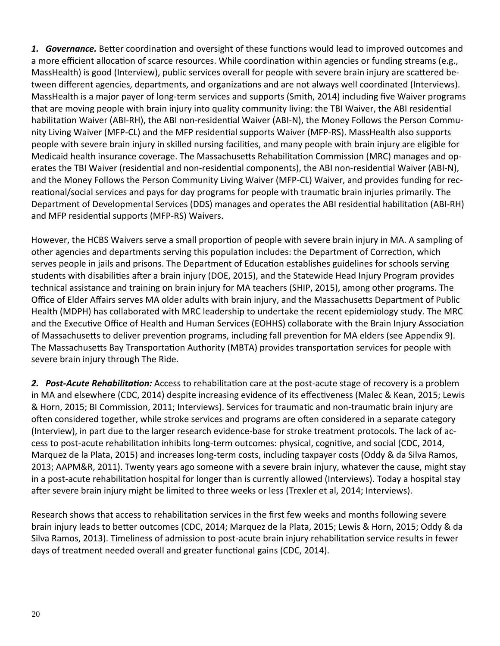1. **Governance.** Better coordination and oversight of these functions would lead to improved outcomes and a more efficient allocation of scarce resources. While coordination within agencies or funding streams (e.g., MassHealth) is good (Interview), public services overall for people with severe brain injury are scattered between different agencies, departments, and organizations and are not always well coordinated (Interviews). MassHealth is a major payer of long‐term services and supports (Smith, 2014) including five Waiver programs that are moving people with brain injury into quality community living: the TBI Waiver, the ABI residential habilitation Waiver (ABI-RH), the ABI non-residential Waiver (ABI-N), the Money Follows the Person Community Living Waiver (MFP-CL) and the MFP residential supports Waiver (MFP-RS). MassHealth also supports people with severe brain injury in skilled nursing facilities, and many people with brain injury are eligible for Medicaid health insurance coverage. The Massachusetts Rehabilitation Commission (MRC) manages and operates the TBI Waiver (residential and non-residential components), the ABI non-residential Waiver (ABI-N), and the Money Follows the Person Community Living Waiver (MFP‐CL) Waiver, and provides funding for rec‐ reational/social services and pays for day programs for people with traumatic brain injuries primarily. The Department of Developmental Services (DDS) manages and operates the ABI residential habilitation (ABI-RH) and MFP residential supports (MFP-RS) Waivers.

However, the HCBS Waivers serve a small proportion of people with severe brain injury in MA. A sampling of other agencies and departments serving this population includes: the Department of Correction, which serves people in jails and prisons. The Department of Education establishes guidelines for schools serving students with disabilities after a brain injury (DOE, 2015), and the Statewide Head Injury Program provides technical assistance and training on brain injury for MA teachers (SHIP, 2015), among other programs. The Office of Elder Affairs serves MA older adults with brain injury, and the Massachusetts Department of Public Health (MDPH) has collaborated with MRC leadership to undertake the recent epidemiology study. The MRC and the Executive Office of Health and Human Services (EOHHS) collaborate with the Brain Injury Association of Massachusetts to deliver prevention programs, including fall prevention for MA elders (see Appendix 9). The Massachusetts Bay Transportation Authority (MBTA) provides transportation services for people with severe brain injury through The Ride.

**2.** Post-Acute Rehabilitation: Access to rehabilitation care at the post-acute stage of recovery is a problem in MA and elsewhere (CDC, 2014) despite increasing evidence of its effectiveness (Malec & Kean, 2015; Lewis & Horn, 2015; BI Commission, 2011; Interviews). Services for traumaƟc and non‐traumaƟc brain injury are often considered together, while stroke services and programs are often considered in a separate category (Interview), in part due to the larger research evidence‐base for stroke treatment protocols. The lack of ac‐ cess to post-acute rehabilitation inhibits long-term outcomes: physical, cognitive, and social (CDC, 2014, Marquez de la Plata, 2015) and increases long-term costs, including taxpayer costs (Oddy & da Silva Ramos, 2013; AAPM&R, 2011). Twenty years ago someone with a severe brain injury, whatever the cause, might stay in a post-acute rehabilitation hospital for longer than is currently allowed (Interviews). Today a hospital stay after severe brain injury might be limited to three weeks or less (Trexler et al, 2014; Interviews).

Research shows that access to rehabilitation services in the first few weeks and months following severe brain injury leads to better outcomes (CDC, 2014; Marquez de la Plata, 2015; Lewis & Horn, 2015; Oddy & da Silva Ramos, 2013). Timeliness of admission to post-acute brain injury rehabilitation service results in fewer days of treatment needed overall and greater functional gains (CDC, 2014).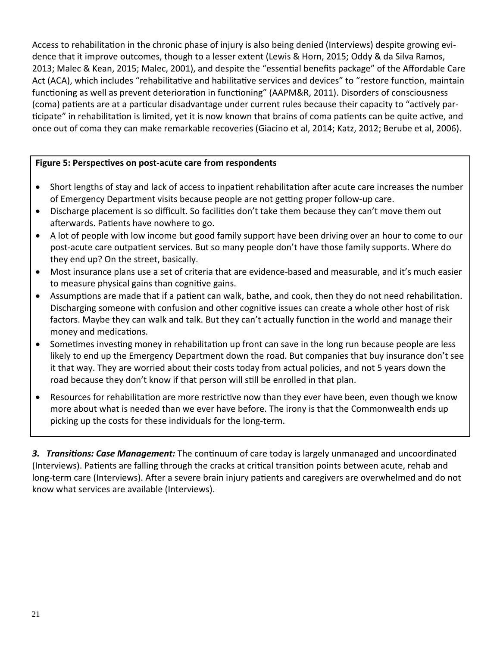Access to rehabilitation in the chronic phase of injury is also being denied (Interviews) despite growing evidence that it improve outcomes, though to a lesser extent (Lewis & Horn, 2015; Oddy & da Silva Ramos, 2013; Malec & Kean, 2015; Malec, 2001), and despite the "essential benefits package" of the Affordable Care Act (ACA), which includes "rehabilitative and habilitative services and devices" to "restore function, maintain functioning as well as prevent deterioration in functioning" (AAPM&R, 2011). Disorders of consciousness (coma) patients are at a particular disadvantage under current rules because their capacity to "actively participate" in rehabilitation is limited, yet it is now known that brains of coma patients can be quite active, and once out of coma they can make remarkable recoveries (Giacino et al, 2014; Katz, 2012; Berube et al, 2006).

#### **Figure 5: PerspecƟves on post‐acute care from respondents**

- Short lengths of stay and lack of access to inpatient rehabilitation after acute care increases the number of Emergency Department visits because people are not getting proper follow-up care.
- Discharge placement is so difficult. So facilities don't take them because they can't move them out afterwards. Patients have nowhere to go.
- A lot of people with low income but good family support have been driving over an hour to come to our post-acute care outpatient services. But so many people don't have those family supports. Where do they end up? On the street, basically.
- Most insurance plans use a set of criteria that are evidence-based and measurable, and it's much easier to measure physical gains than cognitive gains.
- Assumptions are made that if a patient can walk, bathe, and cook, then they do not need rehabilitation. Discharging someone with confusion and other cognitive issues can create a whole other host of risk factors. Maybe they can walk and talk. But they can't actually function in the world and manage their money and medications.
- Sometimes investing money in rehabilitation up front can save in the long run because people are less likely to end up the Emergency Department down the road. But companies that buy insurance don't see it that way. They are worried about their costs today from actual policies, and not 5 years down the road because they don't know if that person will still be enrolled in that plan.
- Resources for rehabilitation are more restrictive now than they ever have been, even though we know more about what is needed than we ever have before. The irony is that the Commonwealth ends up picking up the costs for these individuals for the long‐term.

**3.** *Transitions: Case Management:* The continuum of care today is largely unmanaged and uncoordinated (Interviews). Patients are falling through the cracks at critical transition points between acute, rehab and long-term care (Interviews). After a severe brain injury patients and caregivers are overwhelmed and do not know what services are available (Interviews).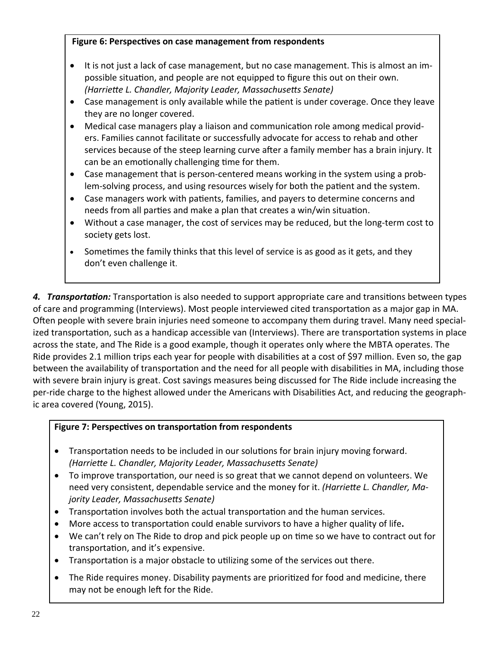#### **Figure** 6: Perspectives on case management from respondents

- It is not just a lack of case management, but no case management. This is almost an impossible situation, and people are not equipped to figure this out on their own. *(HarrieƩe L. Chandler, Majority Leader, MassachuseƩs Senate)*
- Case management is only available while the patient is under coverage. Once they leave they are no longer covered.
- Medical case managers play a liaison and communication role among medical providers. Families cannot facilitate or successfully advocate for access to rehab and other services because of the steep learning curve after a family member has a brain injury. It can be an emotionally challenging time for them.
- Case management that is person‐centered means working in the system using a prob‐ lem-solving process, and using resources wisely for both the patient and the system.
- Case managers work with patients, families, and payers to determine concerns and needs from all parties and make a plan that creates a win/win situation.
- Without a case manager, the cost of services may be reduced, but the long-term cost to society gets lost.
- Sometimes the family thinks that this level of service is as good as it gets, and they don't even challenge it.

4. *Transportation:* Transportation is also needed to support appropriate care and transitions between types of care and programming (Interviews). Most people interviewed cited transportation as a major gap in MA. Often people with severe brain injuries need someone to accompany them during travel. Many need specialized transportation, such as a handicap accessible van (Interviews). There are transportation systems in place across the state, and The Ride is a good example, though it operates only where the MBTA operates. The Ride provides 2.1 million trips each year for people with disabilities at a cost of \$97 million. Even so, the gap between the availability of transportation and the need for all people with disabilities in MA, including those with severe brain injury is great. Cost savings measures being discussed for The Ride include increasing the per-ride charge to the highest allowed under the Americans with Disabilities Act, and reducing the geographic area covered (Young, 2015).

# **Figure** 7: Perspectives on transportation from respondents

- Transportation needs to be included in our solutions for brain injury moving forward. *(HarrieƩe L. Chandler, Majority Leader, MassachuseƩs Senate)*
- To improve transportation, our need is so great that we cannot depend on volunteers. We need very consistent, dependable service and the money for it. *(HarrieƩe L. Chandler, Ma‐ jority Leader, MassachuseƩs Senate)*
- Transportation involves both the actual transportation and the human services.
- More access to transportation could enable survivors to have a higher quality of life.
- We can't rely on The Ride to drop and pick people up on time so we have to contract out for transportation, and it's expensive.
- Transportation is a major obstacle to utilizing some of the services out there.
- The Ride requires money. Disability payments are prioritized for food and medicine, there may not be enough left for the Ride.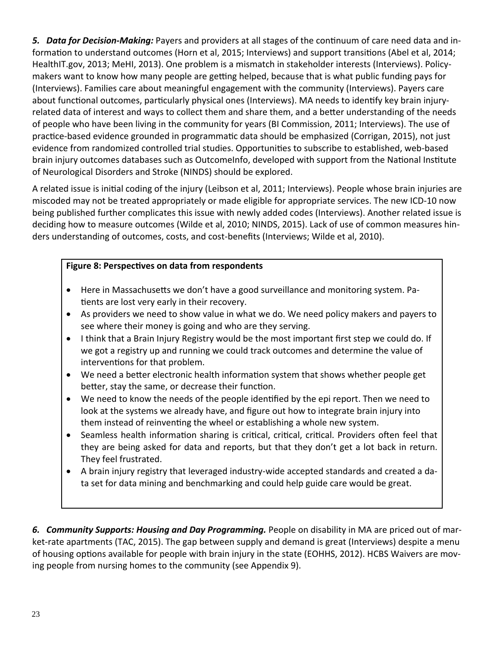5. Data for Decision-Making: Payers and providers at all stages of the continuum of care need data and information to understand outcomes (Horn et al, 2015; Interviews) and support transitions (Abel et al, 2014; HealthIT.gov, 2013; MeHI, 2013). One problem is a mismatch in stakeholder interests (Interviews). Policymakers want to know how many people are getting helped, because that is what public funding pays for (Interviews). Families care about meaningful engagement with the community (Interviews). Payers care about functional outcomes, particularly physical ones (Interviews). MA needs to identify key brain injuryrelated data of interest and ways to collect them and share them, and a better understanding of the needs of people who have been living in the community for years (BI Commission, 2011; Interviews). The use of practice-based evidence grounded in programmatic data should be emphasized (Corrigan, 2015), not just evidence from randomized controlled trial studies. Opportunities to subscribe to established, web-based brain injury outcomes databases such as Outcomelnfo, developed with support from the National Institute of Neurological Disorders and Stroke (NINDS) should be explored.

A related issue is initial coding of the injury (Leibson et al, 2011; Interviews). People whose brain injuries are miscoded may not be treated appropriately or made eligible for appropriate services. The new ICD-10 now being published further complicates this issue with newly added codes (Interviews). Another related issue is deciding how to measure outcomes (Wilde et al, 2010; NINDS, 2015). Lack of use of common measures hinders understanding of outcomes, costs, and cost-benefits (Interviews; Wilde et al, 2010).

# Figure 8: Perspectives on data from respondents

- Here in Massachusetts we don't have a good surveillance and monitoring system. Patients are lost very early in their recovery.
- As providers we need to show value in what we do. We need policy makers and payers to see where their money is going and who are they serving.
- I think that a Brain Injury Registry would be the most important first step we could do. If we got a registry up and running we could track outcomes and determine the value of interventions for that problem.
- We need a better electronic health information system that shows whether people get better, stay the same, or decrease their function.
- We need to know the needs of the people identified by the epi report. Then we need to look at the systems we already have, and figure out how to integrate brain injury into them instead of reinventing the wheel or establishing a whole new system.
- Seamless health information sharing is critical, critical, critical. Providers often feel that they are being asked for data and reports, but that they don't get a lot back in return. They feel frustrated.
- A brain injury registry that leveraged industry-wide accepted standards and created a data set for data mining and benchmarking and could help guide care would be great.

6. Community Supports: Housing and Day Programming. People on disability in MA are priced out of market-rate apartments (TAC, 2015). The gap between supply and demand is great (Interviews) despite a menu of housing options available for people with brain injury in the state (EOHHS, 2012). HCBS Waivers are moving people from nursing homes to the community (see Appendix 9).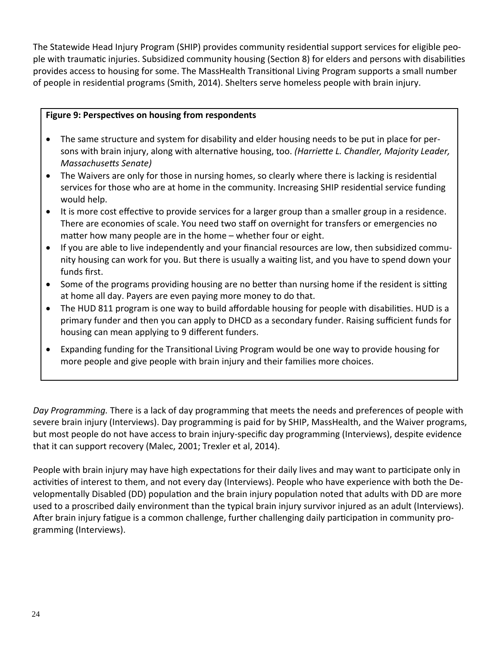The Statewide Head Injury Program (SHIP) provides community residential support services for eligible people with traumatic injuries. Subsidized community housing (Section 8) for elders and persons with disabilities provides access to housing for some. The MassHealth Transitional Living Program supports a small number of people in residential programs (Smith, 2014). Shelters serve homeless people with brain injury.

#### **Figure 9: PerspecƟves on housing from respondents**

- The same structure and system for disability and elder housing needs to be put in place for persons with brain injury, along with alternaƟve housing, too. *(HarrieƩe L. Chandler, Majority Leader, MassachuseƩs Senate)*
- The Waivers are only for those in nursing homes, so clearly where there is lacking is residential services for those who are at home in the community. Increasing SHIP residential service funding would help.
- It is more cost effective to provide services for a larger group than a smaller group in a residence. There are economies of scale. You need two staff on overnight for transfers or emergencies no matter how many people are in the home – whether four or eight.
- If you are able to live independently and your financial resources are low, then subsidized community housing can work for you. But there is usually a waiting list, and you have to spend down your funds first.
- Some of the programs providing housing are no better than nursing home if the resident is sitting at home all day. Payers are even paying more money to do that.
- The HUD 811 program is one way to build affordable housing for people with disabilities. HUD is a primary funder and then you can apply to DHCD as a secondary funder. Raising sufficient funds for housing can mean applying to 9 different funders.
- Expanding funding for the Transitional Living Program would be one way to provide housing for more people and give people with brain injury and their families more choices.

*Day Programming.* There is a lack of day programming that meets the needs and preferences of people with severe brain injury (Interviews). Day programming is paid for by SHIP, MassHealth, and the Waiver programs, but most people do not have access to brain injury‐specific day programming (Interviews), despite evidence that it can support recovery (Malec, 2001; Trexler et al, 2014).

People with brain injury may have high expectations for their daily lives and may want to participate only in activities of interest to them, and not every day (Interviews). People who have experience with both the Developmentally Disabled (DD) population and the brain injury population noted that adults with DD are more used to a proscribed daily environment than the typical brain injury survivor injured as an adult (Interviews). After brain injury fatigue is a common challenge, further challenging daily participation in community programming (Interviews).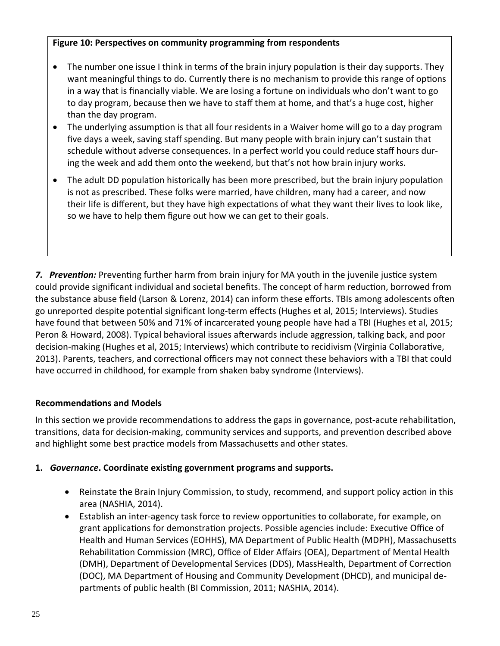#### **Figure 10: PerspecƟves on community programming from respondents**

- The number one issue I think in terms of the brain injury population is their day supports. They want meaningful things to do. Currently there is no mechanism to provide this range of options in a way that is financially viable. We are losing a fortune on individuals who don't want to go to day program, because then we have to staff them at home, and that's a huge cost, higher than the day program.
- The underlying assumption is that all four residents in a Waiver home will go to a day program five days a week, saving staff spending. But many people with brain injury can't sustain that schedule without adverse consequences. In a perfect world you could reduce staff hours dur‐ ing the week and add them onto the weekend, but that's not how brain injury works.
- The adult DD population historically has been more prescribed, but the brain injury population is not as prescribed. These folks were married, have children, many had a career, and now their life is different, but they have high expectations of what they want their lives to look like, so we have to help them figure out how we can get to their goals.

**7.** Prevention: Preventing further harm from brain injury for MA youth in the juvenile justice system could provide significant individual and societal benefits. The concept of harm reduction, borrowed from the substance abuse field (Larson & Lorenz, 2014) can inform these efforts. TBIs among adolescents often go unreported despite potential significant long-term effects (Hughes et al, 2015; Interviews). Studies have found that between 50% and 71% of incarcerated young people have had a TBI (Hughes et al, 2015; Peron & Howard, 2008). Typical behavioral issues afterwards include aggression, talking back, and poor decision-making (Hughes et al, 2015; Interviews) which contribute to recidivism (Virginia Collaborative, 2013). Parents, teachers, and correctional officers may not connect these behaviors with a TBI that could have occurred in childhood, for example from shaken baby syndrome (Interviews).

# **RecommendaƟons and Models**

In this section we provide recommendations to address the gaps in governance, post-acute rehabilitation, transitions, data for decision-making, community services and supports, and prevention described above and highlight some best practice models from Massachusetts and other states.

# **1.** *Governance***. Coordinate existing government programs and supports.**

- Reinstate the Brain Injury Commission, to study, recommend, and support policy action in this area (NASHIA, 2014).
- Establish an inter-agency task force to review opportunities to collaborate, for example, on grant applications for demonstration projects. Possible agencies include: Executive Office of Health and Human Services (EOHHS), MA Department of Public Health (MDPH), Massachusetts Rehabilitation Commission (MRC), Office of Elder Affairs (OEA), Department of Mental Health (DMH), Department of Developmental Services (DDS), MassHealth, Department of Correction (DOC), MA Department of Housing and Community Development (DHCD), and municipal de‐ partments of public health (BI Commission, 2011; NASHIA, 2014).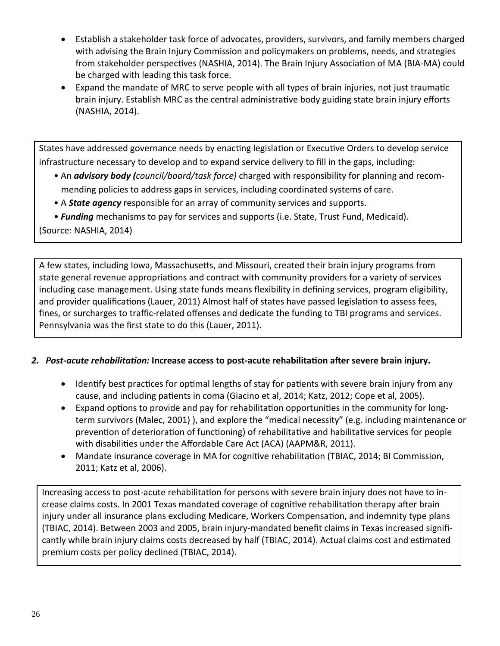- Establish a stakeholder task force of advocates, providers, survivors, and family members charged with advising the Brain Injury Commission and policymakers on problems, needs, and strategies from stakeholder perspectives (NASHIA, 2014). The Brain Injury Association of MA (BIA-MA) could be charged with leading this task force.
- Expand the mandate of MRC to serve people with all types of brain injuries, not just traumatic brain injury. Establish MRC as the central administrative body guiding state brain injury efforts (NASHIA, 2014).

States have addressed governance needs by enacting legislation or Executive Orders to develop service infrastructure necessary to develop and to expand service delivery to fill in the gaps, including:

- An *advisory body (council/board/task force)* charged with responsibility for planning and recommending policies to address gaps in services, including coordinated systems of care.
- A State agency responsible for an array of community services and supports.
- Funding mechanisms to pay for services and supports (i.e. State, Trust Fund, Medicaid).

(Source: NASHIA, 2014)

A few states, including Jowa, Massachusetts, and Missouri, created their brain injury programs from state general revenue appropriations and contract with community providers for a variety of services including case management. Using state funds means flexibility in defining services, program eligibility, and provider qualifications (Lauer, 2011) Almost half of states have passed legislation to assess fees, fines, or surcharges to traffic-related offenses and dedicate the funding to TBI programs and services. Pennsylvania was the first state to do this (Lauer, 2011).

# 2. Post-acute rehabilitation: Increase access to post-acute rehabilitation after severe brain injury.

- Identify best practices for optimal lengths of stay for patients with severe brain injury from any cause, and including patients in coma (Giacino et al, 2014; Katz, 2012; Cope et al, 2005).
- Expand options to provide and pay for rehabilitation opportunities in the community for longterm survivors (Malec, 2001)), and explore the "medical necessity" (e.g. including maintenance or prevention of deterioration of functioning) of rehabilitative and habilitative services for people with disabilities under the Affordable Care Act (ACA) (AAPM&R, 2011).
- Mandate insurance coverage in MA for cognitive rehabilitation (TBIAC, 2014; BI Commission, 2011; Katz et al, 2006).

Increasing access to post-acute rehabilitation for persons with severe brain injury does not have to increase claims costs. In 2001 Texas mandated coverage of cognitive rehabilitation therapy after brain injury under all insurance plans excluding Medicare, Workers Compensation, and indemnity type plans (TBIAC, 2014). Between 2003 and 2005, brain injury-mandated benefit claims in Texas increased significantly while brain injury claims costs decreased by half (TBIAC, 2014). Actual claims cost and estimated premium costs per policy declined (TBIAC, 2014).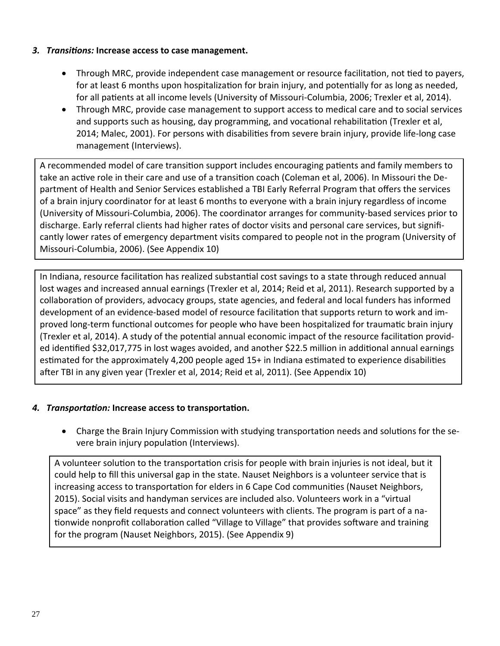#### *3.**TransiƟons:* **Increase access to case management.**

- Through MRC, provide independent case management or resource facilitation, not tied to payers, for at least 6 months upon hospitalization for brain injury, and potentially for as long as needed, for all patients at all income levels (University of Missouri-Columbia, 2006; Trexler et al, 2014).
- Through MRC, provide case management to support access to medical care and to social services and supports such as housing, day programming, and vocational rehabilitation (Trexler et al, 2014; Malec, 2001). For persons with disabilities from severe brain injury, provide life-long case management (Interviews).

A recommended model of care transition support includes encouraging patients and family members to take an active role in their care and use of a transition coach (Coleman et al, 2006). In Missouri the Department of Health and Senior Services established a TBI Early Referral Program that offers the services of a brain injury coordinator for at least 6 months to everyone with a brain injury regardless of income (University of Missouri‐Columbia, 2006). The coordinator arranges for community‐based services prior to discharge. Early referral clients had higher rates of doctor visits and personal care services, but signifi‐ cantly lower rates of emergency department visits compared to people not in the program (University of Missouri‐Columbia, 2006). (See Appendix 10)

In Indiana, resource facilitation has realized substantial cost savings to a state through reduced annual lost wages and increased annual earnings (Trexler et al, 2014; Reid et al, 2011). Research supported by a collaboration of providers, advocacy groups, state agencies, and federal and local funders has informed development of an evidence-based model of resource facilitation that supports return to work and improved long-term functional outcomes for people who have been hospitalized for traumatic brain injury (Trexler et al, 2014). A study of the potential annual economic impact of the resource facilitation provided identified \$32,017,775 in lost wages avoided, and another \$22.5 million in additional annual earnings estimated for the approximately 4,200 people aged 15+ in Indiana estimated to experience disabilities after TBI in any given year (Trexler et al, 2014; Reid et al, 2011). (See Appendix 10)

#### *4. TransportaƟon:* **Increase access to transportaƟon.**

• Charge the Brain Injury Commission with studying transportation needs and solutions for the severe brain injury population (Interviews).

A volunteer solution to the transportation crisis for people with brain injuries is not ideal, but it could help to fill this universal gap in the state. Nauset Neighbors is a volunteer service that is increasing access to transportation for elders in 6 Cape Cod communities (Nauset Neighbors, 2015). Social visits and handyman services are included also. Volunteers work in a "virtual space" as they field requests and connect volunteers with clients. The program is part of a nationwide nonprofit collaboration called "Village to Village" that provides software and training for the program (Nauset Neighbors, 2015). (See Appendix 9)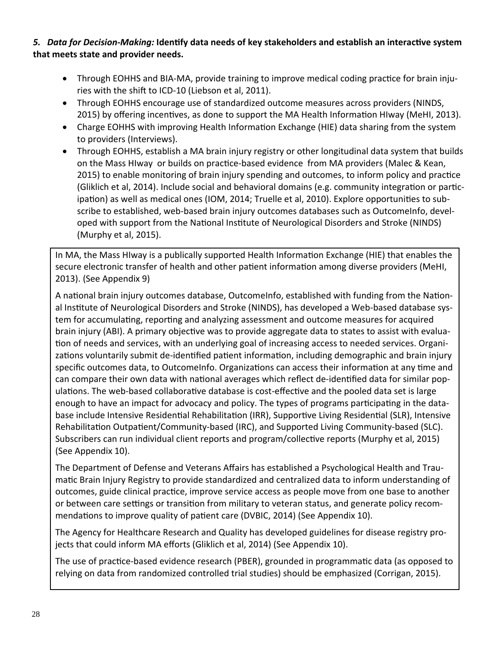# 5. Data for Decision-Making: Identify data needs of key stakeholders and establish an interactive system that meets state and provider needs.

- Through EOHHS and BIA-MA, provide training to improve medical coding practice for brain injuries with the shift to ICD-10 (Liebson et al, 2011).
- Through EOHHS encourage use of standardized outcome measures across providers (NINDS, 2015) by offering incentives, as done to support the MA Health Information HIway (MeHI, 2013).
- Charge EOHHS with improving Health Information Exchange (HIE) data sharing from the system to providers (Interviews).
- Through EOHHS, establish a MA brain injury registry or other longitudinal data system that builds on the Mass HIway or builds on practice-based evidence from MA providers (Malec & Kean, 2015) to enable monitoring of brain injury spending and outcomes, to inform policy and practice (Gliklich et al, 2014). Include social and behavioral domains (e.g. community integration or participation) as well as medical ones (IOM, 2014; Truelle et al, 2010). Explore opportunities to subscribe to established, web-based brain injury outcomes databases such as OutcomeInfo, developed with support from the National Institute of Neurological Disorders and Stroke (NINDS) (Murphy et al, 2015).

In MA, the Mass HIway is a publically supported Health Information Exchange (HIE) that enables the secure electronic transfer of health and other patient information among diverse providers (MeHI, 2013). (See Appendix 9)

A national brain injury outcomes database, OutcomeInfo, established with funding from the National Institute of Neurological Disorders and Stroke (NINDS), has developed a Web-based database system for accumulating, reporting and analyzing assessment and outcome measures for acquired brain injury (ABI). A primary objective was to provide aggregate data to states to assist with evaluation of needs and services, with an underlying goal of increasing access to needed services. Organizations voluntarily submit de-identified patient information, including demographic and brain injury specific outcomes data, to OutcomeInfo. Organizations can access their information at any time and can compare their own data with national averages which reflect de-identified data for similar populations. The web-based collaborative database is cost-effective and the pooled data set is large enough to have an impact for advocacy and policy. The types of programs participating in the database include Intensive Residential Rehabilitation (IRR), Supportive Living Residential (SLR), Intensive Rehabilitation Outpatient/Community-based (IRC), and Supported Living Community-based (SLC). Subscribers can run individual client reports and program/collective reports (Murphy et al, 2015) (See Appendix 10).

The Department of Defense and Veterans Affairs has established a Psychological Health and Traumatic Brain Injury Registry to provide standardized and centralized data to inform understanding of outcomes, guide clinical practice, improve service access as people move from one base to another or between care settings or transition from military to veteran status, and generate policy recommendations to improve quality of patient care (DVBIC, 2014) (See Appendix 10).

The Agency for Healthcare Research and Quality has developed guidelines for disease registry projects that could inform MA efforts (Gliklich et al, 2014) (See Appendix 10).

The use of practice-based evidence research (PBER), grounded in programmatic data (as opposed to relying on data from randomized controlled trial studies) should be emphasized (Corrigan, 2015).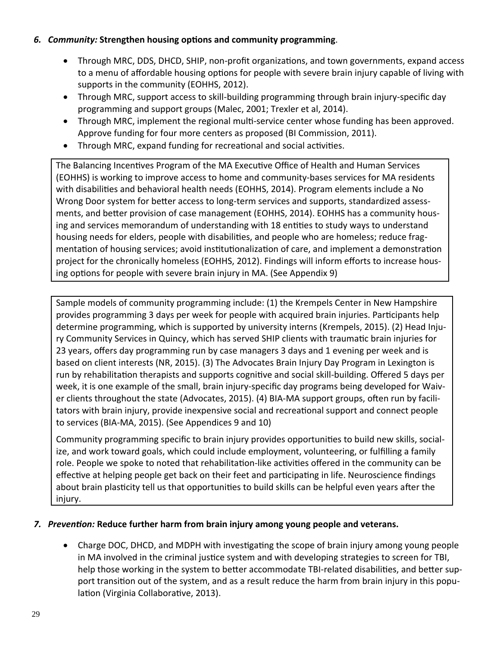#### 6. Community: Strengthen housing options and community programming.

- Through MRC, DDS, DHCD, SHIP, non-profit organizations, and town governments, expand access  $\bullet$ to a menu of affordable housing options for people with severe brain injury capable of living with supports in the community (EOHHS, 2012).
- Through MRC, support access to skill-building programming through brain injury-specific day  $\bullet$ programming and support groups (Malec, 2001; Trexler et al, 2014).
- Through MRC, implement the regional multi-service center whose funding has been approved.  $\bullet$ Approve funding for four more centers as proposed (BI Commission, 2011).
- Through MRC, expand funding for recreational and social activities.  $\bullet$

The Balancing Incentives Program of the MA Executive Office of Health and Human Services (EOHHS) is working to improve access to home and community-bases services for MA residents with disabilities and behavioral health needs (EOHHS, 2014). Program elements include a No Wrong Door system for better access to long-term services and supports, standardized assessments, and better provision of case management (EOHHS, 2014). EOHHS has a community housing and services memorandum of understanding with 18 entities to study ways to understand housing needs for elders, people with disabilities, and people who are homeless; reduce fragmentation of housing services; avoid institutionalization of care, and implement a demonstration project for the chronically homeless (EOHHS, 2012). Findings will inform efforts to increase housing options for people with severe brain injury in MA. (See Appendix 9)

Sample models of community programming include: (1) the Krempels Center in New Hampshire provides programming 3 days per week for people with acquired brain injuries. Participants help determine programming, which is supported by university interns (Krempels, 2015). (2) Head Injury Community Services in Quincy, which has served SHIP clients with traumatic brain injuries for 23 years, offers day programming run by case managers 3 days and 1 evening per week and is based on client interests (NR, 2015). (3) The Advocates Brain Injury Day Program in Lexington is run by rehabilitation therapists and supports cognitive and social skill-building. Offered 5 days per week, it is one example of the small, brain injury-specific day programs being developed for Waiver clients throughout the state (Advocates, 2015). (4) BIA-MA support groups, often run by facilitators with brain injury, provide inexpensive social and recreational support and connect people to services (BIA-MA, 2015). (See Appendices 9 and 10)

Community programming specific to brain injury provides opportunities to build new skills, socialize, and work toward goals, which could include employment, volunteering, or fulfilling a family role. People we spoke to noted that rehabilitation-like activities offered in the community can be effective at helping people get back on their feet and participating in life. Neuroscience findings about brain plasticity tell us that opportunities to build skills can be helpful even years after the injury.

# 7. Prevention: Reduce further harm from brain injury among young people and veterans.

Charge DOC, DHCD, and MDPH with investigating the scope of brain injury among young people  $\bullet$ in MA involved in the criminal justice system and with developing strategies to screen for TBI, help those working in the system to better accommodate TBI-related disabilities, and better support transition out of the system, and as a result reduce the harm from brain injury in this population (Virginia Collaborative, 2013).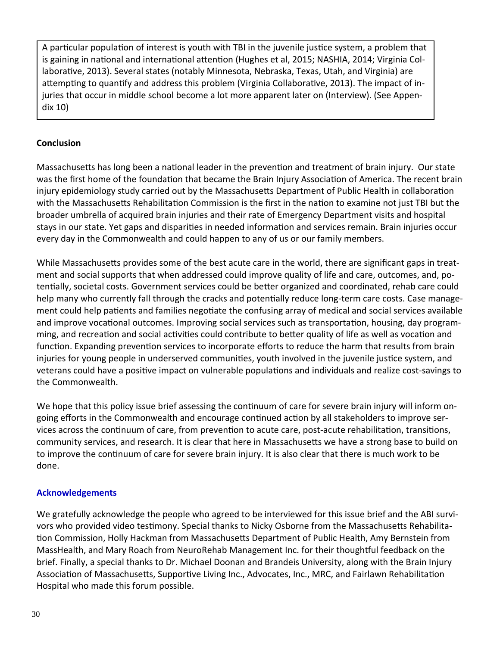A particular population of interest is youth with TBI in the juvenile justice system, a problem that is gaining in national and international attention (Hughes et al, 2015; NASHIA, 2014; Virginia Collaborative, 2013). Several states (notably Minnesota, Nebraska, Texas, Utah, and Virginia) are attempting to quantify and address this problem (Virginia Collaborative, 2013). The impact of injuries that occur in middle school become a lot more apparent later on (Interview). (See Appen‐ dix 10)

#### **Conclusion**

Massachusetts has long been a national leader in the prevention and treatment of brain injury. Our state was the first home of the foundation that became the Brain Injury Association of America. The recent brain injury epidemiology study carried out by the Massachusetts Department of Public Health in collaboration with the Massachusetts Rehabilitation Commission is the first in the nation to examine not just TBI but the broader umbrella of acquired brain injuries and their rate of Emergency Department visits and hospital stays in our state. Yet gaps and disparities in needed information and services remain. Brain injuries occur every day in the Commonwealth and could happen to any of us or our family members.

While Massachusetts provides some of the best acute care in the world, there are significant gaps in treatment and social supports that when addressed could improve quality of life and care, outcomes, and, po‐ tentially, societal costs. Government services could be better organized and coordinated, rehab care could help many who currently fall through the cracks and potentially reduce long-term care costs. Case management could help patients and families negotiate the confusing array of medical and social services available and improve vocational outcomes. Improving social services such as transportation, housing, day programming, and recreation and social activities could contribute to better quality of life as well as vocation and function. Expanding prevention services to incorporate efforts to reduce the harm that results from brain injuries for young people in underserved communities, youth involved in the juvenile justice system, and veterans could have a positive impact on vulnerable populations and individuals and realize cost-savings to the Commonwealth.

We hope that this policy issue brief assessing the continuum of care for severe brain injury will inform ongoing efforts in the Commonwealth and encourage continued action by all stakeholders to improve services across the continuum of care, from prevention to acute care, post-acute rehabilitation, transitions, community services, and research. It is clear that here in Massachusetts we have a strong base to build on to improve the continuum of care for severe brain injury. It is also clear that there is much work to be done.

#### **Acknowledgements**

We gratefully acknowledge the people who agreed to be interviewed for this issue brief and the ABI survivors who provided video testimony. Special thanks to Nicky Osborne from the Massachusetts Rehabilitation Commission, Holly Hackman from Massachusetts Department of Public Health, Amy Bernstein from MassHealth, and Mary Roach from NeuroRehab Management Inc. for their thoughtful feedback on the brief. Finally, a special thanks to Dr. Michael Doonan and Brandeis University, along with the Brain Injury Association of Massachusetts, Supportive Living Inc., Advocates, Inc., MRC, and Fairlawn Rehabilitation Hospital who made this forum possible.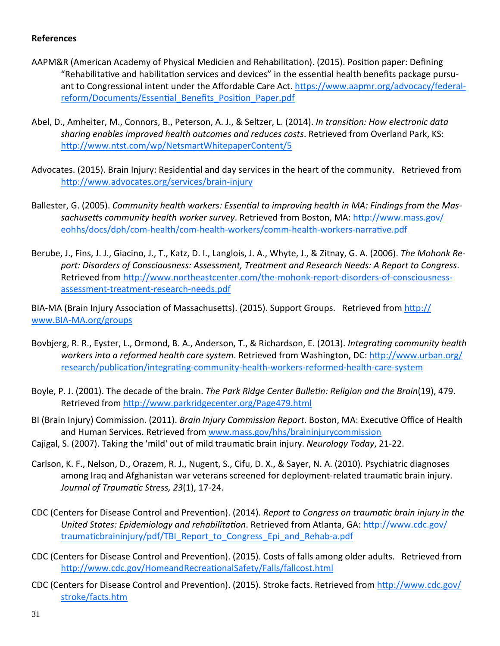#### **References**

- AAPM&R (American Academy of Physical Medicien and Rehabilitation). (2015). Position paper: Defining "Rehabilitative and habilitation services and devices" in the essential health benefits package pursuant to Congressional intent under the Affordable Care Act. https://www.aapmr.org/advocacy/federalreform/Documents/Essential\_Benefits\_Position\_Paper.pdf
- Abel, D., Amheiter, M., Connors, B., Peterson, A. J., & Seltzer, L. (2014). *In transiƟon: How electronic data sharing enables improved health outcomes and reduces costs*. Retrieved from Overland Park, KS: http://www.ntst.com/wp/NetsmartWhitepaperContent/5
- Advocates. (2015). Brain Injury: Residential and day services in the heart of the community. Retrieved from http://www.advocates.org/services/brain-injury
- Ballester, G. (2005). *Community health workers: EssenƟal to improving health in MA: Findings from the Mas‐ sachuseƩs community health worker survey*. Retrieved from Boston, MA: hƩp://www.mass.gov/ eohhs/docs/dph/com-health/com-health-workers/comm-health-workers-narrative.pdf
- Berube, J., Fins, J. J., Giacino, J., T., Katz, D. I., Langlois, J. A., Whyte, J., & Zitnay, G. A. (2006). *The Mohonk Re‐ port: Disorders of Consciousness: Assessment, Treatment and Research Needs: A Report to Congress*. Retrieved from http://www.northeastcenter.com/the-mohonk-report-disorders-of-consciousnessassessment‐treatment‐research‐needs.pdf

BIA-MA (Brain Injury Association of Massachusetts). (2015). Support Groups. Retrieved from http:// www.BIA‐MA.org/groups

- Bovbjerg, R. R., Eyster, L., Ormond, B. A., Anderson, T., & Richardson, E. (2013). *IntegraƟng community health workers into a reformed health care system*. Retrieved from Washington, DC: hƩp://www.urban.org/ research/publication/integrating-community-health-workers-reformed-health-care-system
- Boyle, P. J. (2001). The decade of the brain. *The Park Ridge Center BulleƟn: Religion and the Brain*(19), 479. Retrieved from http://www.parkridgecenter.org/Page479.html
- BI (Brain Injury) Commission. (2011). *Brain Injury Commission Report*. Boston, MA: ExecuƟve Office of Health and Human Services. Retrieved from www.mass.gov/hhs/braininjurycommission
- Cajigal, S. (2007). Taking the 'mild' out of mild traumaƟc brain injury. *Neurology Today*, 21‐22.
- Carlson, K. F., Nelson, D., Orazem, R. J., Nugent, S., Cifu, D. X., & Sayer, N. A. (2010). Psychiatric diagnoses among Iraq and Afghanistan war veterans screened for deployment-related traumatic brain injury. *Journal of TraumaƟc Stress, 23*(1), 17‐24.
- CDC (Centers for Disease Control and PrevenƟon). (2014). *Report to Congress on traumaƟc brain injury in the United States: Epidemiology and rehabilitation. Retrieved from Atlanta, GA: http://www.cdc.gov/* traumaticbraininjury/pdf/TBI\_Report\_to\_Congress\_Epi\_and\_Rehab-a.pdf
- CDC (Centers for Disease Control and Prevention). (2015). Costs of falls among older adults. Retrieved from http://www.cdc.gov/HomeandRecreationalSafety/Falls/fallcost.html
- CDC (Centers for Disease Control and Prevention). (2015). Stroke facts. Retrieved from http://www.cdc.gov/ stroke/facts.htm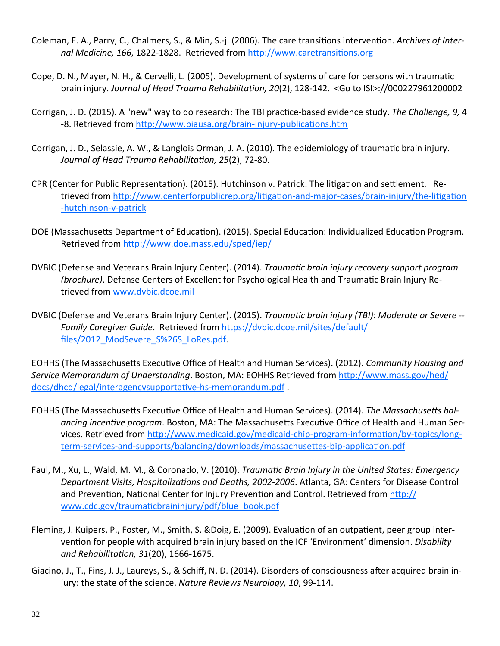- Coleman, E. A., Parry, C., Chalmers, S., & Min, S.-j. (2006). The care transitions intervention. *Archives of Internal Medicine, 166, 1822-1828.* Retrieved from http://www.caretransitions.org
- Cope, D. N., Mayer, N. H., & Cervelli, L. (2005). Development of systems of care for persons with traumatic brain injury. *Journal of Head Trauma RehabilitaƟon, 20*(2), 128‐142. <Go to ISI>://000227961200002
- Corrigan, J. D. (2015). A "new" way to do research: The TBI pracƟce‐based evidence study. *The Challenge, 9,* 4 -8. Retrieved from http://www.biausa.org/brain-injury-publications.htm
- Corrigan, J. D., Selassie, A. W., & Langlois Orman, J. A. (2010). The epidemiology of traumatic brain injury. *Journal of Head Trauma RehabilitaƟon, 25*(2), 72‐80.
- CPR (Center for Public Representation). (2015). Hutchinson v. Patrick: The litigation and settlement. Retrieved from http://www.centerforpublicrep.org/litigation-and-major-cases/brain-injury/the-litigation ‐hutchinson‐v‐patrick
- DOE (Massachusetts Department of Education). (2015). Special Education: Individualized Education Program. Retrieved from http://www.doe.mass.edu/sped/iep/
- DVBIC (Defense and Veterans Brain Injury Center). (2014). *TraumaƟc brain injury recovery support program (brochure)*. Defense Centers of Excellent for Psychological Health and Traumatic Brain Injury Retrieved from www.dvbic.dcoe.mil
- DVBIC (Defense and Veterans Brain Injury Center). (2015). *TraumaƟc brain injury (TBI): Moderate or Severe ‐‐ Family Caregiver Guide*. Retrieved from hƩps://dvbic.dcoe.mil/sites/default/ files/2012\_ModSevere\_S%26S\_LoRes.pdf.

EOHHS (The MassachuseƩs ExecuƟve Office of Health and Human Services). (2012). *Community Housing and Service Memorandum of Understanding*. Boston, MA: EOHHS Retrieved from hƩp://www.mass.gov/hed/ docs/dhcd/legal/interagencysupportative-hs-memorandum.pdf.

- EOHHS (The Massachusetts Executive Office of Health and Human Services). (2014). *The Massachusetts balancing incentive program*. Boston, MA: The Massachusetts Executive Office of Health and Human Services. Retrieved from http://www.medicaid.gov/medicaid-chip-program-information/by-topics/longterm-services-and-supports/balancing/downloads/massachusettes-bip-application.pdf
- Faul, M., Xu, L., Wald, M. M., & Coronado, V. (2010). *TraumaƟc Brain Injury in the United States: Emergency Department Visits, HospitalizaƟons and Deaths, 2002‐2006*. Atlanta, GA: Centers for Disease Control and Prevention, National Center for Injury Prevention and Control. Retrieved from http:// www.cdc.gov/traumaticbraininjury/pdf/blue\_book.pdf
- Fleming, J. Kuipers, P., Foster, M., Smith, S. &Doig, E. (2009). Evaluation of an outpatient, peer group intervention for people with acquired brain injury based on the ICF 'Environment' dimension. *Disability and RehabilitaƟon, 31*(20), 1666‐1675.
- Giacino, J., T., Fins, J. J., Laureys, S., & Schiff, N. D. (2014). Disorders of consciousness after acquired brain injury: the state of the science. *Nature Reviews Neurology, 10*, 99‐114.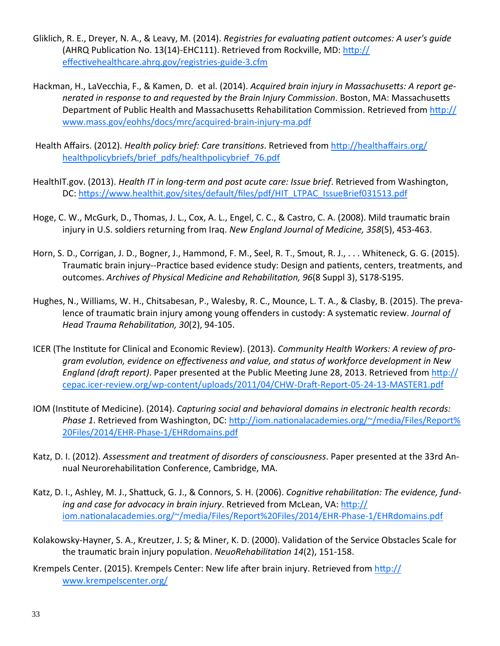- Gliklich, R. E., Dreyer, N. A., & Leavy, M. (2014). *Registries for evaluaƟng paƟent outcomes: A user's guide* (AHRQ Publication No. 13(14)-EHC111). Retrieved from Rockville, MD: http:// effectivehealthcare.ahrq.gov/registries-guide-3.cfm
- Hackman, H., LaVecchia, F., & Kamen, D. et al. (2014). *Acquired brain injury in MassachuseƩs: A report ge‐ nerated in response to and requested by the Brain Injury Commission*. Boston, MA: MassachuseƩs Department of Public Health and Massachusetts Rehabilitation Commission. Retrieved from http:// www.mass.gov/eohhs/docs/mrc/acquired‐brain‐injury‐ma.pdf
- Health Affairs. (2012). *Health policy brief: Care transitions*. Retrieved from http://healthaffairs.org/ healthpolicybriefs/brief\_pdfs/healthpolicybrief\_76.pdf
- HealthIT.gov. (2013). *Health IT in long‐term and post acute care: Issue brief*. Retrieved from Washington, DC: https://www.healthit.gov/sites/default/files/pdf/HIT\_LTPAC\_IssueBrief031513.pdf
- Hoge, C. W., McGurk, D., Thomas, J. L., Cox, A. L., Engel, C. C., & Castro, C. A. (2008). Mild traumatic brain injury in U.S. soldiers returning from Iraq. *New England Journal of Medicine, 358*(5), 453‐463.
- Horn, S. D., Corrigan, J. D., Bogner, J., Hammond, F. M., Seel, R. T., Smout, R. J., . . . Whiteneck, G. G. (2015). Traumatic brain injury--Practice based evidence study: Design and patients, centers, treatments, and outcomes. *Archives of Physical Medicine and RehabilitaƟon, 96*(8 Suppl 3), S178‐S195.
- Hughes, N., Williams, W. H., Chitsabesan, P., Walesby, R. C., Mounce, L. T. A., & Clasby, B. (2015). The preva‐ lence of traumatic brain injury among young offenders in custody: A systematic review. *Journal of Head Trauma RehabilitaƟon, 30*(2), 94‐105.
- ICER (The InsƟtute for Clinical and Economic Review). (2013). *Community Health Workers: A review of pro‐* gram evolution, evidence on effectiveness and value, and status of workforce development in New *England (draft report).* Paper presented at the Public Meeting June 28, 2013. Retrieved from http:// cepac.icer-review.org/wp-content/uploads/2011/04/CHW-Draft-Report-05-24-13-MASTER1.pdf
- IOM (InsƟtute of Medicine). (2014). *Capturing social and behavioral domains in electronic health records: Phase* 1. Retrieved from Washington, DC: http://iom.nationalacademies.org/~/media/Files/Report% 20Files/2014/EHR‐Phase‐1/EHRdomains.pdf
- Katz, D. I. (2012). *Assessment and treatment of disorders of consciousness*. Paper presented at the 33rd An‐ nual Neurorehabilitation Conference, Cambridge, MA.
- Katz, D. I., Ashley, M. J., Shattuck, G. J., & Connors, S. H. (2006). *Cognitive rehabilitation: The evidence, funding and case for advocacy in brain injury*. Retrieved from McLean, VA: hƩp:// iom.nationalacademies.org/~/media/Files/Report%20Files/2014/EHR-Phase-1/EHRdomains.pdf
- Kolakowsky-Hayner, S. A., Kreutzer, J. S; & Miner, K. D. (2000). Validation of the Service Obstacles Scale for the traumaƟc brain injury populaƟon. *NeuoRehabilitaƟon 14*(2), 151‐158.
- Krempels Center. (2015). Krempels Center: New life after brain injury. Retrieved from http:// www.krempelscenter.org/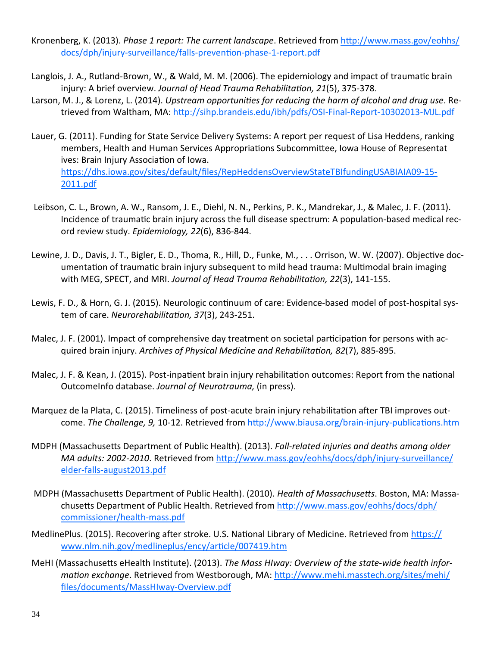- Kronenberg, K. (2013). *Phase 1 report: The current landscape*. Retrieved from hƩp://www.mass.gov/eohhs/ docs/dph/injury-surveillance/falls-prevention-phase-1-report.pdf
- Langlois, J. A., Rutland-Brown, W., & Wald, M. M. (2006). The epidemiology and impact of traumatic brain injury: A brief overview. *Journal of Head Trauma RehabilitaƟon, 21*(5), 375‐378.
- Larson, M. J., & Lorenz, L. (2014). *Upstream opportunities for reducing the harm of alcohol and drug use.* Retrieved from Waltham, MA: http://sihp.brandeis.edu/ibh/pdfs/OSI-Final-Report-10302013-MJL.pdf
- Lauer, G. (2011). Funding for State Service Delivery Systems: A report per request of Lisa Heddens, ranking members, Health and Human Services Appropriations Subcommittee, Iowa House of Representat ives: Brain Injury Association of Iowa. https://dhs.iowa.gov/sites/default/files/RepHeddensOverviewStateTBIfundingUSABIAIA09-15-2011.pdf
- Leibson, C. L., Brown, A. W., Ransom, J. E., Diehl, N. N., Perkins, P. K., Mandrekar, J., & Malec, J. F. (2011). Incidence of traumatic brain injury across the full disease spectrum: A population-based medical record review study. *Epidemiology, 22*(6), 836‐844.
- Lewine, J. D., Davis, J. T., Bigler, E. D., Thoma, R., Hill, D., Funke, M., ... Orrison, W. W. (2007). Objective documentation of traumatic brain injury subsequent to mild head trauma: Multimodal brain imaging with MEG, SPECT, and MRI. *Journal of Head Trauma RehabilitaƟon, 22*(3), 141‐155.
- Lewis, F. D., & Horn, G. J. (2015). Neurologic continuum of care: Evidence-based model of post-hospital system of care. *NeurorehabilitaƟon, 37*(3), 243‐251.
- Malec, J. F. (2001). Impact of comprehensive day treatment on societal participation for persons with acquired brain injury. *Archives of Physical Medicine and RehabilitaƟon, 82*(7), 885‐895.
- Malec, J. F. & Kean, J. (2015). Post-inpatient brain injury rehabilitation outcomes: Report from the national OutcomeInfo database. *Journal of Neurotrauma,* (in press).
- Marquez de la Plata, C. (2015). Timeliness of post-acute brain injury rehabilitation after TBI improves outcome. *The Challenge, 9,* 10-12. Retrieved from http://www.biausa.org/brain-injury-publications.htm
- MDPH (MassachuseƩs Department of Public Health). (2013). *Fall‐related injuries and deaths among older MA adults:* 2002-2010. Retrieved from http://www.mass.gov/eohhs/docs/dph/injury-surveillance/ elder‐falls‐august2013.pdf
- MDPH (Massachusetts Department of Public Health). (2010). *Health of Massachusetts*. Boston, MA: Massachusetts Department of Public Health. Retrieved from http://www.mass.gov/eohhs/docs/dph/ commissioner/health‐mass.pdf
- MedlinePlus. (2015). Recovering after stroke. U.S. National Library of Medicine. Retrieved from https:// www.nlm.nih.gov/medlineplus/ency/article/007419.htm
- MeHI (MassachuseƩs eHealth InsƟtute). (2013). *The Mass HIway: Overview of the state‐wide health infor‐ mation exchange*. Retrieved from Westborough, MA: http://www.mehi.masstech.org/sites/mehi/ files/documents/MassHIway‐Overview.pdf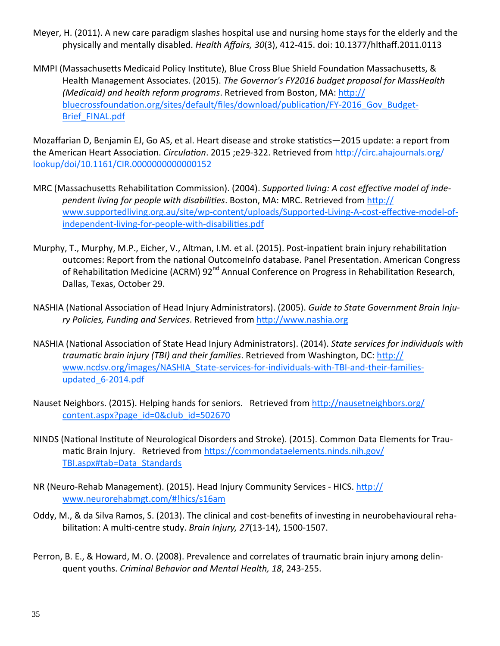- Meyer, H. (2011). A new care paradigm slashes hospital use and nursing home stays for the elderly and the physically and mentally disabled. *Health Affairs, 30*(3), 412‐415. doi: 10.1377/hlthaff.2011.0113
- MMPI (Massachusetts Medicaid Policy Institute), Blue Cross Blue Shield Foundation Massachusetts, & Health Management Associates. (2015). *The Governor's FY2016 budget proposal for MassHealth (Medicaid) and health reform programs*. Retrieved from Boston, MA: hƩp:// bluecrossfoundation.org/sites/default/files/download/publication/FY-2016 Gov Budget-Brief\_FINAL.pdf

Mozaffarian D, Benjamin EJ, Go AS, et al. Heart disease and stroke statistics-2015 update: a report from the American Heart Association. *Circulation*. 2015 ;e29-322. Retrieved from http://circ.ahajournals.org/ lookup/doi/10.1161/CIR.0000000000000152

- MRC (Massachusetts Rehabilitation Commission). (2004). *Supported living: A cost effective model of independent living for people with disabilities. Boston, MA: MRC. Retrieved from http://* www.supportedliving.org.au/site/wp-content/uploads/Supported-Living-A-cost-effective-model-ofindependent-living-for-people-with-disabilities.pdf
- Murphy, T., Murphy, M.P., Eicher, V., Altman, I.M. et al. (2015). Post-inpatient brain injury rehabilitation outcomes: Report from the national OutcomeInfo database. Panel Presentation. American Congress of Rehabilitation Medicine (ACRM) 92<sup>nd</sup> Annual Conference on Progress in Rehabilitation Research, Dallas, Texas, October 29.
- NASHIA (NaƟonal AssociaƟon of Head Injury Administrators). (2005). *Guide to State Government Brain Inju‐ ry Policies, Funding and Services*. Retrieved from hƩp://www.nashia.org
- NASHIA (NaƟonal AssociaƟon of State Head Injury Administrators). (2014). *State services for individuals with traumaƟc brain injury (TBI) and their families*. Retrieved from Washington, DC: hƩp:// www.ncdsv.org/images/NASHIA\_State-services-for-individuals-with-TBI-and-their-familiesupdated 6-2014.pdf
- Nauset Neighbors. (2015). Helping hands for seniors. Retrieved from http://nausetneighbors.org/ content.aspx?page\_id=0&club\_id=502670
- NINDS (National Institute of Neurological Disorders and Stroke). (2015). Common Data Elements for Traumatic Brain Injury. Retrieved from https://commondataelements.ninds.nih.gov/ TBI.aspx#tab=Data\_Standards
- NR (Neuro-Rehab Management). (2015). Head Injury Community Services HICS. http:// www.neurorehabmgt.com/#!hics/s16am
- Oddy, M., & da Silva Ramos, S. (2013). The clinical and cost-benefits of investing in neurobehavioural rehabilitaƟon: A mulƟ‐centre study. *Brain Injury, 27*(13‐14), 1500‐1507.
- Perron, B. E., & Howard, M. O. (2008). Prevalence and correlates of traumatic brain injury among delinquent youths. *Criminal Behavior and Mental Health, 18*, 243‐255.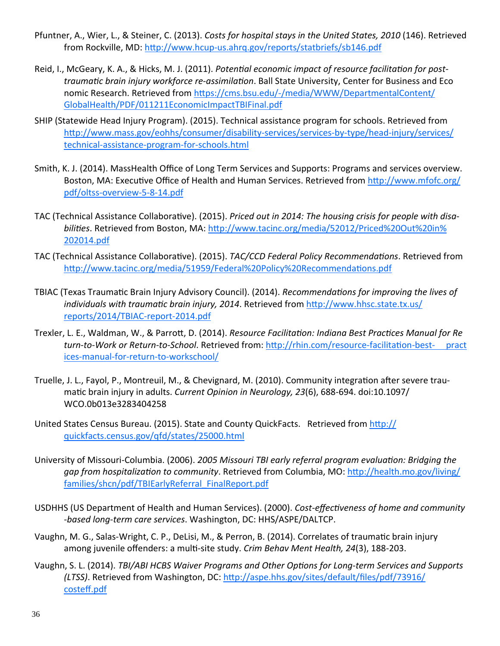- Pfuntner, A., Wier, L., & Steiner, C. (2013). *Costs for hospital stays in the United States, 2010* (146). Retrieved from Rockville, MD: http://www.hcup-us.ahrq.gov/reports/statbriefs/sb146.pdf
- Reid, I., McGeary, K. A., & Hicks, M. J. (2011). *Potential economic impact of resource facilitation for posttraumaƟc brain injury workforce re‐assimilaƟon*. Ball State University, Center for Business and Eco nomic Research. Retrieved from https://cms.bsu.edu/-/media/WWW/DepartmentalContent/ GlobalHealth/PDF/011211EconomicImpactTBIFinal.pdf
- SHIP (Statewide Head Injury Program). (2015). Technical assistance program for schools. Retrieved from http://www.mass.gov/eohhs/consumer/disability-services/services-by-type/head-injury/services/ technical‐assistance‐program‐for‐schools.html
- Smith, K. J. (2014). MassHealth Office of Long Term Services and Supports: Programs and services overview. Boston, MA: Executive Office of Health and Human Services. Retrieved from http://www.mfofc.org/ pdf/oltss‐overview‐5‐8‐14.pdf
- TAC (Technical Assistance CollaboraƟve). (2015). *Priced out in 2014: The housing crisis for people with disa‐* bilities. Retrieved from Boston, MA: http://www.tacinc.org/media/52012/Priced%20Out%20in% 202014.pdf
- TAC (Technical Assistance CollaboraƟve). (2015). *TAC/CCD Federal Policy RecommendaƟons*. Retrieved from http://www.tacinc.org/media/51959/Federal%20Policy%20Recommendations.pdf
- TBIAC (Texas TraumaƟc Brain Injury Advisory Council). (2014). *RecommendaƟons for improving the lives of individuals* with *traumatic brain injury, 2014*. Retrieved from http://www.hhsc.state.tx.us/ reports/2014/TBIAC‐report‐2014.pdf
- Trexler, L. E., Waldman, W., & ParroƩ, D. (2014). *Resource FacilitaƟon: Indiana Best PracƟces Manual for Re turn‐to‐Work or Return‐to‐School*. Retrieved from: hƩp://rhin.com/resource‐facilitaƟon‐best‐ pract ices‐manual‐for‐return‐to‐workschool/
- Truelle, J. L., Fayol, P., Montreuil, M., & Chevignard, M. (2010). Community integration after severe traumaƟc brain injury in adults. *Current Opinion in Neurology, 23*(6), 688‐694. doi:10.1097/ WCO.0b013e3283404258
- United States Census Bureau. (2015). State and County QuickFacts. Retrieved from http:// quickfacts.census.gov/qfd/states/25000.html
- University of Missouri‐Columbia. (2006). *2005 Missouri TBI early referral program evaluaƟon: Bridging the gap from hospitalizaƟon to community*. Retrieved from Columbia, MO: hƩp://health.mo.gov/living/ families/shcn/pdf/TBIEarlyReferral\_FinalReport.pdf
- USDHHS (US Department of Health and Human Services). (2000). *Cost‐effecƟveness of home and community ‐based long‐term care services*. Washington, DC: HHS/ASPE/DALTCP.
- Vaughn, M. G., Salas-Wright, C. P., DeLisi, M., & Perron, B. (2014). Correlates of traumatic brain injury among juvenile offenders: a mulƟ‐site study. *Crim Behav Ment Health, 24*(3), 188‐203.
- Vaughn, S. L. (2014). *TBI/ABI HCBS Waiver Programs and Other OpƟons for Long‐term Services and Supports (LTSS)*. Retrieved from Washington, DC: http://aspe.hhs.gov/sites/default/files/pdf/73916/ costeff.pdf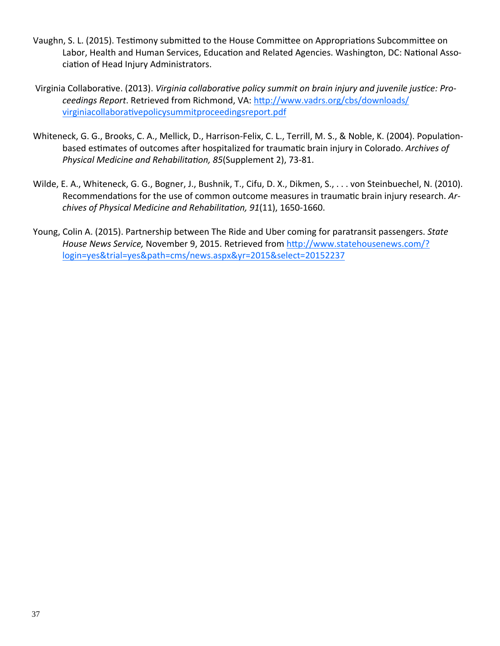- Vaughn, S. L. (2015). Testimony submitted to the House Committee on Appropriations Subcommittee on Labor, Health and Human Services, Education and Related Agencies. Washington, DC: National Association of Head Injury Administrators.
- Virginia Collaborative. (2013). Virginia collaborative policy summit on brain injury and juvenile justice: Proceedings Report. Retrieved from Richmond, VA: http://www.vadrs.org/cbs/downloads/ virginiacollaborativepolicysummitproceedingsreport.pdf
- Whiteneck, G. G., Brooks, C. A., Mellick, D., Harrison-Felix, C. L., Terrill, M. S., & Noble, K. (2004). Populationbased estimates of outcomes after hospitalized for traumatic brain injury in Colorado. Archives of Physical Medicine and Rehabilitation, 85(Supplement 2), 73-81.
- Wilde, E. A., Whiteneck, G. G., Bogner, J., Bushnik, T., Cifu, D. X., Dikmen, S., ... von Steinbuechel, N. (2010). Recommendations for the use of common outcome measures in traumatic brain injury research. Archives of Physical Medicine and Rehabilitation, 91(11), 1650-1660.
- Young, Colin A. (2015). Partnership between The Ride and Uber coming for paratransit passengers. State House News Service, November 9, 2015. Retrieved from http://www.statehousenews.com/? login=yes&trial=yes&path=cms/news.aspx&yr=2015&select=20152237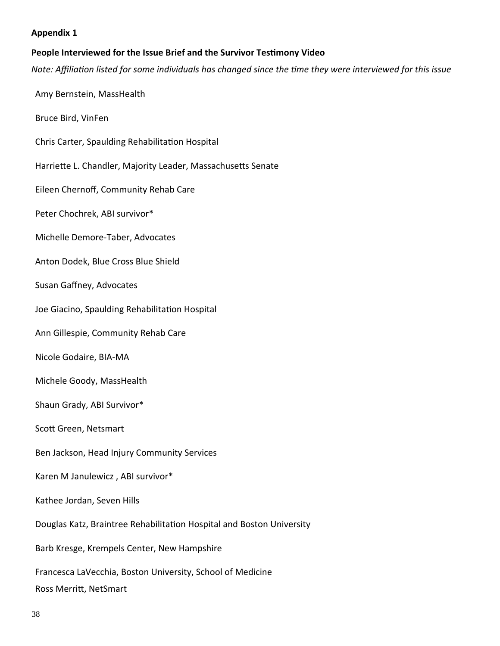#### **Appendix 1**

#### **People Interviewed for the Issue Brief and the Survivor TesƟmony Video**

Note: Affiliation listed for some individuals has changed since the time they were interviewed for this issue

Amy Bernstein, MassHealth

Bruce Bird, VinFen

Chris Carter, Spaulding Rehabilitation Hospital

Harriette L. Chandler, Majority Leader, Massachusetts Senate

Eileen Chernoff, Community Rehab Care

Peter Chochrek, ABI survivor\*

Michelle Demore‐Taber, Advocates

Anton Dodek, Blue Cross Blue Shield

Susan Gaffney, Advocates

Joe Giacino, Spaulding Rehabilitation Hospital

Ann Gillespie, Community Rehab Care

Nicole Godaire, BIA‐MA

Michele Goody, MassHealth

Shaun Grady, ABI Survivor\*

Scott Green, Netsmart

Ben Jackson, Head Injury Community Services

Karen M Janulewicz , ABI survivor\*

Kathee Jordan, Seven Hills

Douglas Katz, Braintree Rehabilitation Hospital and Boston University

Barb Kresge, Krempels Center, New Hampshire

Francesca LaVecchia, Boston University, School of Medicine

Ross Merritt, NetSmart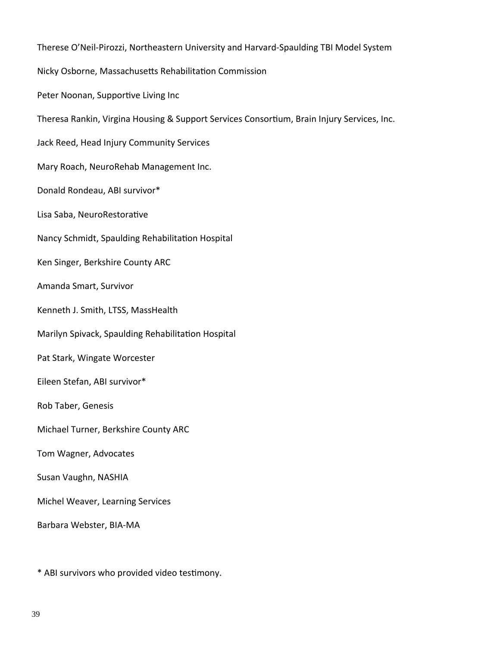Therese O'Neil‐Pirozzi, Northeastern University and Harvard‐Spaulding TBI Model System Nicky Osborne, Massachusetts Rehabilitation Commission Peter Noonan, Supportive Living Inc Theresa Rankin, Virgina Housing & Support Services Consortium, Brain Injury Services, Inc. Jack Reed, Head Injury Community Services Mary Roach, NeuroRehab Management Inc. Donald Rondeau, ABI survivor\* Lisa Saba, NeuroRestorative Nancy Schmidt, Spaulding Rehabilitation Hospital Ken Singer, Berkshire County ARC Amanda Smart, Survivor Kenneth J. Smith, LTSS, MassHealth Marilyn Spivack, Spaulding Rehabilitation Hospital Pat Stark, Wingate Worcester Eileen Stefan, ABI survivor\* Rob Taber, Genesis Michael Turner, Berkshire County ARC Tom Wagner, Advocates Susan Vaughn, NASHIA Michel Weaver, Learning Services Barbara Webster, BIA‐MA

\* ABI survivors who provided video testimony.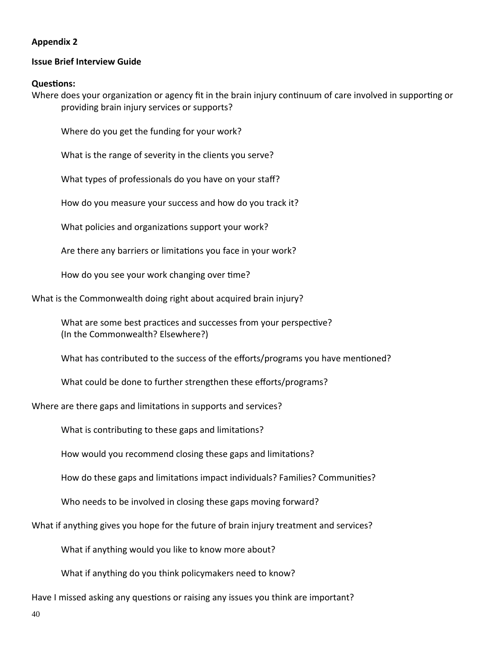#### **Appendix 2**

#### **Issue Brief Interview Guide**

#### **QuesƟons:**

Where does your organization or agency fit in the brain injury continuum of care involved in supporting or providing brain injury services or supports?

Where do you get the funding for your work?

What is the range of severity in the clients you serve?

What types of professionals do you have on your staff?

How do you measure your success and how do you track it?

What policies and organizations support your work?

Are there any barriers or limitations you face in your work?

How do you see your work changing over time?

What is the Commonwealth doing right about acquired brain injury?

What are some best practices and successes from your perspective? (In the Commonwealth? Elsewhere?)

What has contributed to the success of the efforts/programs you have mentioned?

What could be done to further strengthen these efforts/programs?

Where are there gaps and limitations in supports and services?

What is contributing to these gaps and limitations?

How would you recommend closing these gaps and limitations?

How do these gaps and limitations impact individuals? Families? Communities?

Who needs to be involved in closing these gaps moving forward?

What if anything gives you hope for the future of brain injury treatment and services?

What if anything would you like to know more about?

What if anything do you think policymakers need to know?

Have I missed asking any questions or raising any issues you think are important?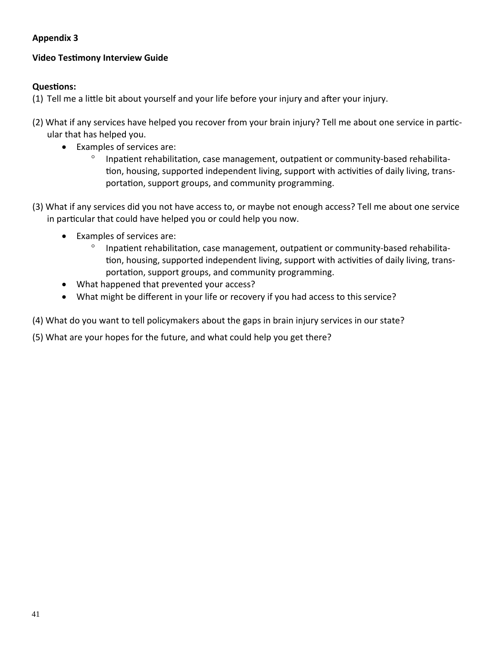# **Appendix 3**

# **Video TesƟmony Interview Guide**

# **QuesƟons:**

- (1) Tell me a little bit about yourself and your life before your injury and after your injury.
- (2) What if any services have helped you recover from your brain injury? Tell me about one service in particular that has helped you.
	- Examples of services are:
		- ° Inpatient rehabilitation, case management, outpatient or community-based rehabilitation, housing, supported independent living, support with activities of daily living, transportation, support groups, and community programming.
- (3) What if any services did you not have access to, or maybe not enough access? Tell me about one service in particular that could have helped you or could help you now.
	- Examples of services are:
		- ° Inpatient rehabilitation, case management, outpatient or community-based rehabilitation, housing, supported independent living, support with activities of daily living, transportation, support groups, and community programming.
	- What happened that prevented your access?
	- What might be different in your life or recovery if you had access to this service?

(4) What do you want to tell policymakers about the gaps in brain injury services in our state?

(5) What are your hopes for the future, and what could help you get there?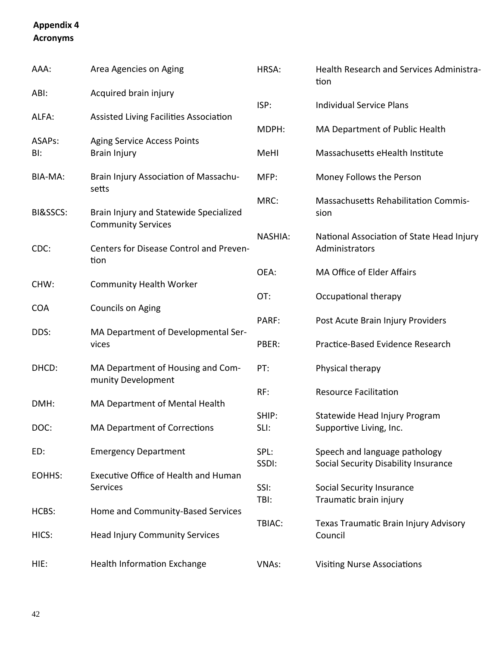# **Appendix 4 Acronyms**

| AAA:       | Area Agencies on Aging                                              | HRSA:          | Health Research and Services Administra-<br>tion                      |
|------------|---------------------------------------------------------------------|----------------|-----------------------------------------------------------------------|
| ABI:       | Acquired brain injury                                               |                |                                                                       |
| ALFA:      | Assisted Living Facilities Association                              | ISP:           | <b>Individual Service Plans</b>                                       |
| ASAPs:     | <b>Aging Service Access Points</b>                                  | MDPH:          | MA Department of Public Health                                        |
| BI:        | <b>Brain Injury</b>                                                 | MeHI           | Massachusetts eHealth Institute                                       |
| BIA-MA:    | Brain Injury Association of Massachu-<br>setts                      | MFP:           | Money Follows the Person                                              |
| BI&SSCS:   | Brain Injury and Statewide Specialized<br><b>Community Services</b> | MRC:           | <b>Massachusetts Rehabilitation Commis-</b><br>sion                   |
| CDC:       | Centers for Disease Control and Preven-<br>tion                     | <b>NASHIA:</b> | National Association of State Head Injury<br>Administrators           |
|            |                                                                     | OEA:           | MA Office of Elder Affairs                                            |
| CHW:       | <b>Community Health Worker</b>                                      | OT:            | Occupational therapy                                                  |
| <b>COA</b> | Councils on Aging                                                   | PARF:          | Post Acute Brain Injury Providers                                     |
| DDS:       | MA Department of Developmental Ser-<br>vices                        | PBER:          | Practice-Based Evidence Research                                      |
| DHCD:      | MA Department of Housing and Com-<br>munity Development             | PT:            | Physical therapy                                                      |
| DMH:       | MA Department of Mental Health                                      | RF:            | <b>Resource Facilitation</b>                                          |
| DOC:       | <b>MA Department of Corrections</b>                                 | SHIP:<br>SLI:  | Statewide Head Injury Program<br>Supportive Living, Inc.              |
| ED:        | <b>Emergency Department</b>                                         | SPL:<br>SSDI:  | Speech and language pathology<br>Social Security Disability Insurance |
| EOHHS:     | <b>Executive Office of Health and Human</b><br>Services             | SSI:           | <b>Social Security Insurance</b>                                      |
| HCBS:      | Home and Community-Based Services                                   | TBI:           | Traumatic brain injury                                                |
| HICS:      | <b>Head Injury Community Services</b>                               | TBIAC:         | Texas Traumatic Brain Injury Advisory<br>Council                      |
|            |                                                                     |                |                                                                       |
| HIE:       | <b>Health Information Exchange</b>                                  | <b>VNAs:</b>   | <b>Visiting Nurse Associations</b>                                    |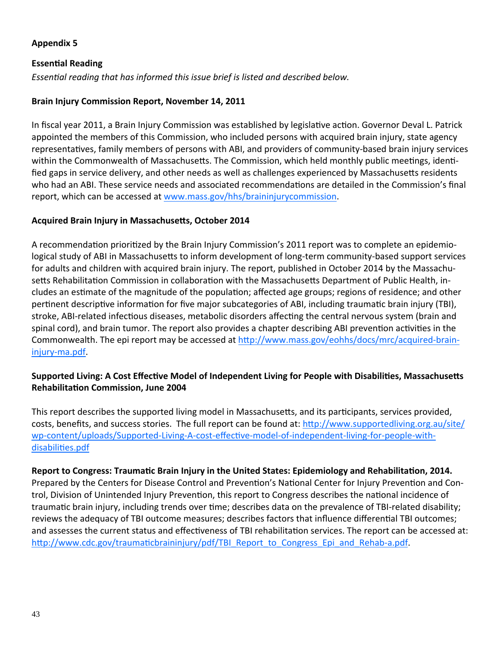#### **Appendix 5**

#### **EssenƟal Reading**

*EssenƟal reading that has informed this issue brief is listed and described below.*

#### **Brain Injury Commission Report, November 14, 2011**

In fiscal year 2011, a Brain Injury Commission was established by legislative action. Governor Deval L. Patrick appointed the members of this Commission, who included persons with acquired brain injury, state agency representatives, family members of persons with ABI, and providers of community-based brain injury services within the Commonwealth of Massachusetts. The Commission, which held monthly public meetings, identified gaps in service delivery, and other needs as well as challenges experienced by Massachusetts residents who had an ABI. These service needs and associated recommendations are detailed in the Commission's final report, which can be accessed at www.mass.gov/hhs/braininjurycommission.

#### **Acquired Brain Injury in MassachuseƩs, October 2014**

A recommendation prioritized by the Brain Injury Commission's 2011 report was to complete an epidemiological study of ABI in Massachusetts to inform development of long-term community-based support services for adults and children with acquired brain injury. The report, published in October 2014 by the Massachusetts Rehabilitation Commission in collaboration with the Massachusetts Department of Public Health, includes an estimate of the magnitude of the population; affected age groups; regions of residence; and other pertinent descriptive information for five major subcategories of ABI, including traumatic brain injury (TBI), stroke, ABI-related infectious diseases, metabolic disorders affecting the central nervous system (brain and spinal cord), and brain tumor. The report also provides a chapter describing ABI prevention activities in the Commonwealth. The epi report may be accessed at http://www.mass.gov/eohhs/docs/mrc/acquired-braininjury‐ma.pdf.

#### Supported Living: A Cost Effective Model of Independent Living for People with Disabilities, Massachusetts **RehabilitaƟon Commission, June 2004**

This report describes the supported living model in Massachusetts, and its participants, services provided, costs, benefits, and success stories. The full report can be found at: http://www.supportedliving.org.au/site/ wp-content/uploads/Supported-Living-A-cost-effective-model-of-independent-living-for-people-withdisabilities.pdf

Report to Congress: Traumatic Brain Injury in the United States: Epidemiology and Rehabilitation, 2014. Prepared by the Centers for Disease Control and Prevention's National Center for Injury Prevention and Control, Division of Unintended Injury Prevention, this report to Congress describes the national incidence of traumatic brain injury, including trends over time; describes data on the prevalence of TBI-related disability; reviews the adequacy of TBI outcome measures; describes factors that influence differential TBI outcomes; and assesses the current status and effectiveness of TBI rehabilitation services. The report can be accessed at: http://www.cdc.gov/traumaticbraininjury/pdf/TBI\_Report\_to\_Congress\_Epi\_and\_Rehab-a.pdf.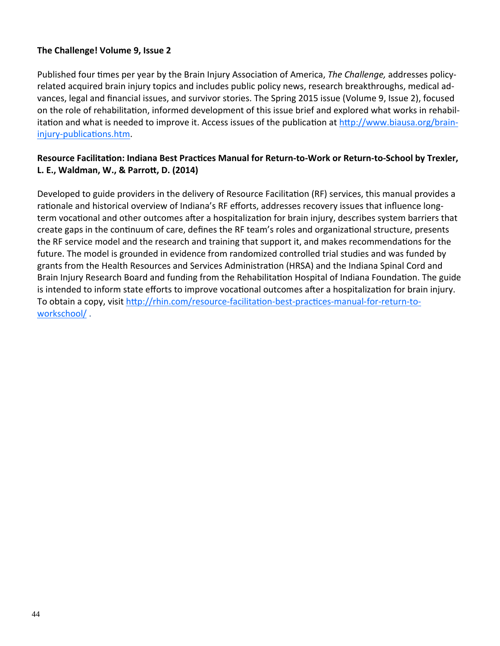#### **The Challenge! Volume 9, Issue 2**

Published four times per year by the Brain Injury Association of America, *The Challenge*, addresses policyrelated acquired brain injury topics and includes public policy news, research breakthroughs, medical ad‐ vances, legal and financial issues, and survivor stories. The Spring 2015 issue (Volume 9, Issue 2), focused on the role of rehabilitation, informed development of this issue brief and explored what works in rehabilitation and what is needed to improve it. Access issues of the publication at http://www.biausa.org/braininjury-publications.htm.

#### Resource Facilitation: Indiana Best Practices Manual for Return-to-Work or Return-to-School by Trexler, **L. E., Waldman, W., & ParroƩ, D. (2014)**

Developed to guide providers in the delivery of Resource Facilitation (RF) services, this manual provides a rationale and historical overview of Indiana's RF efforts, addresses recovery issues that influence longterm vocational and other outcomes after a hospitalization for brain injury, describes system barriers that create gaps in the continuum of care, defines the RF team's roles and organizational structure, presents the RF service model and the research and training that support it, and makes recommendations for the future. The model is grounded in evidence from randomized controlled trial studies and was funded by grants from the Health Resources and Services Administration (HRSA) and the Indiana Spinal Cord and Brain Injury Research Board and funding from the Rehabilitation Hospital of Indiana Foundation. The guide is intended to inform state efforts to improve vocational outcomes after a hospitalization for brain injury. To obtain a copy, visit http://rhin.com/resource-facilitation-best-practices-manual-for-return-toworkschool/ .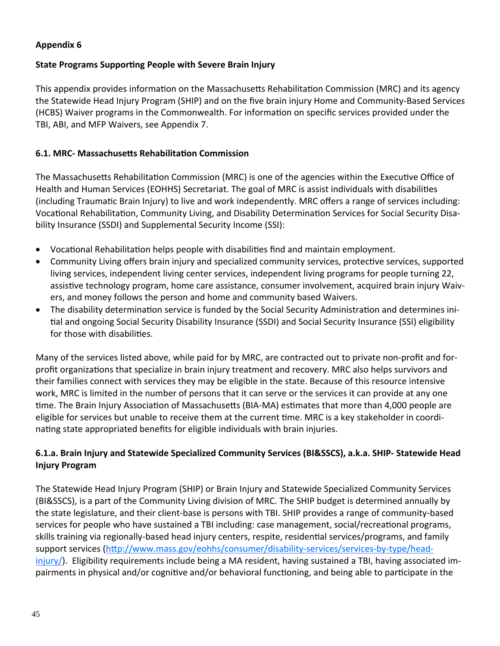#### **Appendix 6**

#### **State Programs SupporƟng People with Severe Brain Injury**

This appendix provides information on the Massachusetts Rehabilitation Commission (MRC) and its agency the Statewide Head Injury Program (SHIP) and on the five brain injury Home and Community‐Based Services (HCBS) Waiver programs in the Commonwealth. For information on specific services provided under the TBI, ABI, and MFP Waivers, see Appendix 7.

#### **6.1. MRC‐ MassachuseƩs RehabilitaƟon Commission**

The Massachusetts Rehabilitation Commission (MRC) is one of the agencies within the Executive Office of Health and Human Services (EOHHS) Secretariat. The goal of MRC is assist individuals with disabilities (including TraumaƟc Brain Injury) to live and work independently. MRC offers a range of services including: Vocational Rehabilitation, Community Living, and Disability Determination Services for Social Security Disability Insurance (SSDI) and Supplemental Security Income (SSI):

- Vocational Rehabilitation helps people with disabilities find and maintain employment.
- Community Living offers brain injury and specialized community services, protective services, supported living services, independent living center services, independent living programs for people turning 22, assistive technology program, home care assistance, consumer involvement, acquired brain injury Waivers, and money follows the person and home and community based Waivers.
- The disability determination service is funded by the Social Security Administration and determines initial and ongoing Social Security Disability Insurance (SSDI) and Social Security Insurance (SSI) eligibility for those with disabilities.

Many of the services listed above, while paid for by MRC, are contracted out to private non‐profit and for‐ profit organizations that specialize in brain injury treatment and recovery. MRC also helps survivors and their families connect with services they may be eligible in the state. Because of this resource intensive work, MRC is limited in the number of persons that it can serve or the services it can provide at any one time. The Brain Injury Association of Massachusetts (BIA-MA) estimates that more than 4,000 people are eligible for services but unable to receive them at the current time. MRC is a key stakeholder in coordinating state appropriated benefits for eligible individuals with brain injuries.

### **6.1.a. Brain Injury and Statewide Specialized Community Services (BI&SSCS), a.k.a. SHIP‐ Statewide Head Injury Program**

The Statewide Head Injury Program (SHIP) or Brain Injury and Statewide Specialized Community Services (BI&SSCS), is a part of the Community Living division of MRC. The SHIP budget is determined annually by the state legislature, and their client‐base is persons with TBI. SHIP provides a range of community‐based services for people who have sustained a TBI including: case management, social/recreational programs, skills training via regionally-based head injury centers, respite, residential services/programs, and family support services (http://www.mass.gov/eohhs/consumer/disability-services/services-by-type/headinjury/). Eligibility requirements include being a MA resident, having sustained a TBI, having associated im‐ pairments in physical and/or cognitive and/or behavioral functioning, and being able to participate in the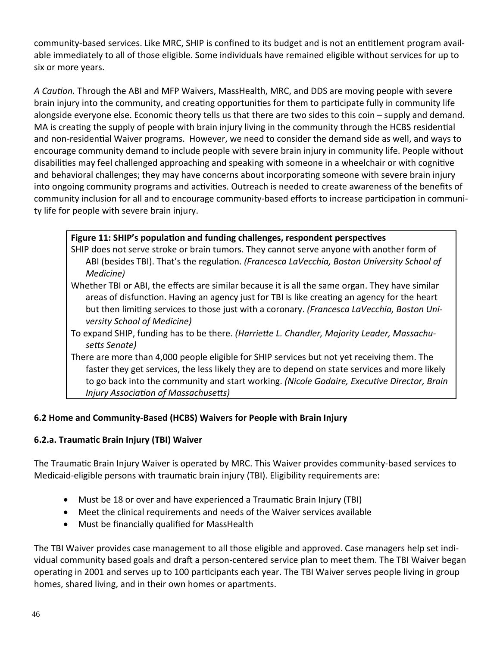community-based services. Like MRC, SHIP is confined to its budget and is not an entitlement program available immediately to all of those eligible. Some individuals have remained eligible without services for up to six or more years.

*A CauƟon.* Through the ABI and MFP Waivers, MassHealth, MRC, and DDS are moving people with severe brain injury into the community, and creating opportunities for them to participate fully in community life alongside everyone else. Economic theory tells us that there are two sides to this coin – supply and demand. MA is creating the supply of people with brain injury living in the community through the HCBS residential and non-residential Waiver programs. However, we need to consider the demand side as well, and ways to encourage community demand to include people with severe brain injury in community life. People without disabilities may feel challenged approaching and speaking with someone in a wheelchair or with cognitive and behavioral challenges; they may have concerns about incorporating someone with severe brain injury into ongoing community programs and activities. Outreach is needed to create awareness of the benefits of community inclusion for all and to encourage community-based efforts to increase participation in community life for people with severe brain injury.

### **Figure 11: SHIP's populaƟon and funding challenges, respondent perspecƟves**

- SHIP does not serve stroke or brain tumors. They cannot serve anyone with another form of ABI (besides TBI). That's the regulaƟon. *(Francesca LaVecchia, Boston University School of Medicine)*
- Whether TBI or ABI, the effects are similar because it is all the same organ. They have similar areas of disfunction. Having an agency just for TBI is like creating an agency for the heart but then limiting services to those just with a coronary. *(Francesca LaVecchia, Boston University School of Medicine)*
- To expand SHIP, funding has to be there. *(HarrieƩe L. Chandler, Majority Leader, Massachu‐ seƩs Senate)*
- There are more than 4,000 people eligible for SHIP services but not yet receiving them. The faster they get services, the less likely they are to depend on state services and more likely to go back into the community and start working. *(Nicole Godaire, ExecuƟve Director, Brain Injury AssociaƟon of MassachuseƩs)*

# **6.2 Home and Community‐Based (HCBS) Waivers for People with Brain Injury**

# **6.2.a. TraumaƟc Brain Injury (TBI) Waiver**

The Traumatic Brain Injury Waiver is operated by MRC. This Waiver provides community-based services to Medicaid-eligible persons with traumatic brain injury (TBI). Eligibility requirements are:

- Must be 18 or over and have experienced a Traumatic Brain Injury (TBI)
- Meet the clinical requirements and needs of the Waiver services available
- Must be financially qualified for MassHealth

The TBI Waiver provides case management to all those eligible and approved. Case managers help set indi‐ vidual community based goals and draft a person-centered service plan to meet them. The TBI Waiver began operating in 2001 and serves up to 100 participants each year. The TBI Waiver serves people living in group homes, shared living, and in their own homes or apartments.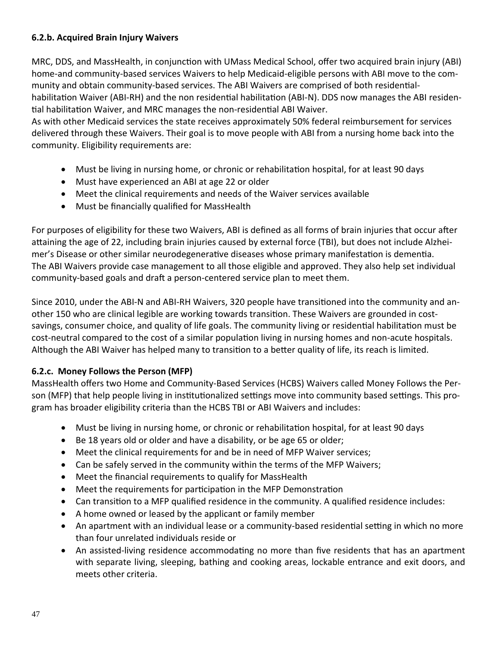# **6.2.b. Acquired Brain Injury Waivers**

MRC, DDS, and MassHealth, in conjunction with UMass Medical School, offer two acquired brain injury (ABI) home-and community-based services Waivers to help Medicaid-eligible persons with ABI move to the community and obtain community-based services. The ABI Waivers are comprised of both residentialhabilitation Waiver (ABI-RH) and the non residential habilitation (ABI-N). DDS now manages the ABI residential habilitation Waiver, and MRC manages the non-residential ABI Waiver.

As with other Medicaid services the state receives approximately 50% federal reimbursement for services delivered through these Waivers. Their goal is to move people with ABI from a nursing home back into the community. Eligibility requirements are:

- Must be living in nursing home, or chronic or rehabilitation hospital, for at least 90 days
- Must have experienced an ABI at age 22 or older
- Meet the clinical requirements and needs of the Waiver services available
- Must be financially qualified for MassHealth

For purposes of eligibility for these two Waivers, ABI is defined as all forms of brain injuries that occur after attaining the age of 22, including brain injuries caused by external force (TBI), but does not include Alzheimer's Disease or other similar neurodegenerative diseases whose primary manifestation is dementia. The ABI Waivers provide case management to all those eligible and approved. They also help set individual community-based goals and draft a person-centered service plan to meet them.

Since 2010, under the ABI-N and ABI-RH Waivers, 320 people have transitioned into the community and another 150 who are clinical legible are working towards transition. These Waivers are grounded in costsavings, consumer choice, and quality of life goals. The community living or residential habilitation must be cost-neutral compared to the cost of a similar population living in nursing homes and non-acute hospitals. Although the ABI Waiver has helped many to transition to a better quality of life, its reach is limited.

#### **6.2.c. Money Follows the Person (MFP)**

MassHealth offers two Home and Community‐Based Services (HCBS) Waivers called Money Follows the Per‐ son (MFP) that help people living in institutionalized settings move into community based settings. This program has broader eligibility criteria than the HCBS TBI or ABI Waivers and includes:

- Must be living in nursing home, or chronic or rehabilitation hospital, for at least 90 days
- Be 18 years old or older and have a disability, or be age 65 or older;
- Meet the clinical requirements for and be in need of MFP Waiver services;
- Can be safely served in the community within the terms of the MFP Waivers;
- Meet the financial requirements to qualify for MassHealth
- Meet the requirements for participation in the MFP Demonstration
- Can transition to a MFP qualified residence in the community. A qualified residence includes:
- A home owned or leased by the applicant or family member
- An apartment with an individual lease or a community-based residential setting in which no more than four unrelated individuals reside or
- An assisted-living residence accommodating no more than five residents that has an apartment with separate living, sleeping, bathing and cooking areas, lockable entrance and exit doors, and meets other criteria.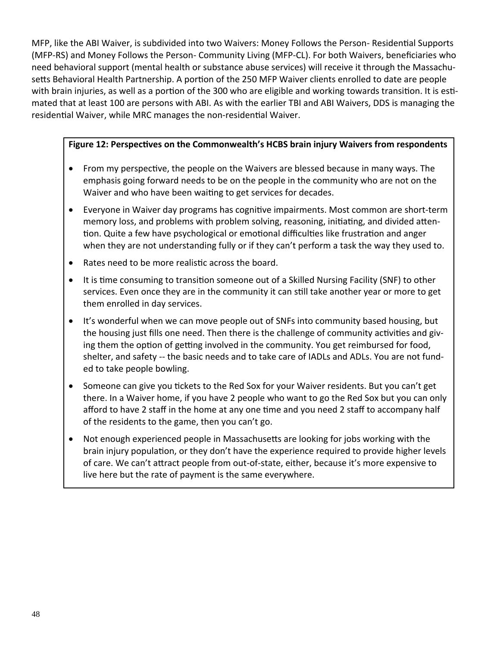MFP, like the ABI Waiver, is subdivided into two Waivers: Money Follows the Person- Residential Supports (MFP‐RS) and Money Follows the Person‐ Community Living (MFP‐CL). For both Waivers, beneficiaries who need behavioral support (mental health or substance abuse services) will receive it through the Massachu‐ setts Behavioral Health Partnership. A portion of the 250 MFP Waiver clients enrolled to date are people with brain injuries, as well as a portion of the 300 who are eligible and working towards transition. It is estimated that at least 100 are persons with ABI. As with the earlier TBI and ABI Waivers, DDS is managing the residential Waiver, while MRC manages the non-residential Waiver.

### **Figure 12: PerspecƟves on the Commonwealth's HCBS brain injury Waivers from respondents**

- From my perspective, the people on the Waivers are blessed because in many ways. The emphasis going forward needs to be on the people in the community who are not on the Waiver and who have been waiting to get services for decades.
- Everyone in Waiver day programs has cognitive impairments. Most common are short-term memory loss, and problems with problem solving, reasoning, initiating, and divided attention. Quite a few have psychological or emotional difficulties like frustration and anger when they are not understanding fully or if they can't perform a task the way they used to.
- Rates need to be more realistic across the board.
- It is time consuming to transition someone out of a Skilled Nursing Facility (SNF) to other services. Even once they are in the community it can still take another year or more to get them enrolled in day services.
- It's wonderful when we can move people out of SNFs into community based housing, but the housing just fills one need. Then there is the challenge of community activities and giving them the option of getting involved in the community. You get reimbursed for food, shelter, and safety -- the basic needs and to take care of IADLs and ADLs. You are not funded to take people bowling.
- Someone can give you tickets to the Red Sox for your Waiver residents. But you can't get there. In a Waiver home, if you have 2 people who want to go the Red Sox but you can only afford to have 2 staff in the home at any one time and you need 2 staff to accompany half of the residents to the game, then you can't go.
- Not enough experienced people in Massachusetts are looking for jobs working with the brain injury population, or they don't have the experience required to provide higher levels of care. We can't aƩract people from out‐of‐state, either, because it's more expensive to live here but the rate of payment is the same everywhere.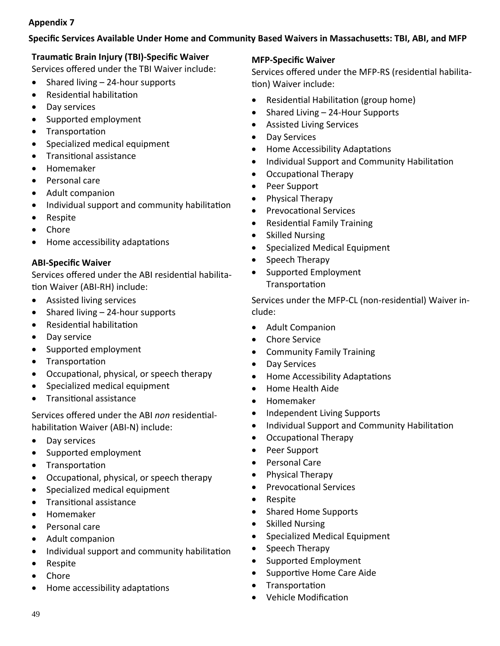# **Appendix 7**

#### **Specific Services Available Under Home and Community Based Waivers in MassachuseƩs: TBI, ABI, and MFP**

# **TraumaƟc Brain Injury (TBI)‐Specific Waiver**

Services offered under the TBI Waiver include:

- Shared living  $-24$ -hour supports
- Residential habilitation
- Day services
- Supported employment
- Transportation
- Specialized medical equipment
- Transitional assistance
- Homemaker
- Personal care
- Adult companion
- Individual support and community habilitation
- Respite
- Chore
- Home accessibility adaptations

### **ABI‐Specific Waiver**

Services offered under the ABI residential habilitation Waiver (ABI-RH) include:

- Assisted living services
- Shared living 24-hour supports
- Residential habilitation
- Day service
- Supported employment
- Transportation
- Occupational, physical, or speech therapy
- Specialized medical equipment
- TransiƟonal assistance

Services offered under the ABI *non* residentialhabilitation Waiver (ABI-N) include:

- Day services
- Supported employment
- Transportation
- Occupational, physical, or speech therapy
- Specialized medical equipment
- Transitional assistance
- Homemaker
- Personal care
- Adult companion
- Individual support and community habilitation
- Respite
- Chore
- Home accessibility adaptations

#### **MFP‐Specific Waiver**

Services offered under the MFP-RS (residential habilitation) Waiver include:

- Residential Habilitation (group home)
- Shared Living 24‐Hour Supports
- Assisted Living Services
- Day Services
- Home Accessibility Adaptations
- Individual Support and Community Habilitation
- Occupational Therapy
- Peer Support
- Physical Therapy
- Prevocational Services
- Residential Family Training
- Skilled Nursing
- Specialized Medical Equipment
- Speech Therapy
- Supported Employment **Transportation**

Services under the MFP-CL (non-residential) Waiver include:

- Adult Companion
- Chore Service
- Community Family Training
- Day Services
- Home Accessibility Adaptations
- Home Health Aide
- Homemaker
- Independent Living Supports
- Individual Support and Community Habilitation
- Occupational Therapy
- Peer Support
- Personal Care
- Physical Therapy
- Prevocational Services
- Respite
- Shared Home Supports
- Skilled Nursing
- Specialized Medical Equipment
- Speech Therapy
- Supported Employment
- Supportive Home Care Aide
- Transportation
- Vehicle Modification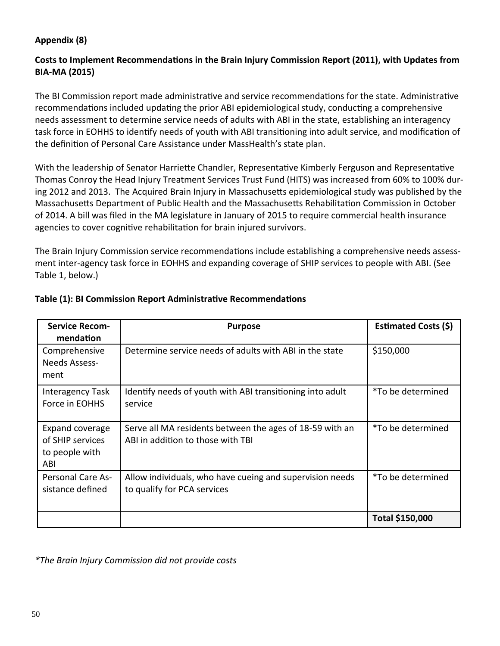# **Appendix (8)**

# **Costs to Implement RecommendaƟons in the Brain Injury Commission Report (2011), with Updates from BIA‐MA (2015)**

The BI Commission report made administrative and service recommendations for the state. Administrative recommendations included updating the prior ABI epidemiological study, conducting a comprehensive needs assessment to determine service needs of adults with ABI in the state, establishing an interagency task force in EOHHS to identify needs of youth with ABI transitioning into adult service, and modification of the definition of Personal Care Assistance under MassHealth's state plan.

With the leadership of Senator Harriette Chandler, Representative Kimberly Ferguson and Representative Thomas Conroy the Head Injury Treatment Services Trust Fund (HITS) was increased from 60% to 100% dur‐ ing 2012 and 2013. The Acquired Brain Injury in Massachusetts epidemiological study was published by the Massachusetts Department of Public Health and the Massachusetts Rehabilitation Commission in October of 2014. A bill was filed in the MA legislature in January of 2015 to require commercial health insurance agencies to cover cognitive rehabilitation for brain injured survivors.

The Brain Injury Commission service recommendations include establishing a comprehensive needs assessment inter-agency task force in EOHHS and expanding coverage of SHIP services to people with ABI. (See Table 1, below.)

| <b>Service Recom-</b><br>mendation                           | <b>Purpose</b>                                                                                | Estimated Costs (\$) |
|--------------------------------------------------------------|-----------------------------------------------------------------------------------------------|----------------------|
| Comprehensive<br>Needs Assess-<br>ment                       | Determine service needs of adults with ABI in the state                                       | \$150,000            |
| Interagency Task<br>Force in EOHHS                           | Identify needs of youth with ABI transitioning into adult<br>service                          | *To be determined    |
| Expand coverage<br>of SHIP services<br>to people with<br>ABI | Serve all MA residents between the ages of 18-59 with an<br>ABI in addition to those with TBI | *To be determined    |
| <b>Personal Care As-</b><br>sistance defined                 | Allow individuals, who have cueing and supervision needs<br>to qualify for PCA services       | *To be determined    |
|                                                              |                                                                                               | Total \$150,000      |

#### **Table** (1): BI Commission Report Administrative Recommendations

*\*The Brain Injury Commission did not provide costs*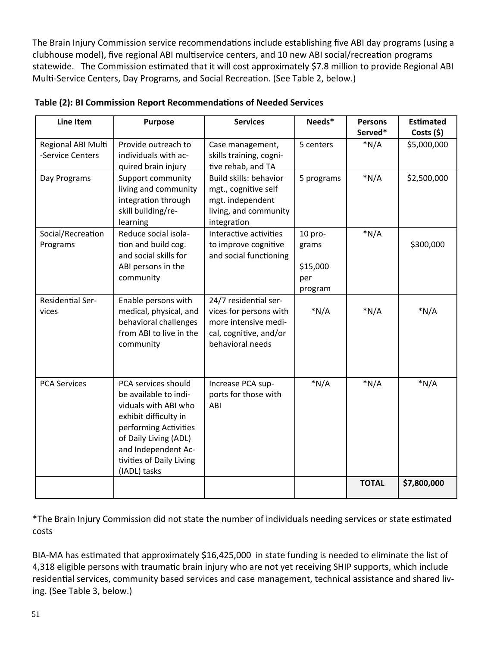The Brain Injury Commission service recommendations include establishing five ABI day programs (using a clubhouse model), five regional ABI multiservice centers, and 10 new ABI social/recreation programs statewide. The Commission estimated that it will cost approximately \$7.8 million to provide Regional ABI Multi-Service Centers, Day Programs, and Social Recreation. (See Table 2, below.)

| Line Item                              | <b>Purpose</b>                                                                                                                                                                                                     | <b>Services</b>                                                                                                       | Needs*                                           | <b>Persons</b><br>Served* | <b>Estimated</b><br>Costs $(5)$ |
|----------------------------------------|--------------------------------------------------------------------------------------------------------------------------------------------------------------------------------------------------------------------|-----------------------------------------------------------------------------------------------------------------------|--------------------------------------------------|---------------------------|---------------------------------|
| Regional ABI Multi<br>-Service Centers | Provide outreach to<br>individuals with ac-<br>quired brain injury                                                                                                                                                 | Case management,<br>skills training, cogni-<br>tive rehab, and TA                                                     | 5 centers                                        | $*N/A$                    | \$5,000,000                     |
| Day Programs                           | <b>Support community</b><br>living and community<br>integration through<br>skill building/re-<br>learning                                                                                                          | Build skills: behavior<br>mgt., cognitive self<br>mgt. independent<br>living, and community<br>integration            | 5 programs                                       | $*N/A$                    | \$2,500,000                     |
| Social/Recreation<br>Programs          | Reduce social isola-<br>tion and build cog.<br>and social skills for<br>ABI persons in the<br>community                                                                                                            | Interactive activities<br>to improve cognitive<br>and social functioning                                              | $10$ pro-<br>grams<br>\$15,000<br>per<br>program | $*N/A$                    | \$300,000                       |
| <b>Residential Ser-</b><br>vices       | Enable persons with<br>medical, physical, and<br>behavioral challenges<br>from ABI to live in the<br>community                                                                                                     | 24/7 residential ser-<br>vices for persons with<br>more intensive medi-<br>cal, cognitive, and/or<br>behavioral needs | $*N/A$                                           | $*N/A$                    | $*N/A$                          |
| <b>PCA Services</b>                    | PCA services should<br>be available to indi-<br>viduals with ABI who<br>exhibit difficulty in<br>performing Activities<br>of Daily Living (ADL)<br>and Independent Ac-<br>tivities of Daily Living<br>(IADL) tasks | Increase PCA sup-<br>ports for those with<br>ABI                                                                      | $*N/A$                                           | $*N/A$                    | $*N/A$                          |
|                                        |                                                                                                                                                                                                                    |                                                                                                                       |                                                  | <b>TOTAL</b>              | \$7,800,000                     |

#### **Table (2): BI Commission Report RecommendaƟons of Needed Services**

\*The Brain Injury Commission did not state the number of individuals needing services or state estimated costs

BIA-MA has estimated that approximately \$16,425,000 in state funding is needed to eliminate the list of 4,318 eligible persons with traumatic brain injury who are not yet receiving SHIP supports, which include residential services, community based services and case management, technical assistance and shared living. (See Table 3, below.)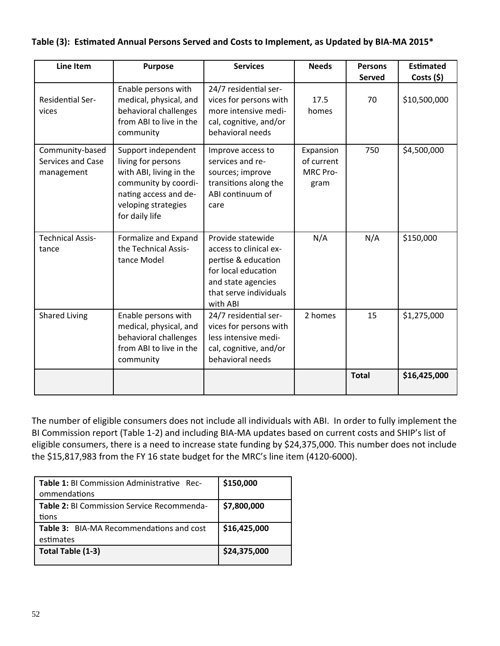| Line Item                                          | <b>Purpose</b>                                                                                                                                                 | <b>Services</b>                                                                                                                                       | <b>Needs</b>                                | <b>Persons</b><br><b>Served</b> | <b>Estimated</b><br>Costs $(5)$ |
|----------------------------------------------------|----------------------------------------------------------------------------------------------------------------------------------------------------------------|-------------------------------------------------------------------------------------------------------------------------------------------------------|---------------------------------------------|---------------------------------|---------------------------------|
| <b>Residential Ser-</b><br>vices                   | Enable persons with<br>medical, physical, and<br>behavioral challenges<br>from ABI to live in the<br>community                                                 | 24/7 residential ser-<br>vices for persons with<br>more intensive medi-<br>cal, cognitive, and/or<br>behavioral needs                                 | 17.5<br>homes                               | 70                              | \$10,500,000                    |
| Community-based<br>Services and Case<br>management | Support independent<br>living for persons<br>with ABI, living in the<br>community by coordi-<br>nating access and de-<br>veloping strategies<br>for daily life | Improve access to<br>services and re-<br>sources; improve<br>transitions along the<br>ABI continuum of<br>care                                        | Expansion<br>of current<br>MRC Pro-<br>gram | 750                             | \$4,500,000                     |
| <b>Technical Assis-</b><br>tance                   | Formalize and Expand<br>the Technical Assis-<br>tance Model                                                                                                    | Provide statewide<br>access to clinical ex-<br>pertise & education<br>for local education<br>and state agencies<br>that serve individuals<br>with ABI | N/A                                         | N/A                             | \$150,000                       |
| <b>Shared Living</b>                               | Enable persons with<br>medical, physical, and<br>behavioral challenges<br>from ABI to live in the<br>community                                                 | 24/7 residential ser-<br>vices for persons with<br>less intensive medi-<br>cal, cognitive, and/or<br>behavioral needs                                 | 2 homes                                     | 15                              | \$1,275,000                     |
|                                                    |                                                                                                                                                                |                                                                                                                                                       |                                             | <b>Total</b>                    | \$16,425,000                    |

# Table (3): Estimated Annual Persons Served and Costs to Implement, as Updated by BIA-MA 2015\*

The number of eligible consumers does not include all individuals with ABI. In order to fully implement the BI Commission report (Table 1‐2) and including BIA‐MA updates based on current costs and SHIP's list of eligible consumers, there is a need to increase state funding by \$24,375,000. This number does not include the \$15,817,983 from the FY 16 state budget for the MRC's line item (4120-6000).

| Table 1: BI Commission Administrative Rec-        | \$150,000    |
|---------------------------------------------------|--------------|
| ommendations                                      |              |
| <b>Table 2: BI Commission Service Recommenda-</b> | \$7,800,000  |
| tions                                             |              |
| <b>Table 3:</b> BIA-MA Recommendations and cost   | \$16,425,000 |
| estimates                                         |              |
| Total Table (1-3)                                 | \$24,375,000 |
|                                                   |              |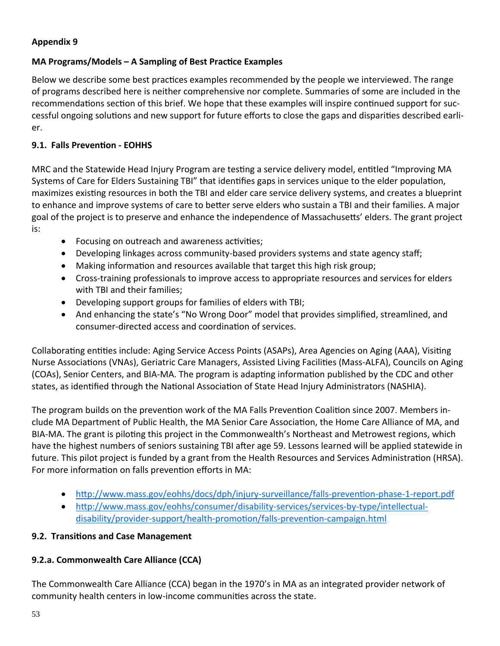# **Appendix 9**

# MA Programs/Models – A Sampling of Best Practice Examples

Below we describe some best practices examples recommended by the people we interviewed. The range of programs described here is neither comprehensive nor complete. Summaries of some are included in the recommendations section of this brief. We hope that these examples will inspire continued support for successful ongoing solutions and new support for future efforts to close the gaps and disparities described earlier.

# 9.1. Falls Prevention - EOHHS

MRC and the Statewide Head Injury Program are testing a service delivery model, entitled "Improving MA Systems of Care for Elders Sustaining TBI" that identifies gaps in services unique to the elder population, maximizes existing resources in both the TBI and elder care service delivery systems, and creates a blueprint to enhance and improve systems of care to better serve elders who sustain a TBI and their families. A major goal of the project is to preserve and enhance the independence of Massachusetts' elders. The grant project is:

- Focusing on outreach and awareness activities;
- Developing linkages across community-based providers systems and state agency staff;
- Making information and resources available that target this high risk group;
- Cross-training professionals to improve access to appropriate resources and services for elders with TBI and their families:
- Developing support groups for families of elders with TBI;
- And enhancing the state's "No Wrong Door" model that provides simplified, streamlined, and consumer-directed access and coordination of services.

Collaborating entities include: Aging Service Access Points (ASAPs), Area Agencies on Aging (AAA), Visiting Nurse Associations (VNAs), Geriatric Care Managers, Assisted Living Facilities (Mass-ALFA), Councils on Aging (COAs), Senior Centers, and BIA-MA. The program is adapting information published by the CDC and other states, as identified through the National Association of State Head Injury Administrators (NASHIA).

The program builds on the prevention work of the MA Falls Prevention Coalition since 2007. Members include MA Department of Public Health, the MA Senior Care Association, the Home Care Alliance of MA, and BIA-MA. The grant is piloting this project in the Commonwealth's Northeast and Metrowest regions, which have the highest numbers of seniors sustaining TBI after age 59. Lessons learned will be applied statewide in future. This pilot project is funded by a grant from the Health Resources and Services Administration (HRSA). For more information on falls prevention efforts in MA:

- http://www.mass.gov/eohhs/docs/dph/injury-surveillance/falls-prevention-phase-1-report.pdf
- . http://www.mass.gov/eohhs/consumer/disability-services/services-by-type/intellectualdisability/provider-support/health-promotion/falls-prevention-campaign.html

# 9.2. Transitions and Case Management

# 9.2.a. Commonwealth Care Alliance (CCA)

The Commonwealth Care Alliance (CCA) began in the 1970's in MA as an integrated provider network of community health centers in low-income communities across the state.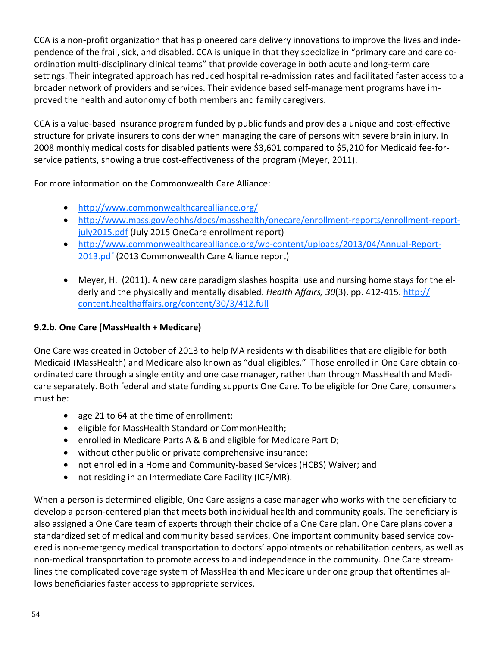CCA is a non-profit organization that has pioneered care delivery innovations to improve the lives and independence of the frail, sick, and disabled. CCA is unique in that they specialize in "primary care and care co‐ ordination multi-disciplinary clinical teams" that provide coverage in both acute and long-term care settings. Their integrated approach has reduced hospital re-admission rates and facilitated faster access to a broader network of providers and services. Their evidence based self‐management programs have im‐ proved the health and autonomy of both members and family caregivers.

CCA is a value-based insurance program funded by public funds and provides a unique and cost-effective structure for private insurers to consider when managing the care of persons with severe brain injury. In 2008 monthly medical costs for disabled patients were \$3,601 compared to \$5,210 for Medicaid fee-forservice patients, showing a true cost-effectiveness of the program (Meyer, 2011).

For more information on the Commonwealth Care Alliance:

- http://www.commonwealthcarealliance.org/
- http://www.mass.gov/eohhs/docs/masshealth/onecare/enrollment-reports/enrollment-reportjuly2015.pdf (July 2015 OneCare enrollment report)
- http://www.commonwealthcarealliance.org/wp-content/uploads/2013/04/Annual-Report-2013.pdf (2013 Commonwealth Care Alliance report)
- Meyer, H. (2011). A new care paradigm slashes hospital use and nursing home stays for the elderly and the physically and mentally disabled. *Health Affairs, 30*(3), pp. 412-415. http:// content.healthaffairs.org/content/30/3/412.full

# **9.2.b. One Care (MassHealth + Medicare)**

One Care was created in October of 2013 to help MA residents with disabilities that are eligible for both Medicaid (MassHealth) and Medicare also known as "dual eligibles." Those enrolled in One Care obtain co‐ ordinated care through a single entity and one case manager, rather than through MassHealth and Medicare separately. Both federal and state funding supports One Care. To be eligible for One Care, consumers must be:

- age 21 to 64 at the time of enrollment;
- eligible for MassHealth Standard or CommonHealth;
- enrolled in Medicare Parts A & B and eligible for Medicare Part D;
- without other public or private comprehensive insurance;
- not enrolled in a Home and Community-based Services (HCBS) Waiver; and
- not residing in an Intermediate Care Facility (ICF/MR).

When a person is determined eligible, One Care assigns a case manager who works with the beneficiary to develop a person-centered plan that meets both individual health and community goals. The beneficiary is also assigned a One Care team of experts through their choice of a One Care plan. One Care plans cover a standardized set of medical and community based services. One important community based service cov‐ ered is non-emergency medical transportation to doctors' appointments or rehabilitation centers, as well as non-medical transportation to promote access to and independence in the community. One Care streamlines the complicated coverage system of MassHealth and Medicare under one group that oftentimes allows beneficiaries faster access to appropriate services.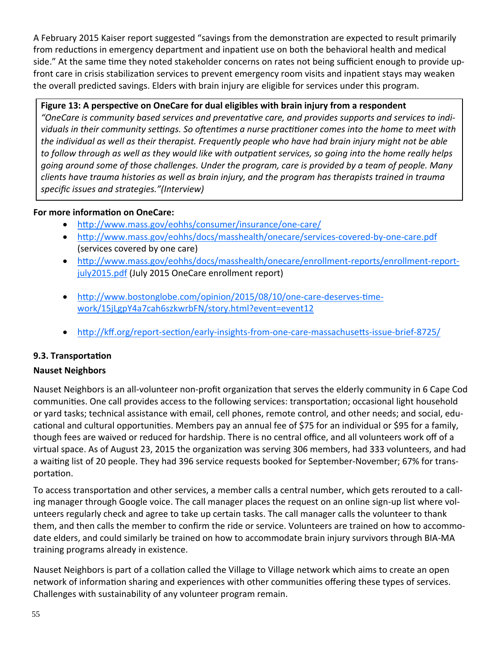A February 2015 Kaiser report suggested "savings from the demonstration are expected to result primarily from reductions in emergency department and inpatient use on both the behavioral health and medical side." At the same time they noted stakeholder concerns on rates not being sufficient enough to provide upfront care in crisis stabilization services to prevent emergency room visits and inpatient stays may weaken the overall predicted savings. Elders with brain injury are eligible for services under this program.

#### **Figure 13: A perspecƟve on OneCare for dual eligibles with brain injury from a respondent**

"OneCare is community based services and preventative care, and provides supports and services to individuals in their community settings. So oftentimes a nurse practitioner comes into the home to meet with the individual as well as their therapist. Frequently people who have had brain injury might not be able to follow through as well as they would like with outpatient services, so going into the home really helps going around some of those challenges. Under the program, care is provided by a team of people. Many *clients have trauma histories as well as brain injury, and the program has therapists trained in trauma specific issues and strategies."(Interview)*

### **For more informaƟon on OneCare:**

- http://www.mass.gov/eohhs/consumer/insurance/one-care/
- http://www.mass.gov/eohhs/docs/masshealth/onecare/services-covered-by-one-care.pdf (services covered by one care)
- http://www.mass.gov/eohhs/docs/masshealth/onecare/enrollment-reports/enrollment-reportjuly2015.pdf (July 2015 OneCare enrollment report)
- http://www.bostonglobe.com/opinion/2015/08/10/one-care-deserves-timework/15jLgpY4a7cah6szkwrbFN/story.html?event=event12
- http://kff.org/report-section/early-insights-from-one-care-massachusetts-issue-brief-8725/

# **9.3. TransportaƟon**

# **Nauset Neighbors**

Nauset Neighbors is an all-volunteer non-profit organization that serves the elderly community in 6 Cape Cod communities. One call provides access to the following services: transportation; occasional light household or yard tasks; technical assistance with email, cell phones, remote control, and other needs; and social, edu‐ cational and cultural opportunities. Members pay an annual fee of \$75 for an individual or \$95 for a family, though fees are waived or reduced for hardship. There is no central office, and all volunteers work off of a virtual space. As of August 23, 2015 the organization was serving 306 members, had 333 volunteers, and had a waiting list of 20 people. They had 396 service requests booked for September-November; 67% for transportation.

To access transportation and other services, a member calls a central number, which gets rerouted to a calling manager through Google voice. The call manager places the request on an online sign‐up list where vol‐ unteers regularly check and agree to take up certain tasks. The call manager calls the volunteer to thank them, and then calls the member to confirm the ride or service. Volunteers are trained on how to accommo‐ date elders, and could similarly be trained on how to accommodate brain injury survivors through BIA‐MA training programs already in existence.

Nauset Neighbors is part of a collation called the Village to Village network which aims to create an open network of information sharing and experiences with other communities offering these types of services. Challenges with sustainability of any volunteer program remain.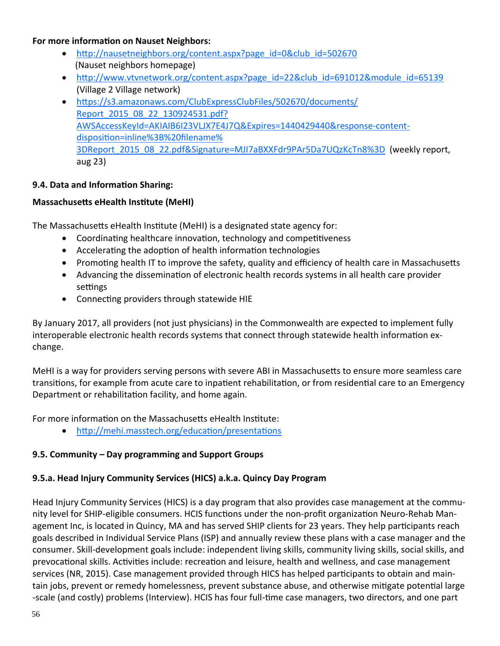#### **For more informaƟon on Nauset Neighbors:**

- http://nausetneighbors.org/content.aspx?page\_id=0&club\_id=502670 (Nauset neighbors homepage)
- http://www.vtvnetwork.org/content.aspx?page\_id=22&club\_id=691012&module\_id=65139 (Village 2 Village network)
- https://s3.amazonaws.com/ClubExpressClubFiles/502670/documents/ Report 2015 08 22 130924531.pdf? AWSAccessKeyId=AKIAIB6I23VLJX7E4J7Q&Expires=1440429440&response‐content‐ disposition=inline%3B%20filename% 3DReport\_2015\_08\_22.pdf&Signature=MJI7aBXXFdr9PAr5Da7UQzKcTn8%3D (weekly report, aug 23)

#### **9.4. Data and InformaƟon Sharing:**

#### **MassachuseƩs eHealth InsƟtute (MeHI)**

The Massachusetts eHealth Institute (MeHI) is a designated state agency for:

- Coordinating healthcare innovation, technology and competitiveness
- Accelerating the adoption of health information technologies
- Promoting health IT to improve the safety, quality and efficiency of health care in Massachusetts
- Advancing the dissemination of electronic health records systems in all health care provider settings
- Connecting providers through statewide HIE

By January 2017, all providers (not just physicians) in the Commonwealth are expected to implement fully interoperable electronic health records systems that connect through statewide health information exchange.

MeHI is a way for providers serving persons with severe ABI in Massachusetts to ensure more seamless care transitions, for example from acute care to inpatient rehabilitation, or from residential care to an Emergency Department or rehabilitation facility, and home again.

For more information on the Massachusetts eHealth Institute:

• http://mehi.masstech.org/education/presentations

#### **9.5. Community – Day programming and Support Groups**

#### **9.5.a. Head Injury Community Services (HICS) a.k.a. Quincy Day Program**

Head Injury Community Services (HICS) is a day program that also provides case management at the commu‐ nity level for SHIP-eligible consumers. HCIS functions under the non-profit organization Neuro-Rehab Management Inc, is located in Quincy, MA and has served SHIP clients for 23 years. They help participants reach goals described in Individual Service Plans (ISP) and annually review these plans with a case manager and the consumer. Skill‐development goals include: independent living skills, community living skills, social skills, and prevocational skills. Activities include: recreation and leisure, health and wellness, and case management services (NR, 2015). Case management provided through HICS has helped participants to obtain and maintain jobs, prevent or remedy homelessness, prevent substance abuse, and otherwise mitigate potential large -scale (and costly) problems (Interview). HCIS has four full-time case managers, two directors, and one part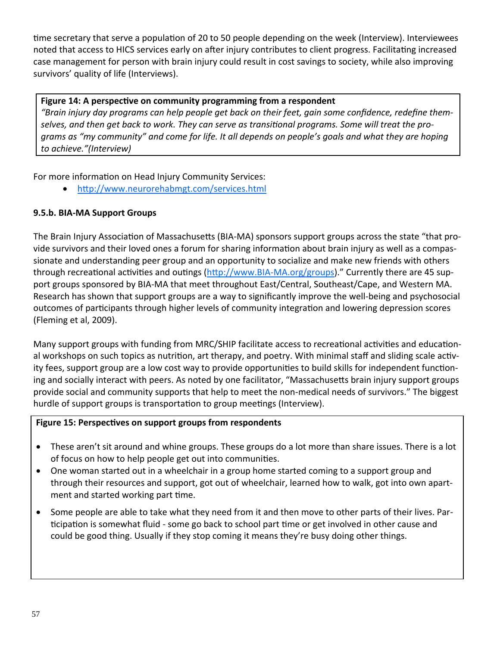time secretary that serve a population of 20 to 50 people depending on the week (Interview). Interviewees noted that access to HICS services early on after injury contributes to client progress. Facilitating increased case management for person with brain injury could result in cost savings to society, while also improving survivors' quality of life (Interviews).

# **Figure 14: A perspecƟve on community programming from a respondent**

"Brain injury day programs can help people get back on their feet, gain some confidence, redefine themselves, and then get back to work. They can serve as transitional programs. Some will treat the programs as "my community" and come for life. It all depends on people's goals and what they are hoping *to achieve."(Interview)*

For more information on Head Injury Community Services:

http://www.neurorehabmgt.com/services.html

# **9.5.b. BIA‐MA Support Groups**

The Brain Injury Association of Massachusetts (BIA-MA) sponsors support groups across the state "that provide survivors and their loved ones a forum for sharing information about brain injury as well as a compassionate and understanding peer group and an opportunity to socialize and make new friends with others through recreational activities and outings (http://www.BIA-MA.org/groups)." Currently there are 45 support groups sponsored by BIA‐MA that meet throughout East/Central, Southeast/Cape, and Western MA. Research has shown that support groups are a way to significantly improve the well-being and psychosocial outcomes of participants through higher levels of community integration and lowering depression scores (Fleming et al, 2009).

Many support groups with funding from MRC/SHIP facilitate access to recreational activities and educational workshops on such topics as nutrition, art therapy, and poetry. With minimal staff and sliding scale activity fees, support group are a low cost way to provide opportunities to build skills for independent functioning and socially interact with peers. As noted by one facilitator, "Massachusetts brain injury support groups provide social and community supports that help to meet the non‐medical needs of survivors." The biggest hurdle of support groups is transportation to group meetings (Interview).

# **Figure 15: PerspecƟves on support groups from respondents**

- These aren't sit around and whine groups. These groups do a lot more than share issues. There is a lot of focus on how to help people get out into communities.
- One woman started out in a wheelchair in a group home started coming to a support group and through their resources and support, got out of wheelchair, learned how to walk, got into own apart‐ ment and started working part time.
- Some people are able to take what they need from it and then move to other parts of their lives. Participation is somewhat fluid - some go back to school part time or get involved in other cause and could be good thing. Usually if they stop coming it means they're busy doing other things.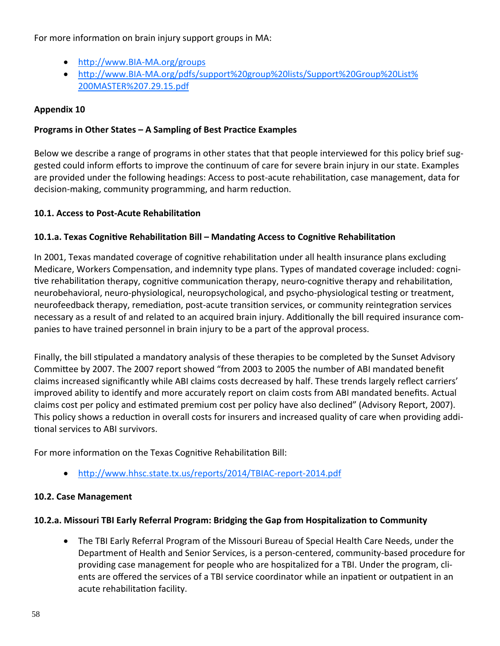For more information on brain injury support groups in MA:

- http://www.BIA-MA.org/groups
- http://www.BIA-MA.org/pdfs/support%20group%20lists/Support%20Group%20List% 200MASTER%207.29.15.pdf

# **Appendix 10**

# **Programs in Other States – A Sampling of Best PracƟce Examples**

Below we describe a range of programs in other states that that people interviewed for this policy brief suggested could inform efforts to improve the continuum of care for severe brain injury in our state. Examples are provided under the following headings: Access to post-acute rehabilitation, case management, data for decision-making, community programming, and harm reduction.

### **10.1. Access to Post‐Acute RehabilitaƟon**

### 10.1.a. Texas Cognitive Rehabilitation Bill - Mandating Access to Cognitive Rehabilitation

In 2001, Texas mandated coverage of cognitive rehabilitation under all health insurance plans excluding Medicare, Workers Compensation, and indemnity type plans. Types of mandated coverage included: cognitive rehabilitation therapy, cognitive communication therapy, neuro-cognitive therapy and rehabilitation, neurobehavioral, neuro-physiological, neuropsychological, and psycho-physiological testing or treatment, neurofeedback therapy, remediation, post-acute transition services, or community reintegration services necessary as a result of and related to an acquired brain injury. Additionally the bill required insurance companies to have trained personnel in brain injury to be a part of the approval process.

Finally, the bill stipulated a mandatory analysis of these therapies to be completed by the Sunset Advisory CommiƩee by 2007. The 2007 report showed "from 2003 to 2005 the number of ABI mandated benefit claims increased significantly while ABI claims costs decreased by half. These trends largely reflect carriers' improved ability to identify and more accurately report on claim costs from ABI mandated benefits. Actual claims cost per policy and estimated premium cost per policy have also declined" (Advisory Report, 2007). This policy shows a reduction in overall costs for insurers and increased quality of care when providing addi-Ɵonal services to ABI survivors.

For more information on the Texas Cognitive Rehabilitation Bill:

● http://www.hhsc.state.tx.us/reports/2014/TBIAC-report-2014.pdf

#### **10.2. Case Management**

#### **10.2.a. Missouri TBI Early Referral Program: Bridging the Gap from HospitalizaƟon to Community**

 The TBI Early Referral Program of the Missouri Bureau of Special Health Care Needs, under the Department of Health and Senior Services, is a person‐centered, community‐based procedure for providing case management for people who are hospitalized for a TBI. Under the program, cli‐ ents are offered the services of a TBI service coordinator while an inpatient or outpatient in an acute rehabilitation facility.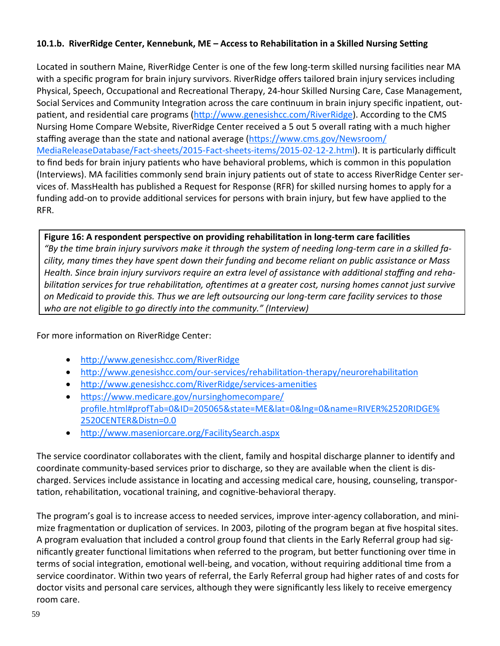#### 10.1.b. RiverRidge Center, Kennebunk, ME - Access to Rehabilitation in a Skilled Nursing Setting

Located in southern Maine, RiverRidge Center is one of the few long-term skilled nursing facilities near MA with a specific program for brain injury survivors. RiverRidge offers tailored brain injury services including Physical, Speech, Occupational and Recreational Therapy, 24-hour Skilled Nursing Care, Case Management, Social Services and Community Integration across the care continuum in brain injury specific inpatient, outpatient, and residential care programs (http://www.genesishcc.com/RiverRidge). According to the CMS Nursing Home Compare Website, RiverRidge Center received a 5 out 5 overall rating with a much higher staffing average than the state and national average (https://www.cms.gov/Newsroom/ MediaReleaseDatabase/Fact-sheets/2015-Fact-sheets-items/2015-02-12-2.html). It is particularly difficult to find beds for brain injury patients who have behavioral problems, which is common in this population (Interviews). MA facilities commonly send brain injury patients out of state to access RiverRidge Center services of. MassHealth has published a Request for Response (RFR) for skilled nursing homes to apply for a funding add-on to provide additional services for persons with brain injury, but few have applied to the RFR.

#### Figure 16: A respondent perspective on providing rehabilitation in long-term care facilities

"By the time brain injury survivors make it through the system of needing long-term care in a skilled facility, many times they have spent down their funding and become reliant on public assistance or Mass Health. Since brain injury survivors require an extra level of assistance with additional staffing and rehabilitation services for true rehabilitation, oftentimes at a greater cost, nursing homes cannot just survive on Medicaid to provide this. Thus we are left outsourcing our long-term care facility services to those who are not eligible to go directly into the community." (Interview)

For more information on RiverRidge Center:

- http://www.genesishcc.com/RiverRidge  $\bullet$
- http://www.genesishcc.com/our-services/rehabilitation-therapy/neurorehabilitation  $\bullet$
- http://www.genesishcc.com/RiverRidge/services-amenities  $\bullet$
- https://www.medicare.gov/nursinghomecompare/ profile.html#profTab=0&ID=205065&state=ME&lat=0&Ing=0&name=RIVER%2520RIDGE% 2520CENTER&Distn=0.0
- http://www.maseniorcare.org/FacilitySearch.aspx

The service coordinator collaborates with the client, family and hospital discharge planner to identify and coordinate community-based services prior to discharge, so they are available when the client is discharged. Services include assistance in locating and accessing medical care, housing, counseling, transportation, rehabilitation, vocational training, and cognitive-behavioral therapy.

The program's goal is to increase access to needed services, improve inter-agency collaboration, and minimize fragmentation or duplication of services. In 2003, piloting of the program began at five hospital sites. A program evaluation that included a control group found that clients in the Early Referral group had significantly greater functional limitations when referred to the program, but better functioning over time in terms of social integration, emotional well-being, and vocation, without requiring additional time from a service coordinator. Within two years of referral, the Early Referral group had higher rates of and costs for doctor visits and personal care services, although they were significantly less likely to receive emergency room care.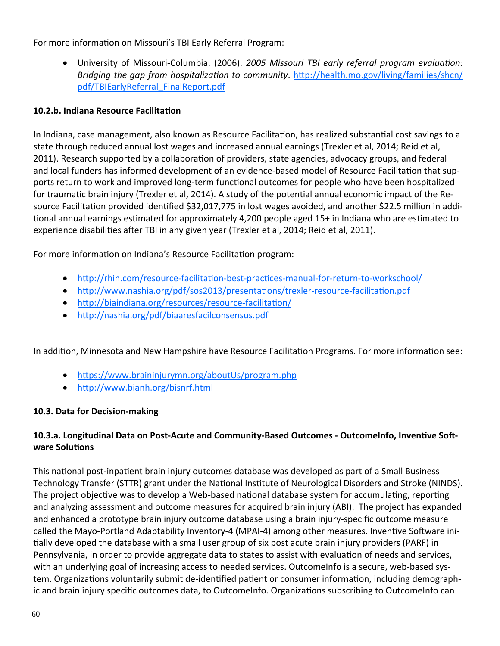For more information on Missouri's TBI Early Referral Program:

• University of Missouri-Columbia. (2006). 2005 Missouri TBI early referral program evaluation: Bridging the gap from hospitalization to community. http://health.mo.gov/living/families/shcn/ pdf/TBIEarlyReferral FinalReport.pdf

# 10.2.b. Indiana Resource Facilitation

In Indiana, case management, also known as Resource Facilitation, has realized substantial cost savings to a state through reduced annual lost wages and increased annual earnings (Trexler et al, 2014; Reid et al, 2011). Research supported by a collaboration of providers, state agencies, advocacy groups, and federal and local funders has informed development of an evidence-based model of Resource Facilitation that supports return to work and improved long-term functional outcomes for people who have been hospitalized for traumatic brain injury (Trexler et al, 2014). A study of the potential annual economic impact of the Resource Facilitation provided identified \$32,017,775 in lost wages avoided, and another \$22.5 million in additional annual earnings estimated for approximately 4,200 people aged 15+ in Indiana who are estimated to experience disabilities after TBI in any given year (Trexler et al, 2014; Reid et al, 2011).

For more information on Indiana's Resource Facilitation program:

- . http://rhin.com/resource-facilitation-best-practices-manual-for-return-to-workschool/
- http://www.nashia.org/pdf/sos2013/presentations/trexler-resource-facilitation.pdf
- http://biaindiana.org/resources/resource-facilitation/
- http://nashia.org/pdf/biaaresfacilconsensus.pdf

In addition, Minnesota and New Hampshire have Resource Facilitation Programs. For more information see:

- https://www.braininjurymn.org/aboutUs/program.php
- http://www.bianh.org/bisnrf.html

# 10.3. Data for Decision-making

# 10.3.a. Longitudinal Data on Post-Acute and Community-Based Outcomes - OutcomeInfo, Inventive Software Solutions

This national post-inpatient brain injury outcomes database was developed as part of a Small Business Technology Transfer (STTR) grant under the National Institute of Neurological Disorders and Stroke (NINDS). The project objective was to develop a Web-based national database system for accumulating, reporting and analyzing assessment and outcome measures for acquired brain injury (ABI). The project has expanded and enhanced a prototype brain injury outcome database using a brain injury-specific outcome measure called the Mayo-Portland Adaptability Inventory-4 (MPAI-4) among other measures. Inventive Software initially developed the database with a small user group of six post acute brain injury providers (PARF) in Pennsylvania, in order to provide aggregate data to states to assist with evaluation of needs and services, with an underlying goal of increasing access to needed services. Outcomelnfo is a secure, web-based system. Organizations voluntarily submit de-identified patient or consumer information, including demographic and brain injury specific outcomes data, to OutcomeInfo. Organizations subscribing to OutcomeInfo can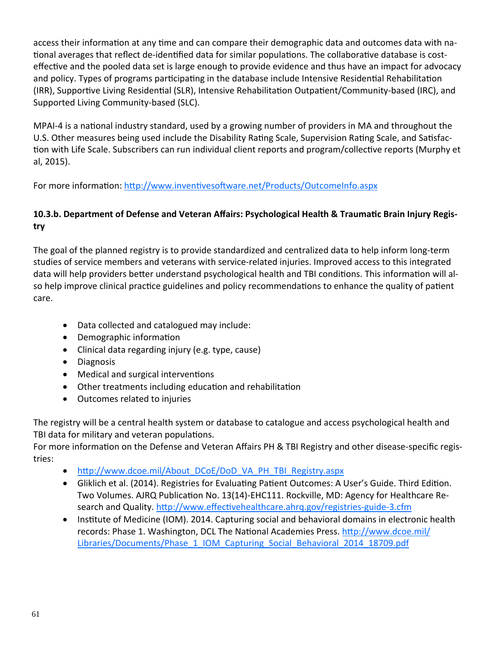access their information at any time and can compare their demographic data and outcomes data with national averages that reflect de-identified data for similar populations. The collaborative database is costeffective and the pooled data set is large enough to provide evidence and thus have an impact for advocacy and policy. Types of programs participating in the database include Intensive Residential Rehabilitation (IRR), Supportive Living Residential (SLR), Intensive Rehabilitation Outpatient/Community-based (IRC), and Supported Living Community‐based (SLC).

MPAI-4 is a national industry standard, used by a growing number of providers in MA and throughout the U.S. Other measures being used include the Disability Rating Scale, Supervision Rating Scale, and Satisfaction with Life Scale. Subscribers can run individual client reports and program/collective reports (Murphy et al, 2015).

For more information: http://www.inventivesoftware.net/Products/OutcomeInfo.aspx

# 10.3.b. Department of Defense and Veteran Affairs: Psychological Health & Traumatic Brain Injury Regis**try**

The goal of the planned registry is to provide standardized and centralized data to help inform long‐term studies of service members and veterans with service‐related injuries. Improved access to this integrated data will help providers better understand psychological health and TBI conditions. This information will also help improve clinical practice guidelines and policy recommendations to enhance the quality of patient care.

- Data collected and catalogued may include:
- Demographic information
- Clinical data regarding injury (e.g. type, cause)
- Diagnosis
- Medical and surgical interventions
- Other treatments including education and rehabilitation
- Outcomes related to injuries

The registry will be a central health system or database to catalogue and access psychological health and TBI data for military and veteran populations.

For more information on the Defense and Veteran Affairs PH & TBI Registry and other disease-specific registries:

- http://www.dcoe.mil/About\_DCoE/DoD\_VA\_PH\_TBI\_Registry.aspx
- Gliklich et al. (2014). Registries for Evaluating Patient Outcomes: A User's Guide. Third Edition. Two Volumes. AJRQ Publication No. 13(14)-EHC111. Rockville, MD: Agency for Healthcare Research and Quality. http://www.effectivehealthcare.ahrq.gov/registries-guide-3.cfm
- Institute of Medicine (IOM). 2014. Capturing social and behavioral domains in electronic health records: Phase 1. Washington, DCL The National Academies Press. http://www.dcoe.mil/ Libraries/Documents/Phase\_1\_IOM\_Capturing\_Social\_Behavioral\_2014\_18709.pdf